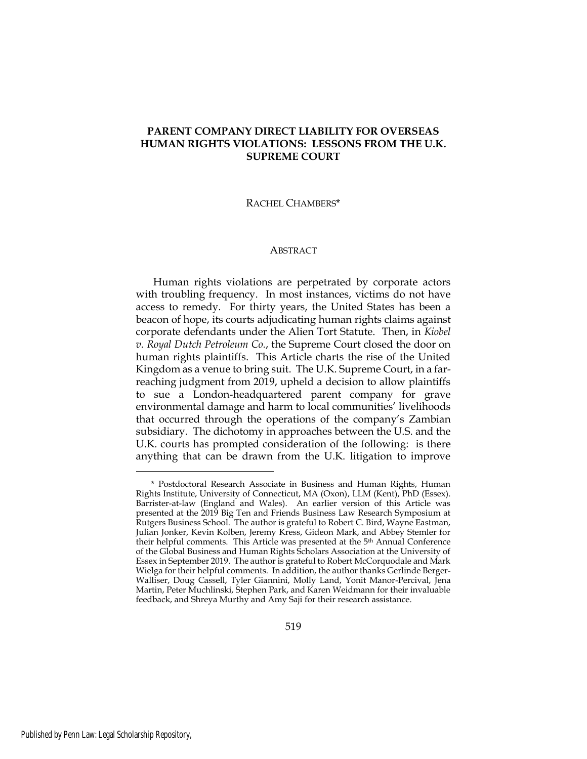# **PARENT COMPANY DIRECT LIABILITY FOR OVERSEAS HUMAN RIGHTS VIOLATIONS: LESSONS FROM THE U.K. SUPREME COURT**

#### RACHEL CHAMBERS\*

#### **ABSTRACT**

Human rights violations are perpetrated by corporate actors with troubling frequency. In most instances, victims do not have access to remedy. For thirty years, the United States has been a beacon of hope, its courts adjudicating human rights claims against corporate defendants under the Alien Tort Statute. Then, in *Kiobel v. Royal Dutch Petroleum Co.*, the Supreme Court closed the door on human rights plaintiffs. This Article charts the rise of the United Kingdom as a venue to bring suit. The U.K. Supreme Court, in a farreaching judgment from 2019, upheld a decision to allow plaintiffs to sue a London-headquartered parent company for grave environmental damage and harm to local communities' livelihoods that occurred through the operations of the company's Zambian subsidiary. The dichotomy in approaches between the U.S. and the U.K. courts has prompted consideration of the following: is there anything that can be drawn from the U.K. litigation to improve

<sup>\*</sup> Postdoctoral Research Associate in Business and Human Rights, Human Rights Institute, University of Connecticut, MA (Oxon), LLM (Kent), PhD (Essex). Barrister-at-law (England and Wales). An earlier version of this Article was presented at the 2019 Big Ten and Friends Business Law Research Symposium at Rutgers Business School. The author is grateful to Robert C. Bird, Wayne Eastman, Julian Jonker, Kevin Kolben, Jeremy Kress, Gideon Mark, and Abbey Stemler for their helpful comments. This Article was presented at the 5<sup>th</sup> Annual Conference of the Global Business and Human Rights Scholars Association at the University of Essex in September 2019. The author is grateful to Robert McCorquodale and Mark Wielga for their helpful comments. In addition, the author thanks Gerlinde Berger-Walliser, Doug Cassell, Tyler Giannini, Molly Land, Yonit Manor-Percival, Jena Martin, Peter Muchlinski, Stephen Park, and Karen Weidmann for their invaluable feedback, and Shreya Murthy and Amy Saji for their research assistance.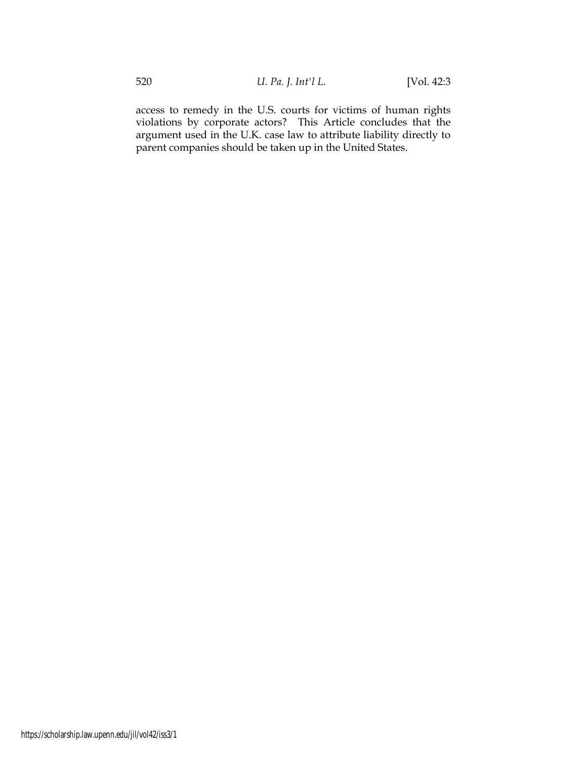access to remedy in the U.S. courts for victims of human rights violations by corporate actors? This Article concludes that the argument used in the U.K. case law to attribute liability directly to parent companies should be taken up in the United States.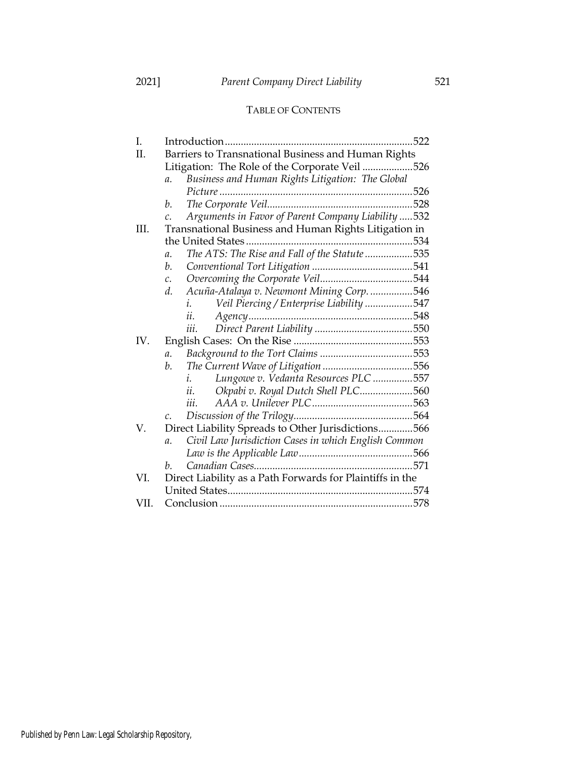# TABLE OF CONTENTS

| I.   |                                                                         |  |  |
|------|-------------------------------------------------------------------------|--|--|
| Π.   | Barriers to Transnational Business and Human Rights                     |  |  |
|      | Litigation: The Role of the Corporate Veil 526                          |  |  |
|      | Business and Human Rights Litigation: The Global<br>$\mathfrak{a}.$     |  |  |
|      |                                                                         |  |  |
|      | b.                                                                      |  |  |
|      | Arguments in Favor of Parent Company Liability  532<br>$\mathcal{C}$ .  |  |  |
| III. | Transnational Business and Human Rights Litigation in                   |  |  |
|      |                                                                         |  |  |
|      | The ATS: The Rise and Fall of the Statute 535<br>$\mathfrak{a}.$        |  |  |
|      | b.                                                                      |  |  |
|      | $\mathcal{C}$ .                                                         |  |  |
|      | Acuña-Atalaya v. Newmont Mining Corp. 546<br>d.                         |  |  |
|      | Veil Piercing / Enterprise Liability 547<br>i.                          |  |  |
|      | ii.                                                                     |  |  |
|      | iii.                                                                    |  |  |
| IV.  |                                                                         |  |  |
|      | $\mathfrak{a}.$                                                         |  |  |
|      | b.                                                                      |  |  |
|      | Lungowe v. Vedanta Resources PLC 557<br>i.                              |  |  |
|      | Okpabi v. Royal Dutch Shell PLC560<br>ii.                               |  |  |
|      | iii.                                                                    |  |  |
|      | $\mathcal{C}$ .                                                         |  |  |
| V.   | Direct Liability Spreads to Other Jurisdictions566                      |  |  |
|      | Civil Law Jurisdiction Cases in which English Common<br>$\mathfrak{a}.$ |  |  |
|      |                                                                         |  |  |
|      | h.                                                                      |  |  |
| VI.  | Direct Liability as a Path Forwards for Plaintiffs in the               |  |  |
|      |                                                                         |  |  |
| VII. |                                                                         |  |  |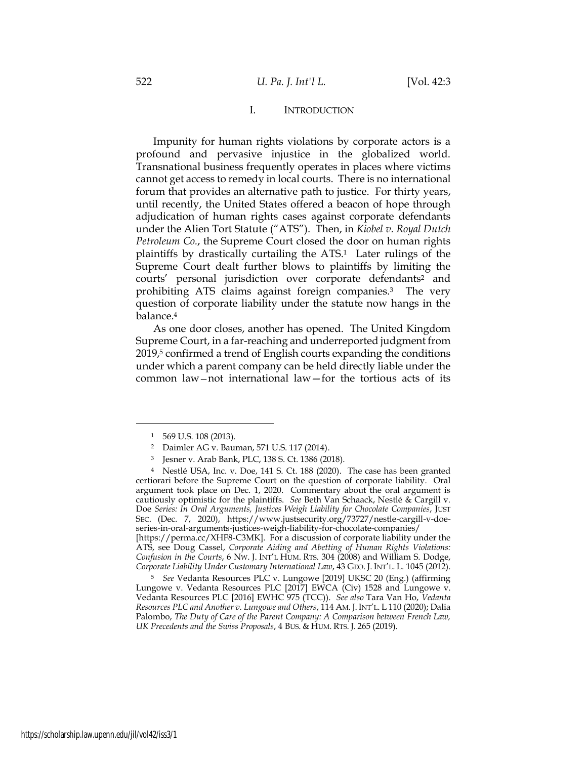### I. INTRODUCTION

Impunity for human rights violations by corporate actors is a profound and pervasive injustice in the globalized world. Transnational business frequently operates in places where victims cannot get access to remedy in local courts. There is no international forum that provides an alternative path to justice. For thirty years, until recently, the United States offered a beacon of hope through adjudication of human rights cases against corporate defendants under the Alien Tort Statute ("ATS"). Then, in *Kiobel v. Royal Dutch Petroleum Co.*, the Supreme Court closed the door on human rights plaintiffs by drastically curtailing the ATS. <sup>1</sup> Later rulings of the Supreme Court dealt further blows to plaintiffs by limiting the courts' personal jurisdiction over corporate defendants<sup>2</sup> and prohibiting ATS claims against foreign companies.<sup>3</sup> The very question of corporate liability under the statute now hangs in the balance.<sup>4</sup>

As one door closes, another has opened. The United Kingdom Supreme Court, in a far-reaching and underreported judgment from 2019,<sup>5</sup> confirmed a trend of English courts expanding the conditions under which a parent company can be held directly liable under the common law—not international law—for the tortious acts of its

[https://perma.cc/XHF8-C3MK]. For a discussion of corporate liability under the ATS, see Doug Cassel, *Corporate Aiding and Abetting of Human Rights Violations: Confusion in the Courts*, 6 NW. J. INT'L HUM. RTS. 304 (2008) and William S. Dodge, *Corporate Liability Under Customary International Law*, 43 GEO. J. INT'L. L. 1045 (2012).

<sup>5</sup> *See* Vedanta Resources PLC v. Lungowe [2019] UKSC 20 (Eng.) (affirming Lungowe v. Vedanta Resources PLC [2017] EWCA (Civ) 1528 and Lungowe v. Vedanta Resources PLC [2016] EWHC 975 (TCC)). *See also* Tara Van Ho, *Vedanta Resources PLC and Another v. Lungowe and Others*, 114 AM. J. INT'L. L 110 (2020); Dalia Palombo, *The Duty of Care of the Parent Company: A Comparison between French Law, UK Precedents and the Swiss Proposals*, 4 BUS. & HUM. RTS. J. 265 (2019).

<sup>1</sup> 569 U.S. 108 (2013).

<sup>2</sup> Daimler AG v. Bauman, 571 U.S. 117 (2014).

<sup>3</sup> Jesner v. Arab Bank, PLC, 138 S. Ct. 1386 (2018).

<sup>4</sup> Nestlé USA, Inc. v. Doe, 141 S. Ct. 188 (2020). The case has been granted certiorari before the Supreme Court on the question of corporate liability. Oral argument took place on Dec. 1, 2020. Commentary about the oral argument is cautiously optimistic for the plaintiffs. *See* Beth Van Schaack, Nestlé & Cargill v. Doe *Series: In Oral Arguments, Justices Weigh Liability for Chocolate Companies*, JUST SEC. (Dec. 7, 2020), https://www.justsecurity.org/73727/nestle-cargill-v-doeseries-in-oral-arguments-justices-weigh-liability-for-chocolate-companies/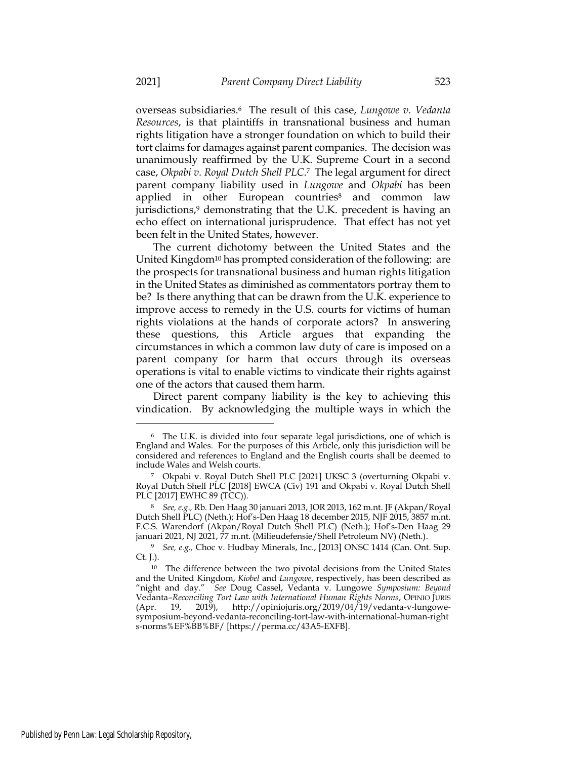overseas subsidiaries.<sup>6</sup> The result of this case, *Lungowe v. Vedanta Resources*, is that plaintiffs in transnational business and human rights litigation have a stronger foundation on which to build their tort claims for damages against parent companies. The decision was unanimously reaffirmed by the U.K. Supreme Court in a second case, *Okpabi v. Royal Dutch Shell PLC*. <sup>7</sup> The legal argument for direct parent company liability used in *Lungowe* and *Okpabi* has been applied in other European countries<sup>8</sup> and common law jurisdictions,<sup>9</sup> demonstrating that the U.K. precedent is having an echo effect on international jurisprudence. That effect has not yet been felt in the United States, however.

The current dichotomy between the United States and the United Kingdom<sup>10</sup> has prompted consideration of the following: are the prospects for transnational business and human rights litigation in the United States as diminished as commentators portray them to be? Is there anything that can be drawn from the U.K. experience to improve access to remedy in the U.S. courts for victims of human rights violations at the hands of corporate actors? In answering these questions, this Article argues that expanding the circumstances in which a common law duty of care is imposed on a parent company for harm that occurs through its overseas operations is vital to enable victims to vindicate their rights against one of the actors that caused them harm.

Direct parent company liability is the key to achieving this vindication. By acknowledging the multiple ways in which the

<sup>6</sup> The U.K. is divided into four separate legal jurisdictions, one of which is England and Wales. For the purposes of this Article, only this jurisdiction will be considered and references to England and the English courts shall be deemed to include Wales and Welsh courts.

<sup>7</sup> Okpabi v. Royal Dutch Shell PLC [2021] UKSC 3 (overturning Okpabi v. Royal Dutch Shell PLC [2018] EWCA (Civ) 191 and Okpabi v. Royal Dutch Shell PLC [2017] EWHC 89 (TCC)).

<sup>8</sup> *See, e.g.,* Rb. Den Haag 30 januari 2013, JOR 2013, 162 m.nt. JF (Akpan/Royal Dutch Shell PLC) (Neth.); Hof's-Den Haag 18 december 2015, NJF 2015, 3857 m.nt. F.C.S. Warendorf (Akpan/Royal Dutch Shell PLC) (Neth.); Hof's-Den Haag 29 januari 2021, NJ 2021, 77 m.nt. (Milieudefensie/Shell Petroleum NV) (Neth.).

<sup>9</sup> *See, e.g.,* Choc v. Hudbay Minerals, Inc., [2013] ONSC 1414 (Can. Ont. Sup. Ct. J.).

<sup>&</sup>lt;sup>10</sup> The difference between the two pivotal decisions from the United States and the United Kingdom, *Kiobel* and *Lungowe*, respectively, has been described as "night and day." *See* Doug Cassel, Vedanta v. Lungowe *Symposium: Beyond*  Vedanta*–Reconciling Tort Law with International Human Rights Norms*, OPINIO JURIS  $(Apr. 19, 2019)$ , http://opiniojuris.org/2019/04/19/vedanta-v-lungowesymposium-beyond-vedanta-reconciling-tort-law-with-international-human-right s-norms%EF%BB%BF/ [https://perma.cc/43A5-EXFB].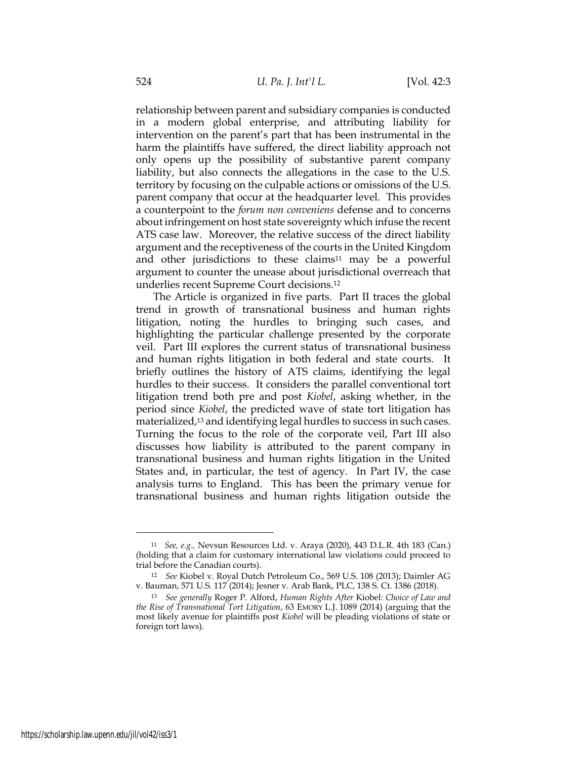relationship between parent and subsidiary companies is conducted in a modern global enterprise, and attributing liability for intervention on the parent's part that has been instrumental in the harm the plaintiffs have suffered, the direct liability approach not only opens up the possibility of substantive parent company liability, but also connects the allegations in the case to the U.S. territory by focusing on the culpable actions or omissions of the U.S. parent company that occur at the headquarter level. This provides a counterpoint to the *forum non conveniens* defense and to concerns about infringement on host state sovereignty which infuse the recent ATS case law. Moreover, the relative success of the direct liability argument and the receptiveness of the courts in the United Kingdom and other jurisdictions to these claims<sup>11</sup> may be a powerful argument to counter the unease about jurisdictional overreach that underlies recent Supreme Court decisions.<sup>12</sup>

<span id="page-5-0"></span>The Article is organized in five parts. Part II traces the global trend in growth of transnational business and human rights litigation, noting the hurdles to bringing such cases, and highlighting the particular challenge presented by the corporate veil. Part III explores the current status of transnational business and human rights litigation in both federal and state courts. It briefly outlines the history of ATS claims, identifying the legal hurdles to their success. It considers the parallel conventional tort litigation trend both pre and post *Kiobel*, asking whether, in the period since *Kiobel*, the predicted wave of state tort litigation has materialized,<sup>13</sup> and identifying legal hurdles to success in such cases. Turning the focus to the role of the corporate veil, Part III also discusses how liability is attributed to the parent company in transnational business and human rights litigation in the United States and, in particular, the test of agency. In Part IV, the case analysis turns to England. This has been the primary venue for transnational business and human rights litigation outside the

<sup>11</sup> *See, e.g.,* Nevsun Resources Ltd. v. Araya (2020), 443 D.L.R. 4th 183 (Can.) (holding that a claim for customary international law violations could proceed to trial before the Canadian courts).

<sup>12</sup> *See* Kiobel v. Royal Dutch Petroleum Co., 569 U.S. 108 (2013); Daimler AG v. Bauman, 571 U.S. 117 (2014); Jesner v. Arab Bank, PLC, 138 S. Ct. 1386 (2018).

<sup>13</sup> *See generally* Roger P. Alford, *Human Rights After* Kiobel*: Choice of Law and the Rise of Transnational Tort Litigation*, 63 EMORY L.J. 1089 (2014) (arguing that the most likely avenue for plaintiffs post *Kiobel* will be pleading violations of state or foreign tort laws).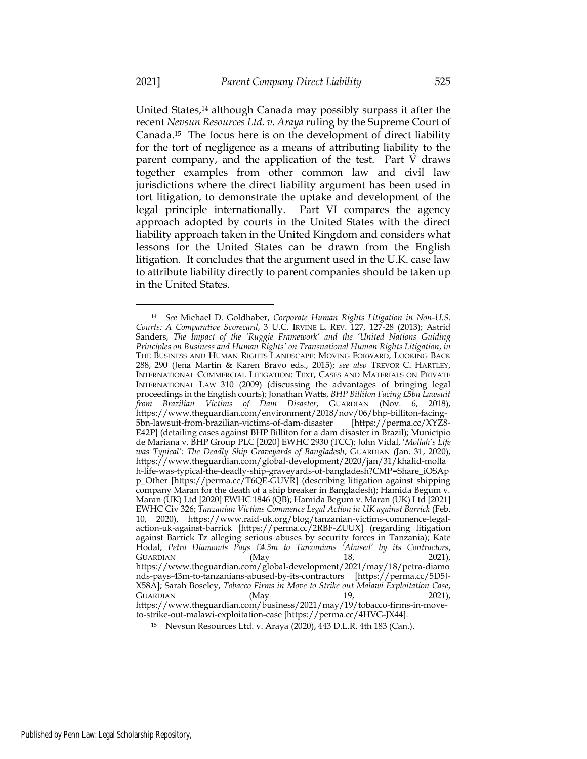<span id="page-6-1"></span><span id="page-6-0"></span>United States,<sup>14</sup> although Canada may possibly surpass it after the recent *Nevsun Resources Ltd. v. Araya* ruling by the Supreme Court of Canada.15 The focus here is on the development of direct liability for the tort of negligence as a means of attributing liability to the parent company, and the application of the test. Part V draws together examples from other common law and civil law jurisdictions where the direct liability argument has been used in tort litigation, to demonstrate the uptake and development of the legal principle internationally. Part VI compares the agency approach adopted by courts in the United States with the direct liability approach taken in the United Kingdom and considers what lessons for the United States can be drawn from the English litigation. It concludes that the argument used in the U.K. case law to attribute liability directly to parent companies should be taken up in the United States.

<sup>14</sup> *See* Michael D. Goldhaber, *Corporate Human Rights Litigation in Non-U.S. Courts: A Comparative Scorecard*, 3 U.C. IRVINE L. REV. 127, 127-28 (2013); Astrid Sanders, *The Impact of the 'Ruggie Framework' and the 'United Nations Guiding Principles on Business and Human Rights' on Transnational Human Rights Litigation*, *in* THE BUSINESS AND HUMAN RIGHTS LANDSCAPE: MOVING FORWARD, LOOKING BACK 288, 290 (Jena Martin & Karen Bravo eds., 2015); *see also* TREVOR C. HARTLEY, INTERNATIONAL COMMERCIAL LITIGATION: TEXT, CASES AND MATERIALS ON PRIVATE INTERNATIONAL LAW 310 (2009) (discussing the advantages of bringing legal proceedings in the English courts); Jonathan Watts, *BHP Billiton Facing £5bn Lawsuit from Brazilian Victims of Dam Disaster*, GUARDIAN (Nov. 6, 2018), https://www.theguardian.com/environment/2018/nov/06/bhp-billiton-facing-5bn-lawsuit-from-brazilian-victims-of-dam-disaster [https://perma.cc/XYZ8- E42P] (detailing cases against BHP Billiton for a dam disaster in Brazil); Município de Mariana v. BHP Group PLC [2020] EWHC 2930 (TCC); John Vidal, '*Mollah's Life was Typical': The Deadly Ship Graveyards of Bangladesh*, GUARDIAN *(*Jan. 31, 2020), https://www.theguardian.com/global-development/2020/jan/31/khalid-molla h-life-was-typical-the-deadly-ship-graveyards-of-bangladesh?CMP=Share\_iOSAp p\_Other [https://perma.cc/T6QE-GUVR] (describing litigation against shipping company Maran for the death of a ship breaker in Bangladesh); Hamida Begum v. Maran (UK) Ltd [2020] EWHC 1846 (QB); Hamida Begum v. Maran (UK) Ltd [2021] EWHC Civ 326; *Tanzanian Victims Commence Legal Action in UK against Barrick* (Feb. 10, 2020), https://www.raid-uk.org/blog/tanzanian-victims-commence-legalaction-uk-against-barrick [https://perma.cc/2RBF-ZUUX] (regarding litigation against Barrick Tz alleging serious abuses by security forces in Tanzania); Kate Hodal, *Petra Diamonds Pays £4.3m to Tanzanians 'Abused' by its Contractors*, GUARDIAN (May 18, 2021), https://www.theguardian.com/global-development/2021/may/18/petra-diamo nds-pays-43m-to-tanzanians-abused-by-its-contractors [https://perma.cc/5D5J-X58A]; Sarah Boseley, *Tobacco Firms in Move to Strike out Malawi Exploitation Case*, GUARDIAN (May 19, 2021), https://www.theguardian.com/business/2021/may/19/tobacco-firms-in-moveto-strike-out-malawi-exploitation-case [https://perma.cc/4HVG-JX44].

<sup>15</sup> Nevsun Resources Ltd. v. Araya (2020), 443 D.L.R. 4th 183 (Can.).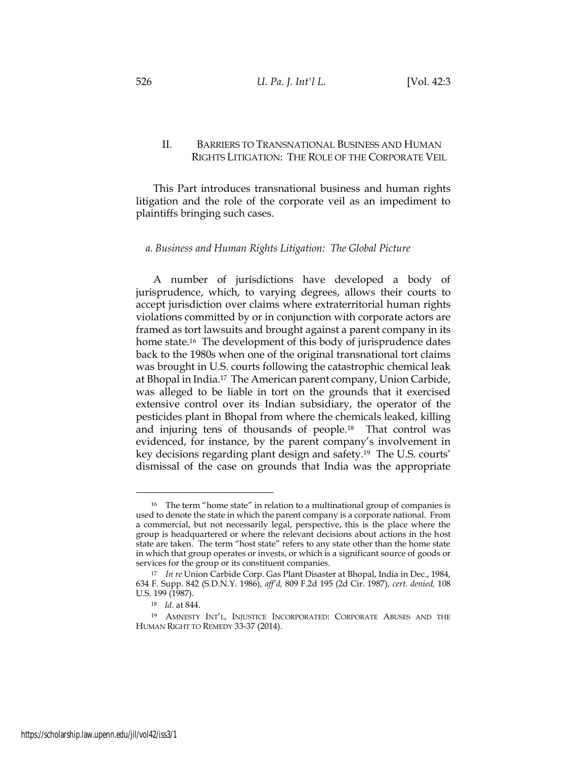# II. BARRIERS TO TRANSNATIONAL BUSINESS AND HUMAN RIGHTS LITIGATION: THE ROLE OF THE CORPORATE VEIL

This Part introduces transnational business and human rights litigation and the role of the corporate veil as an impediment to plaintiffs bringing such cases.

### *a. Business and Human Rights Litigation: The Global Picture*

A number of jurisdictions have developed a body of jurisprudence, which, to varying degrees, allows their courts to accept jurisdiction over claims where extraterritorial human rights violations committed by or in conjunction with corporate actors are framed as tort lawsuits and brought against a parent company in its home state.<sup>16</sup> The development of this body of jurisprudence dates back to the 1980s when one of the original transnational tort claims was brought in U.S. courts following the catastrophic chemical leak at Bhopal in India.<sup>17</sup> The American parent company, Union Carbide, was alleged to be liable in tort on the grounds that it exercised extensive control over its Indian subsidiary, the operator of the pesticides plant in Bhopal from where the chemicals leaked, killing and injuring tens of thousands of people.<sup>18</sup> That control was evidenced, for instance, by the parent company's involvement in key decisions regarding plant design and safety.<sup>19</sup> The U.S. courts' dismissal of the case on grounds that India was the appropriate

<sup>&</sup>lt;sup>16</sup> The term "home state" in relation to a multinational group of companies is used to denote the state in which the parent company is a corporate national. From a commercial, but not necessarily legal, perspective, this is the place where the group is headquartered or where the relevant decisions about actions in the host state are taken. The term "host state" refers to any state other than the home state in which that group operates or invests, or which is a significant source of goods or services for the group or its constituent companies.

<sup>17</sup> *In re* Union Carbide Corp. Gas Plant Disaster at Bhopal, India in Dec., 1984, 634 F. Supp. 842 (S.D.N.Y. 1986), *aff'd,* 809 F.2d 195 (2d Cir. 1987), *cert. denied,* 108 U.S. 199 (1987).

<sup>18</sup> *Id.* at 844.

<sup>19</sup> AMNESTY INT'L, INJUSTICE INCORPORATED: CORPORATE ABUSES AND THE HUMAN RIGHT TO REMEDY 33-37 (2014).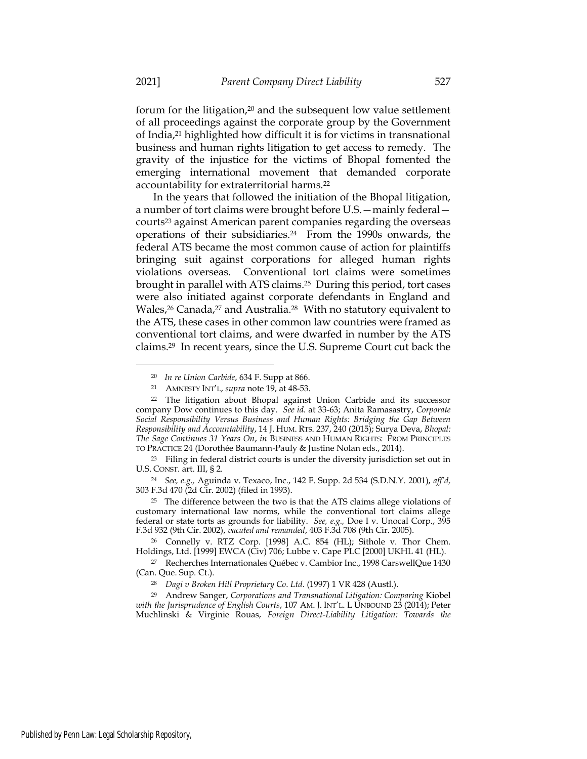forum for the litigation,<sup>20</sup> and the subsequent low value settlement of all proceedings against the corporate group by the Government of India,<sup>21</sup> highlighted how difficult it is for victims in transnational business and human rights litigation to get access to remedy. The gravity of the injustice for the victims of Bhopal fomented the emerging international movement that demanded corporate accountability for extraterritorial harms.<sup>22</sup>

In the years that followed the initiation of the Bhopal litigation, a number of tort claims were brought before U.S.—mainly federal courts<sup>23</sup> against American parent companies regarding the overseas operations of their subsidiaries.<sup>24</sup> From the 1990s onwards, the federal ATS became the most common cause of action for plaintiffs bringing suit against corporations for alleged human rights violations overseas. Conventional tort claims were sometimes brought in parallel with ATS claims.<sup>25</sup> During this period, tort cases were also initiated against corporate defendants in England and Wales,<sup>26</sup> Canada,<sup>27</sup> and Australia.<sup>28</sup> With no statutory equivalent to the ATS, these cases in other common law countries were framed as conventional tort claims, and were dwarfed in number by the ATS claims.<sup>29</sup> In recent years, since the U.S. Supreme Court cut back the

<sup>24</sup> *See, e.g.,* Aguinda v. Texaco, Inc., 142 F. Supp. 2d 534 (S.D.N.Y. 2001), *aff'd,*  303 F.3d 470 (2d Cir. 2002) (filed in 1993).

<sup>25</sup> The difference between the two is that the ATS claims allege violations of customary international law norms, while the conventional tort claims allege federal or state torts as grounds for liability. *See, e.g.,* Doe I v. Unocal Corp., 395 F.3d 932 (9th Cir. 2002), *vacated and remanded*, 403 F.3d 708 (9th Cir. 2005).

<sup>26</sup> Connelly v. RTZ Corp. [1998] A.C. 854 (HL); Sithole v. Thor Chem. Holdings, Ltd. [1999] EWCA (Civ) 706; Lubbe v. Cape PLC [2000] UKHL 41 (HL).

<sup>27</sup> Recherches Internationales Québec v. Cambior Inc., 1998 CarswellQue 1430 (Can. Que. Sup. Ct.).

<sup>28</sup> *Dagi v Broken Hill Proprietary Co*. *Ltd.* (1997) 1 VR 428 (Austl.).

<sup>29</sup> Andrew Sanger, *Corporations and Transnational Litigation: Comparing* Kiobel *with the Jurisprudence of English Courts*, 107 AM. J. INT'L. L UNBOUND 23 (2014); Peter Muchlinski & Virginie Rouas, *Foreign Direct-Liability Litigation: Towards the* 

<sup>20</sup> *In re Union Carbide*, 634 F. Supp at 866.

<sup>21</sup> AMNESTY INT'L, *supra* note 19, at 48-53.

<sup>22</sup> The litigation about Bhopal against Union Carbide and its successor company Dow continues to this day. *See id.* at 33-63; Anita Ramasastry, *Corporate Social Responsibility Versus Business and Human Rights: Bridging the Gap Between Responsibility and Accountability*, 14 J. HUM. RTS. 237, 240 (2015); Surya Deva, *Bhopal: The Sage Continues 31 Years On*, *in* BUSINESS AND HUMAN RIGHTS: FROM PRINCIPLES TO PRACTICE 24 (Dorothée Baumann-Pauly & Justine Nolan eds., 2014).

<sup>23</sup> Filing in federal district courts is under the diversity jurisdiction set out in U.S. CONST. art. III, § 2.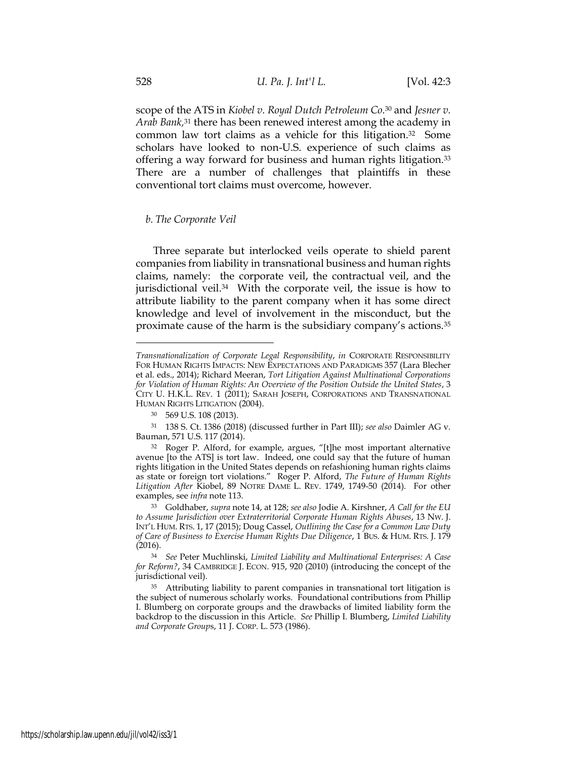scope of the ATS in *Kiobel v. Royal Dutch Petroleum Co.* <sup>30</sup> and *Jesner v. Arab Bank,* <sup>31</sup> there has been renewed interest among the academy in common law tort claims as a vehicle for this litigation.<sup>32</sup> Some scholars have looked to non-U.S. experience of such claims as offering a way forward for business and human rights litigation.<sup>33</sup> There are a number of challenges that plaintiffs in these conventional tort claims must overcome, however.

#### *b. The Corporate Veil*

Three separate but interlocked veils operate to shield parent companies from liability in transnational business and human rights claims, namely: the corporate veil, the contractual veil, and the jurisdictional veil.<sup>34</sup> With the corporate veil, the issue is how to attribute liability to the parent company when it has some direct knowledge and level of involvement in the misconduct, but the proximate cause of the harm is the subsidiary company's actions.<sup>35</sup>

*Transnationalization of Corporate Legal Responsibility*, *in* CORPORATE RESPONSIBILITY FOR HUMAN RIGHTS IMPACTS: NEW EXPECTATIONS AND PARADIGMS 357 (Lara Blecher et al. eds., 2014); Richard Meeran, *Tort Litigation Against Multinational Corporations for Violation of Human Rights: An Overview of the Position Outside the United States*, 3 CITY U. H.K.L. REV. 1 (2011); SARAH JOSEPH, CORPORATIONS AND TRANSNATIONAL HUMAN RIGHTS LITIGATION (2004).

<sup>30</sup> 569 U.S. 108 (2013).

<sup>31</sup> 138 S. Ct. 1386 (2018) (discussed further in Part III); *see also* Daimler AG v. Bauman, 571 U.S. 117 (2014).

<sup>32</sup> Roger P. Alford, for example, argues, "[t]he most important alternative avenue [to the ATS] is tort law. Indeed, one could say that the future of human rights litigation in the United States depends on refashioning human rights claims as state or foreign tort violations." Roger P. Alford, *The Future of Human Rights Litigation After* Kiobel, 89 NOTRE DAME L. REV. 1749, 1749-50 (2014). For other examples, see *infra* note [113.](#page-23-0)

<sup>33</sup> Goldhaber, *supra* not[e 14,](#page-6-0) at 128; *see also* Jodie A. Kirshner, *A Call for the EU to Assume Jurisdiction over Extraterritorial Corporate Human Rights Abuses*, 13 NW. J. INT'L HUM. RTS. 1, 17 (2015); Doug Cassel, *Outlining the Case for a Common Law Duty of Care of Business to Exercise Human Rights Due Diligence*, 1 BUS. & HUM. RTS. J. 179 (2016).

<sup>34</sup> *See* Peter Muchlinski, *Limited Liability and Multinational Enterprises: A Case for Reform?*, 34 CAMBRIDGE J. ECON. 915, 920 (2010) (introducing the concept of the jurisdictional veil).

<sup>&</sup>lt;sup>35</sup> Attributing liability to parent companies in transnational tort litigation is the subject of numerous scholarly works. Foundational contributions from Phillip I. Blumberg on corporate groups and the drawbacks of limited liability form the backdrop to the discussion in this Article. *See* Phillip I. Blumberg, *Limited Liability and Corporate Group*s, 11 J. CORP. L. 573 (1986).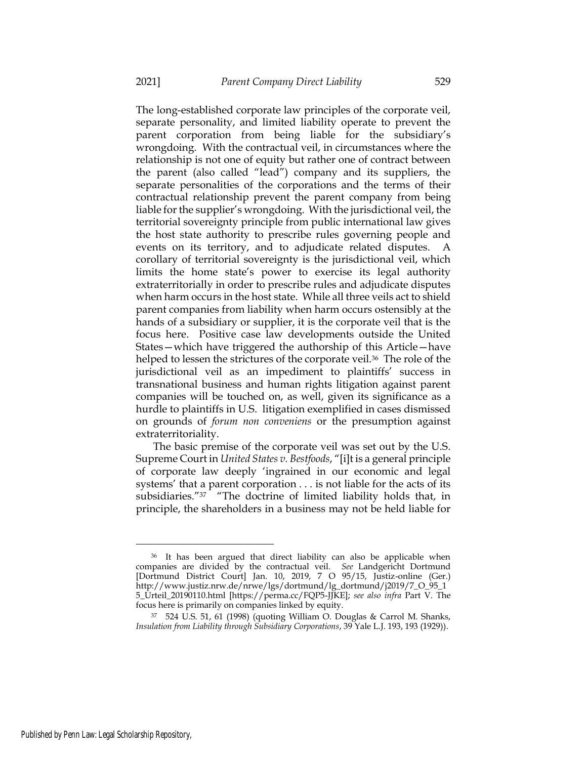The long-established corporate law principles of the corporate veil, separate personality, and limited liability operate to prevent the parent corporation from being liable for the subsidiary's wrongdoing. With the contractual veil, in circumstances where the relationship is not one of equity but rather one of contract between the parent (also called "lead") company and its suppliers, the separate personalities of the corporations and the terms of their contractual relationship prevent the parent company from being liable for the supplier's wrongdoing. With the jurisdictional veil, the territorial sovereignty principle from public international law gives the host state authority to prescribe rules governing people and events on its territory, and to adjudicate related disputes. corollary of territorial sovereignty is the jurisdictional veil, which limits the home state's power to exercise its legal authority extraterritorially in order to prescribe rules and adjudicate disputes when harm occurs in the host state. While all three veils act to shield parent companies from liability when harm occurs ostensibly at the hands of a subsidiary or supplier, it is the corporate veil that is the focus here. Positive case law developments outside the United States—which have triggered the authorship of this Article—have helped to lessen the strictures of the corporate veil.<sup>36</sup> The role of the jurisdictional veil as an impediment to plaintiffs' success in transnational business and human rights litigation against parent companies will be touched on, as well, given its significance as a hurdle to plaintiffs in U.S. litigation exemplified in cases dismissed on grounds of *forum non conveniens* or the presumption against extraterritoriality.

The basic premise of the corporate veil was set out by the U.S. Supreme Court in *United States v. Bestfoods*, "[i]t is a general principle of corporate law deeply 'ingrained in our economic and legal systems' that a parent corporation . . . is not liable for the acts of its subsidiaries."<sup>37</sup> "The doctrine of limited liability holds that, in principle, the shareholders in a business may not be held liable for

<sup>36</sup> It has been argued that direct liability can also be applicable when companies are divided by the contractual veil. *See* Landgericht Dortmund [Dortmund District Court] Jan. 10, 2019, 7 O 95/15, Justiz-online (Ger.) http://www.justiz.nrw.de/nrwe/lgs/dortmund/lg\_dortmund/j2019/7\_O\_95\_1 5\_Urteil\_20190110.html [https://perma.cc/FQP5-JJKE]; *see also infra* Part V. The focus here is primarily on companies linked by equity.

<sup>37</sup> 524 U.S. 51, 61 (1998) (quoting William O. Douglas & Carrol M. Shanks, *Insulation from Liability through Subsidiary Corporations*, 39 Yale L.J. 193, 193 (1929)).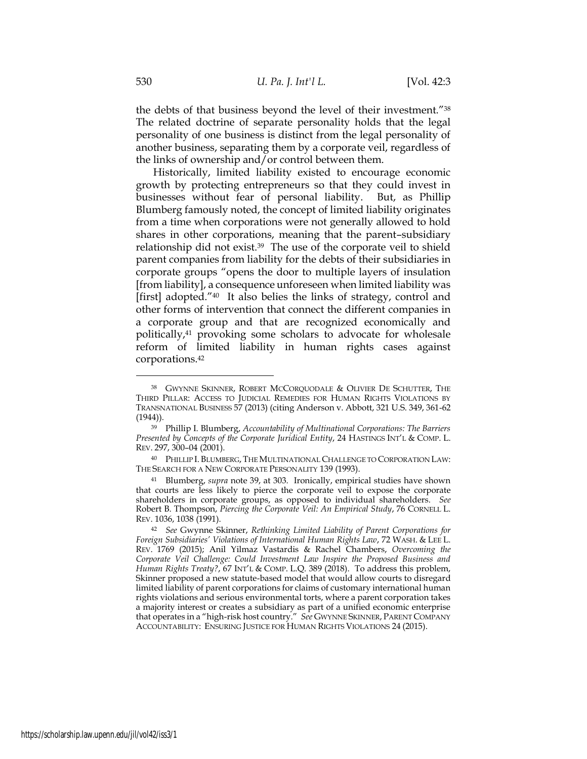the debts of that business beyond the level of their investment."<sup>38</sup> The related doctrine of separate personality holds that the legal personality of one business is distinct from the legal personality of another business, separating them by a corporate veil, regardless of the links of ownership and/or control between them.

Historically, limited liability existed to encourage economic growth by protecting entrepreneurs so that they could invest in businesses without fear of personal liability. But, as Phillip Blumberg famously noted, the concept of limited liability originates from a time when corporations were not generally allowed to hold shares in other corporations, meaning that the parent–subsidiary relationship did not exist.<sup>39</sup> The use of the corporate veil to shield parent companies from liability for the debts of their subsidiaries in corporate groups "opens the door to multiple layers of insulation [from liability], a consequence unforeseen when limited liability was [first] adopted."<sup>40</sup> It also belies the links of strategy, control and other forms of intervention that connect the different companies in a corporate group and that are recognized economically and politically,<sup>41</sup> provoking some scholars to advocate for wholesale reform of limited liability in human rights cases against corporations.<sup>42</sup>

<sup>38</sup> GWYNNE SKINNER, ROBERT MCCORQUODALE & OLIVIER DE SCHUTTER, THE THIRD PILLAR: ACCESS TO JUDICIAL REMEDIES FOR HUMAN RIGHTS VIOLATIONS BY TRANSNATIONAL BUSINESS 57 (2013) (citing Anderson v. Abbott, 321 U.S. 349, 361-62  $(1944)$ ).

<sup>39</sup> Phillip I. Blumberg, *Accountability of Multinational Corporations: The Barriers Presented by Concepts of the Corporate Juridical Entity*, 24 HASTINGS INT'L & COMP. L. REV. 297, 300-04 (2001).

<sup>40</sup> PHILLIP I. BLUMBERG, THE MULTINATIONAL CHALLENGE TO CORPORATION LAW: THE SEARCH FOR A NEW CORPORATE PERSONALITY 139 (1993).

<sup>41</sup> Blumberg, *supra* note 39, at 303. Ironically, empirical studies have shown that courts are less likely to pierce the corporate veil to expose the corporate shareholders in corporate groups, as opposed to individual shareholders. *See* Robert B. Thompson, *Piercing the Corporate Veil: An Empirical Study*, 76 CORNELL L. REV. 1036, 1038 (1991).

<sup>42</sup> *See* Gwynne Skinner, *Rethinking Limited Liability of Parent Corporations for Foreign Subsidiaries' Violations of International Human Rights Law*, 72 WASH. & LEE L. REV. 1769 (2015); Anil Yilmaz Vastardis & Rachel Chambers, *Overcoming the Corporate Veil Challenge: Could Investment Law Inspire the Proposed Business and Human Rights Treaty?*, 67 INT'L & COMP. L.Q. 389 (2018). To address this problem, Skinner proposed a new statute-based model that would allow courts to disregard limited liability of parent corporations for claims of customary international human rights violations and serious environmental torts, where a parent corporation takes a majority interest or creates a subsidiary as part of a unified economic enterprise that operates in a "high-risk host country." *See* GWYNNE SKINNER, PARENT COMPANY ACCOUNTABILITY: ENSURING JUSTICE FOR HUMAN RIGHTS VIOLATIONS 24 (2015).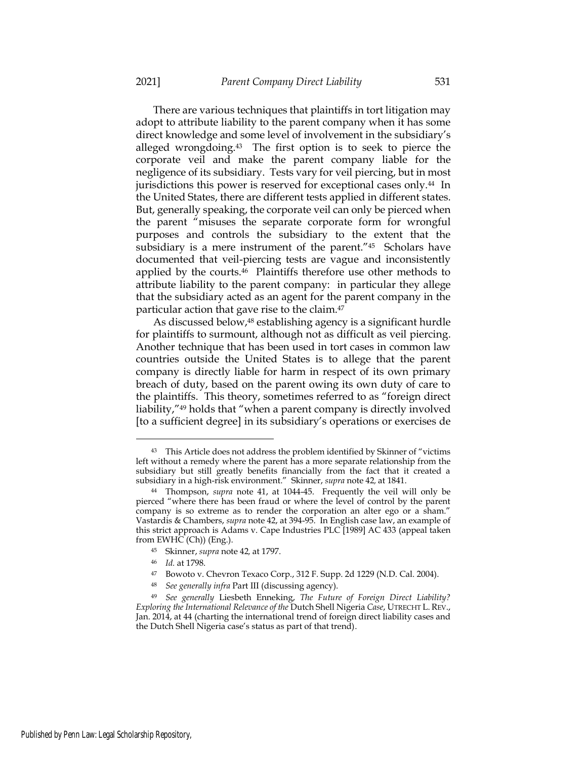There are various techniques that plaintiffs in tort litigation may adopt to attribute liability to the parent company when it has some direct knowledge and some level of involvement in the subsidiary's alleged wrongdoing.<sup>43</sup> The first option is to seek to pierce the corporate veil and make the parent company liable for the negligence of its subsidiary. Tests vary for veil piercing, but in most jurisdictions this power is reserved for exceptional cases only.<sup>44</sup> In the United States, there are different tests applied in different states. But, generally speaking, the corporate veil can only be pierced when the parent "misuses the separate corporate form for wrongful purposes and controls the subsidiary to the extent that the subsidiary is a mere instrument of the parent."<sup>45</sup> Scholars have documented that veil-piercing tests are vague and inconsistently applied by the courts.<sup>46</sup> Plaintiffs therefore use other methods to attribute liability to the parent company: in particular they allege that the subsidiary acted as an agent for the parent company in the particular action that gave rise to the claim.<sup>47</sup>

As discussed below,<sup>48</sup> establishing agency is a significant hurdle for plaintiffs to surmount, although not as difficult as veil piercing. Another technique that has been used in tort cases in common law countries outside the United States is to allege that the parent company is directly liable for harm in respect of its own primary breach of duty, based on the parent owing its own duty of care to the plaintiffs. This theory, sometimes referred to as "foreign direct liability,"<sup>49</sup> holds that "when a parent company is directly involved [to a sufficient degree] in its subsidiary's operations or exercises de

<sup>43</sup> This Article does not address the problem identified by Skinner of "victims left without a remedy where the parent has a more separate relationship from the subsidiary but still greatly benefits financially from the fact that it created a subsidiary in a high-risk environment." Skinner, *supra* note 42*,* at 1841.

<sup>44</sup> Thompson, *supra* note 41, at 1044-45. Frequently the veil will only be pierced "where there has been fraud or where the level of control by the parent company is so extreme as to render the corporation an alter ego or a sham." Vastardis & Chambers, *supra* note 42, at 394-95. In English case law, an example of this strict approach is Adams v. Cape Industries PLC [1989] AC 433 (appeal taken from EWHC (Ch)) (Eng.).

<sup>45</sup> Skinner, *supra* note 42*,* at 1797.

<sup>46</sup> *Id.* at 1798.

<sup>47</sup> Bowoto v. Chevron Texaco Corp., 312 F. Supp. 2d 1229 (N.D. Cal. 2004).

<sup>48</sup> *See generally infra* Part III (discussing agency).

<sup>49</sup> *See generally* Liesbeth Enneking, *The Future of Foreign Direct Liability? Exploring the International Relevance of the* Dutch Shell Nigeria *Case*, UTRECHT L. REV., Jan. 2014, at 44 (charting the international trend of foreign direct liability cases and the Dutch Shell Nigeria case's status as part of that trend).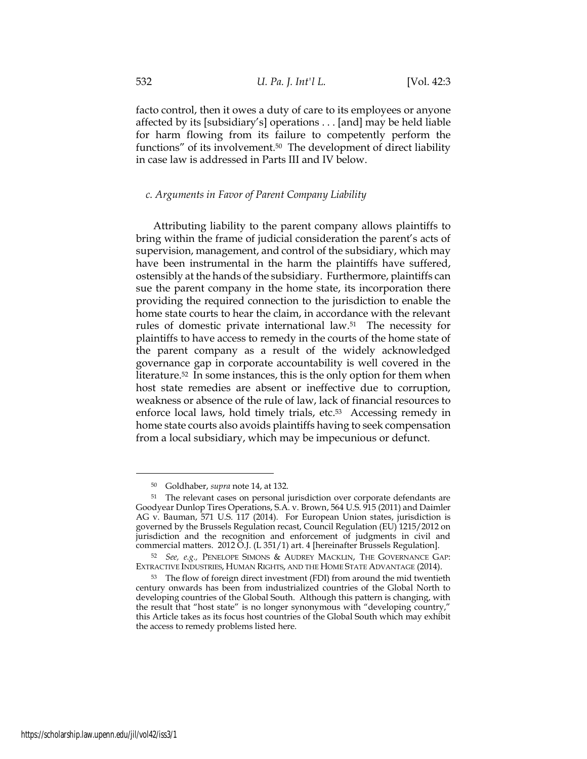facto control, then it owes a duty of care to its employees or anyone affected by its [subsidiary's] operations . . . [and] may be held liable for harm flowing from its failure to competently perform the functions" of its involvement.<sup>50</sup> The development of direct liability in case law is addressed in Parts III and IV below.

# *c. Arguments in Favor of Parent Company Liability*

Attributing liability to the parent company allows plaintiffs to bring within the frame of judicial consideration the parent's acts of supervision, management, and control of the subsidiary, which may have been instrumental in the harm the plaintiffs have suffered, ostensibly at the hands of the subsidiary. Furthermore, plaintiffs can sue the parent company in the home state, its incorporation there providing the required connection to the jurisdiction to enable the home state courts to hear the claim, in accordance with the relevant rules of domestic private international law.<sup>51</sup> The necessity for plaintiffs to have access to remedy in the courts of the home state of the parent company as a result of the widely acknowledged governance gap in corporate accountability is well covered in the literature.<sup>52</sup> In some instances, this is the only option for them when host state remedies are absent or ineffective due to corruption, weakness or absence of the rule of law, lack of financial resources to enforce local laws, hold timely trials, etc.<sup>53</sup> Accessing remedy in home state courts also avoids plaintiffs having to seek compensation from a local subsidiary, which may be impecunious or defunct.

<sup>50</sup> Goldhaber, *supra* note [14,](#page-6-1) at 132.

<sup>51</sup> The relevant cases on personal jurisdiction over corporate defendants are Goodyear Dunlop Tires Operations, S.A. v. Brown, 564 U.S. 915 (2011) and Daimler AG v. Bauman, 571 U.S. 117 (2014). For European Union states, jurisdiction is governed by the Brussels Regulation recast, Council Regulation (EU) 1215/2012 on jurisdiction and the recognition and enforcement of judgments in civil and commercial matters. 2012 O.J. (L 351/1) art. 4 [hereinafter Brussels Regulation].

<sup>52</sup> *See, e.g.,* PENELOPE SIMONS & AUDREY MACKLIN, THE GOVERNANCE GAP: EXTRACTIVE INDUSTRIES, HUMAN RIGHTS, AND THE HOME STATE ADVANTAGE (2014).

<sup>53</sup> The flow of foreign direct investment (FDI) from around the mid twentieth century onwards has been from industrialized countries of the Global North to developing countries of the Global South. Although this pattern is changing, with the result that "host state" is no longer synonymous with "developing country," this Article takes as its focus host countries of the Global South which may exhibit the access to remedy problems listed here.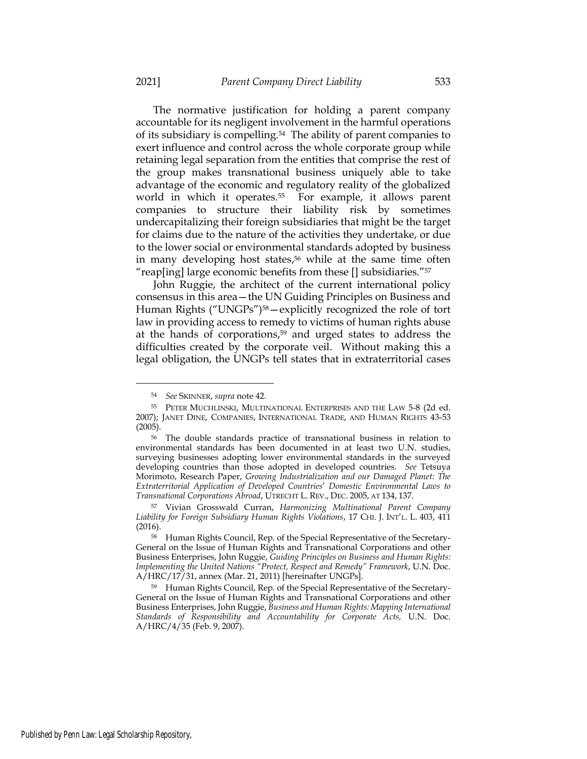The normative justification for holding a parent company accountable for its negligent involvement in the harmful operations of its subsidiary is compelling.<sup>54</sup> The ability of parent companies to exert influence and control across the whole corporate group while retaining legal separation from the entities that comprise the rest of the group makes transnational business uniquely able to take advantage of the economic and regulatory reality of the globalized world in which it operates.<sup>55</sup> For example, it allows parent companies to structure their liability risk by sometimes undercapitalizing their foreign subsidiaries that might be the target for claims due to the nature of the activities they undertake, or due to the lower social or environmental standards adopted by business in many developing host states,<sup>56</sup> while at the same time often "reap[ing] large economic benefits from these [] subsidiaries."<sup>57</sup>

John Ruggie, the architect of the current international policy consensus in this area—the UN Guiding Principles on Business and Human Rights ("UNGPs") <sup>58</sup>—explicitly recognized the role of tort law in providing access to remedy to victims of human rights abuse at the hands of corporations,<sup>59</sup> and urged states to address the difficulties created by the corporate veil. Without making this a legal obligation, the UNGPs tell states that in extraterritorial cases

<sup>54</sup> *See* SKINNER, *supra* note 42.

<sup>55</sup> PETER MUCHLINSKI, MULTINATIONAL ENTERPRISES AND THE LAW 5-8 (2d ed. 2007); JANET DINE, COMPANIES, INTERNATIONAL TRADE, AND HUMAN RIGHTS 43-53 (2005).

<sup>56</sup> The double standards practice of transnational business in relation to environmental standards has been documented in at least two U.N. studies, surveying businesses adopting lower environmental standards in the surveyed developing countries than those adopted in developed countries. *See* Tetsuya Morimoto, Research Paper, *Growing Industrialization and our Damaged Planet: The Extraterritorial Application of Developed Countries*' *Domestic Environmental Laws to Transnational Corporations Abroad*, UTRECHT L. REV., DEC. 2005, AT 134, 137.

<sup>57</sup> Vivian Grosswald Curran, *Harmonizing Multinational Parent Company Liability for Foreign Subsidiary Human Rights Violations*, 17 CHI. J. INT'L. L. 403, 411 (2016).

<sup>58</sup> Human Rights Council, Rep. of the Special Representative of the Secretary-General on the Issue of Human Rights and Transnational Corporations and other Business Enterprises, John Ruggie, *Guiding Principles on Business and Human Rights: Implementing the United Nations "Protect, Respect and Remedy" Framework*, U.N. Doc. A/HRC/17/31, annex (Mar. 21, 2011) [hereinafter UNGPs].

<sup>59</sup> Human Rights Council, Rep. of the Special Representative of the Secretary-General on the Issue of Human Rights and Transnational Corporations and other Business Enterprises, John Ruggie, *Business and Human Rights: Mapping International Standards of Responsibility and Accountability for Corporate Acts,* U.N. Doc.  $A/HRC/4/35$  (Feb. 9, 2007).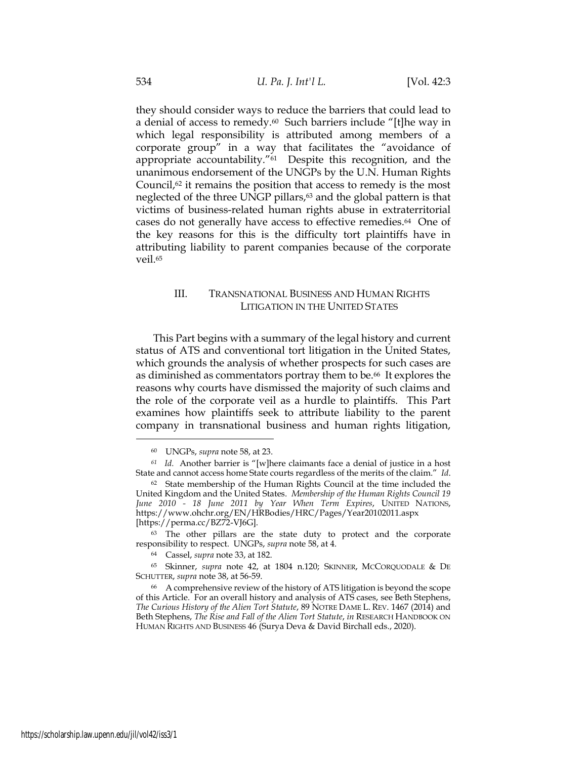they should consider ways to reduce the barriers that could lead to a denial of access to remedy.<sup>60</sup> Such barriers include "[t]he way in which legal responsibility is attributed among members of a corporate group" in a way that facilitates the "avoidance of appropriate accountability."61 Despite this recognition, and the unanimous endorsement of the UNGPs by the U.N. Human Rights Council, $62$  it remains the position that access to remedy is the most neglected of the three UNGP pillars,<sup>63</sup> and the global pattern is that victims of business-related human rights abuse in extraterritorial cases do not generally have access to effective remedies.<sup>64</sup> One of the key reasons for this is the difficulty tort plaintiffs have in attributing liability to parent companies because of the corporate veil.<sup>65</sup>

# III. TRANSNATIONAL BUSINESS AND HUMAN RIGHTS LITIGATION IN THE UNITED STATES

This Part begins with a summary of the legal history and current status of ATS and conventional tort litigation in the United States, which grounds the analysis of whether prospects for such cases are as diminished as commentators portray them to be.<sup>66</sup> It explores the reasons why courts have dismissed the majority of such claims and the role of the corporate veil as a hurdle to plaintiffs. This Part examines how plaintiffs seek to attribute liability to the parent company in transnational business and human rights litigation,

<sup>60</sup> UNGPs, *supra* note 58, at 23.

*<sup>61</sup> Id.* Another barrier is "[w]here claimants face a denial of justice in a host State and cannot access home State courts regardless of the merits of the claim." *Id*.

<sup>62</sup> State membership of the Human Rights Council at the time included the United Kingdom and the United States. *Membership of the Human Rights Council 19 June 2010 - 18 June 2011 by Year When Term Expires*, UNITED NATIONS, https://www.ohchr.org/EN/HRBodies/HRC/Pages/Year20102011.aspx [https://perma.cc/BZ72-VJ6G].

<sup>63</sup> The other pillars are the state duty to protect and the corporate responsibility to respect. UNGPs, *supra* note 58, at 4.

<sup>64</sup> Cassel, *supra* note 33, at 182.

<sup>65</sup> Skinner, *supra* note 42, at 1804 n.120; SKINNER, MCCORQUODALE & DE SCHUTTER, *supra* note 38, at 56-59.

<sup>66</sup> A comprehensive review of the history of ATS litigation is beyond the scope of this Article. For an overall history and analysis of ATS cases, see Beth Stephens, *The Curious History of the Alien Tort Statute*, 89 NOTRE DAME L. REV. 1467 (2014) and Beth Stephens, *The Rise and Fall of the Alien Tort Statute*, *in* RESEARCH HANDBOOK ON HUMAN RIGHTS AND BUSINESS 46 (Surya Deva & David Birchall eds., 2020).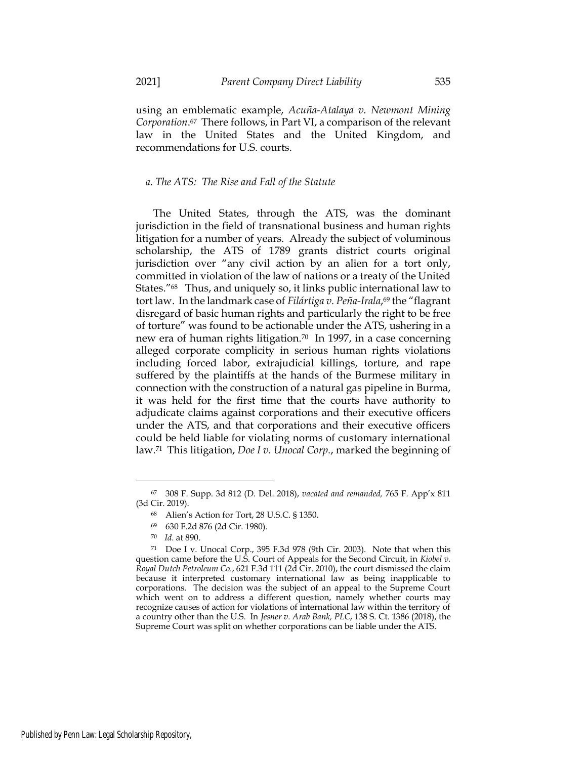using an emblematic example, *Acuña-Atalaya v. Newmont Mining Corporation*. <sup>67</sup> There follows, in Part VI, a comparison of the relevant law in the United States and the United Kingdom, and recommendations for U.S. courts.

# *a. The ATS: The Rise and Fall of the Statute*

The United States, through the ATS, was the dominant jurisdiction in the field of transnational business and human rights litigation for a number of years. Already the subject of voluminous scholarship, the ATS of 1789 grants district courts original jurisdiction over "any civil action by an alien for a tort only, committed in violation of the law of nations or a treaty of the United States."68 Thus, and uniquely so, it links public international law to tort law. In the landmark case of *Filártiga v. Peña-Irala*, <sup>69</sup> the "flagrant disregard of basic human rights and particularly the right to be free of torture" was found to be actionable under the ATS, ushering in a new era of human rights litigation.<sup>70</sup> In 1997, in a case concerning alleged corporate complicity in serious human rights violations including forced labor, extrajudicial killings, torture, and rape suffered by the plaintiffs at the hands of the Burmese military in connection with the construction of a natural gas pipeline in Burma, it was held for the first time that the courts have authority to adjudicate claims against corporations and their executive officers under the ATS, and that corporations and their executive officers could be held liable for violating norms of customary international law.71 This litigation, *Doe I v. Unocal Corp.*, marked the beginning of

<sup>67</sup> 308 F. Supp. 3d 812 (D. Del. 2018), *vacated and remanded,* 765 F. App'x 811 (3d Cir. 2019).

<sup>68</sup> Alien's Action for Tort, 28 U.S.C. § 1350.

<sup>69</sup> 630 F.2d 876 (2d Cir. 1980).

<sup>70</sup> *Id.* at 890.

<sup>71</sup> Doe I v. Unocal Corp., 395 F.3d 978 (9th Cir. 2003). Note that when this question came before the U.S. Court of Appeals for the Second Circuit, in *Kiobel v. Royal Dutch Petroleum Co.*, 621 F.3d 111 (2d Cir. 2010), the court dismissed the claim because it interpreted customary international law as being inapplicable to corporations. The decision was the subject of an appeal to the Supreme Court which went on to address a different question, namely whether courts may recognize causes of action for violations of international law within the territory of a country other than the U.S. In *Jesner v. Arab Bank, PLC*, 138 S. Ct. 1386 (2018), the Supreme Court was split on whether corporations can be liable under the ATS.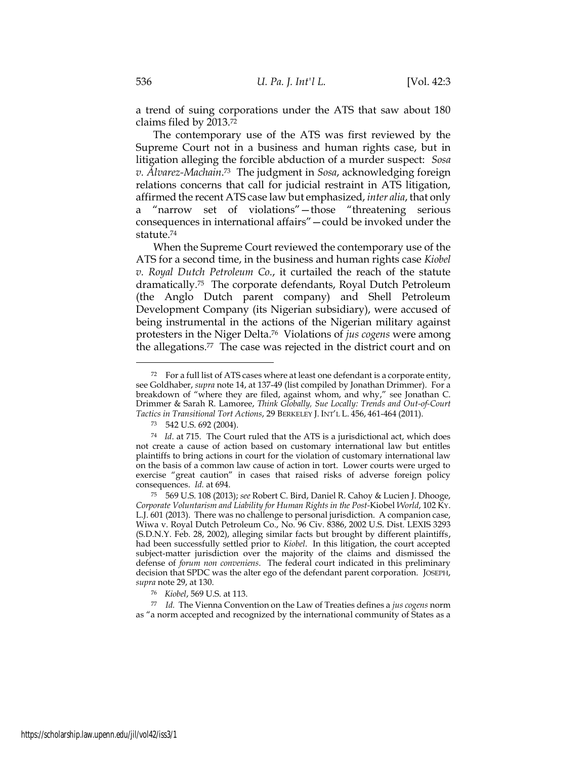a trend of suing corporations under the ATS that saw about 180 claims filed by 2013.<sup>72</sup>

The contemporary use of the ATS was first reviewed by the Supreme Court not in a business and human rights case, but in litigation alleging the forcible abduction of a murder suspect: *Sosa v. Álvarez-Machain*. <sup>73</sup> The judgment in *Sosa*, acknowledging foreign relations concerns that call for judicial restraint in ATS litigation, affirmed the recent ATS case law but emphasized, *inter alia*, that only a "narrow set of violations"—those "threatening serious consequences in international affairs"—could be invoked under the statute.<sup>74</sup>

When the Supreme Court reviewed the contemporary use of the ATS for a second time, in the business and human rights case *Kiobel v. Royal Dutch Petroleum Co.*, it curtailed the reach of the statute dramatically.<sup>75</sup> The corporate defendants, Royal Dutch Petroleum (the Anglo Dutch parent company) and Shell Petroleum Development Company (its Nigerian subsidiary), were accused of being instrumental in the actions of the Nigerian military against protesters in the Niger Delta.<sup>76</sup> Violations of *jus cogens* were among the allegations.<sup>77</sup> The case was rejected in the district court and on

<sup>77</sup> *Id.* The Vienna Convention on the Law of Treaties defines a *jus cogens* norm as "a norm accepted and recognized by the international community of States as a

<sup>72</sup> For a full list of ATS cases where at least one defendant is a corporate entity, see Goldhaber, *supra* note [14,](#page-6-1) at 137-49 (list compiled by Jonathan Drimmer). For a breakdown of "where they are filed, against whom, and why," see Jonathan C. Drimmer & Sarah R. Lamoree, *Think Globally, Sue Locally: Trends and Out-of-Court Tactics in Transitional Tort Actions*, 29 BERKELEY J. INT'L L. 456, 461-464 (2011).

<sup>73</sup> 542 U.S. 692 (2004).

<sup>74</sup> *Id*. at 715. The Court ruled that the ATS is a jurisdictional act, which does not create a cause of action based on customary international law but entitles plaintiffs to bring actions in court for the violation of customary international law on the basis of a common law cause of action in tort. Lower courts were urged to exercise "great caution" in cases that raised risks of adverse foreign policy consequences. *Id.* at 694.

<sup>75</sup> 569 U.S. 108 (2013); *see* Robert C. Bird, Daniel R. Cahoy & Lucien J. Dhooge, *Corporate Voluntarism and Liability for Human Rights in the Post-*Kiobel *World*, 102 KY. L.J. 601 (2013). There was no challenge to personal jurisdiction. A companion case, Wiwa v. Royal Dutch Petroleum Co., No. 96 Civ. 8386, 2002 U.S. Dist. LEXIS 3293 (S.D.N.Y. Feb. 28, 2002), alleging similar facts but brought by different plaintiffs, had been successfully settled prior to *Kiobel*. In this litigation, the court accepted subject-matter jurisdiction over the majority of the claims and dismissed the defense of *forum non conveniens*. The federal court indicated in this preliminary decision that SPDC was the alter ego of the defendant parent corporation. JOSEPH, *supra* note 29, at 130.

<sup>76</sup> *Kiobel*, 569 U.S. at 113.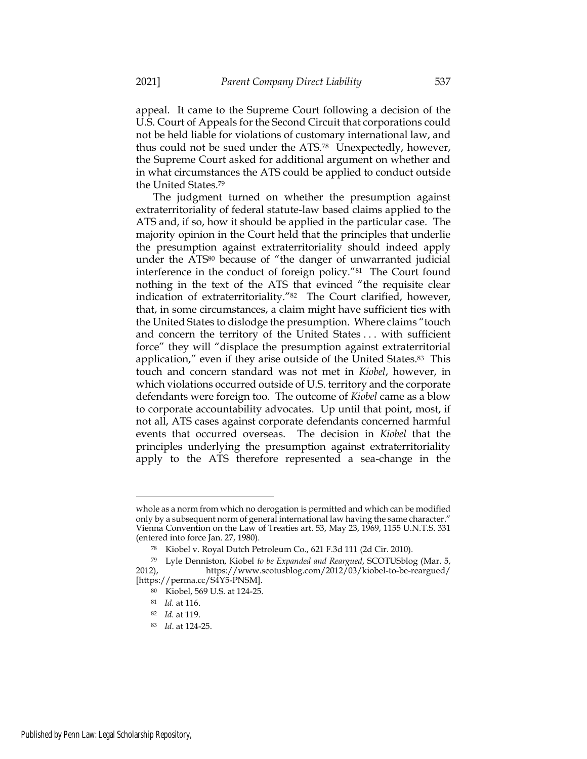appeal. It came to the Supreme Court following a decision of the U.S. Court of Appeals for the Second Circuit that corporations could not be held liable for violations of customary international law, and thus could not be sued under the ATS.<sup>78</sup> Unexpectedly, however, the Supreme Court asked for additional argument on whether and in what circumstances the ATS could be applied to conduct outside the United States.<sup>79</sup>

The judgment turned on whether the presumption against extraterritoriality of federal statute-law based claims applied to the ATS and, if so, how it should be applied in the particular case. The majority opinion in the Court held that the principles that underlie the presumption against extraterritoriality should indeed apply under the ATS<sup>80</sup> because of "the danger of unwarranted judicial interference in the conduct of foreign policy."<sup>81</sup> The Court found nothing in the text of the ATS that evinced "the requisite clear indication of extraterritoriality."<sup>82</sup> The Court clarified, however, that, in some circumstances, a claim might have sufficient ties with the United States to dislodge the presumption. Where claims "touch and concern the territory of the United States . . . with sufficient force" they will "displace the presumption against extraterritorial application," even if they arise outside of the United States.<sup>83</sup> This touch and concern standard was not met in *Kiobel*, however, in which violations occurred outside of U.S. territory and the corporate defendants were foreign too. The outcome of *Kiobel* came as a blow to corporate accountability advocates. Up until that point, most, if not all, ATS cases against corporate defendants concerned harmful events that occurred overseas. The decision in *Kiobel* that the principles underlying the presumption against extraterritoriality apply to the ATS therefore represented a sea-change in the

whole as a norm from which no derogation is permitted and which can be modified only by a subsequent norm of general international law having the same character." Vienna Convention on the Law of Treaties art. 53, May 23, 1969, 1155 U.N.T.S. 331 (entered into force Jan. 27, 1980).

<sup>78</sup> Kiobel v. Royal Dutch Petroleum Co., 621 F.3d 111 (2d Cir. 2010).

<sup>79</sup> Lyle Denniston, Kiobel *to be Expanded and Reargued*, SCOTUSblog (Mar. 5, 2012), https://www.scotusblog.com/2012/03/kiobel-to-be-reargued/ [https://perma.cc/S4Y5-PNSM].

<sup>80</sup> Kiobel, 569 U.S. at 124-25.

<sup>81</sup> *Id.* at 116.

<sup>82</sup> *Id.* at 119.

<sup>83</sup> *Id*. at 124-25.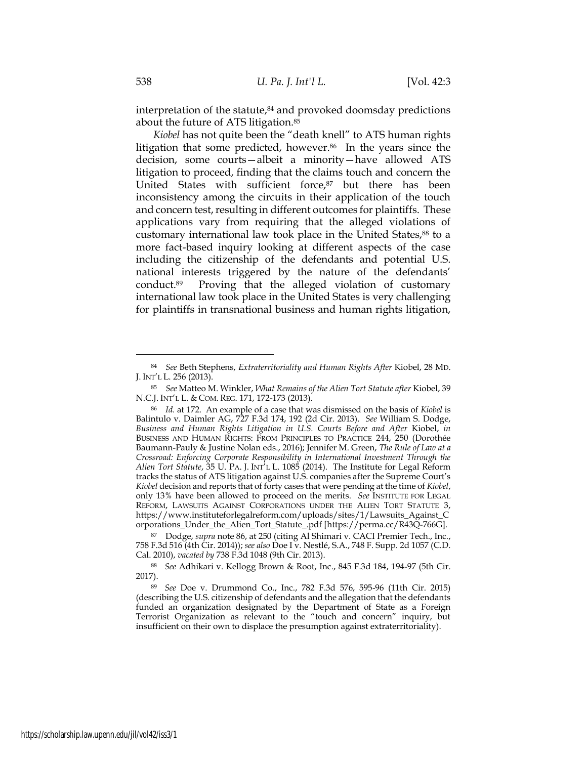interpretation of the statute, $84$  and provoked doomsday predictions about the future of ATS litigation.<sup>85</sup>

*Kiobel* has not quite been the "death knell" to ATS human rights litigation that some predicted, however.<sup>86</sup> In the years since the decision, some courts—albeit a minority—have allowed ATS litigation to proceed, finding that the claims touch and concern the United States with sufficient force,<sup>87</sup> but there has been inconsistency among the circuits in their application of the touch and concern test, resulting in different outcomes for plaintiffs. These applications vary from requiring that the alleged violations of customary international law took place in the United States,<sup>88</sup> to a more fact-based inquiry looking at different aspects of the case including the citizenship of the defendants and potential U.S. national interests triggered by the nature of the defendants' conduct.89 Proving that the alleged violation of customary international law took place in the United States is very challenging for plaintiffs in transnational business and human rights litigation,

<sup>84</sup> *See* Beth Stephens, *Extraterritoriality and Human Rights After* Kiobel, 28 MD. J. INT'L L. 256 (2013).

<sup>85</sup> *See* Matteo M. Winkler, *What Remains of the Alien Tort Statute after* Kiobel, 39 N.C.J. INT'L L. & COM. REG. 171, 172-173 (2013).

<sup>86</sup> *Id.* at 172. An example of a case that was dismissed on the basis of *Kiobel* is Balintulo v. Daimler AG, 727 F.3d 174, 192 (2d Cir. 2013). *See* William S. Dodge, *Business and Human Rights Litigation in U.S. Courts Before and After* Kiobel, *in* BUSINESS AND HUMAN RIGHTS: FROM PRINCIPLES TO PRACTICE 244, 250 (Dorothée Baumann-Pauly & Justine Nolan eds., 2016); Jennifer M. Green, *The Rule of Law at a Crossroad: Enforcing Corporate Responsibility in International Investment Through the Alien Tort Statute*, 35 U. PA. J. INT'L L. 1085 (2014). The Institute for Legal Reform tracks the status of ATS litigation against U.S. companies after the Supreme Court's *Kiobel* decision and reports that of forty cases that were pending at the time of *Kiobel*, only 13% have been allowed to proceed on the merits. *See* INSTITUTE FOR LEGAL REFORM, LAWSUITS AGAINST CORPORATIONS UNDER THE ALIEN TORT STATUTE 3, https://www.instituteforlegalreform.com/uploads/sites/1/Lawsuits\_Against\_C orporations\_Under\_the\_Alien\_Tort\_Statute\_.pdf [https://perma.cc/R43Q-766G].

<sup>87</sup> Dodge, *supra* note 86, at 250 (citing Al Shimari v. CACI Premier Tech., Inc., 758 F.3d 516 (4th Cir. 2014)); *see also* Doe I v. Nestlé, S.A., 748 F. Supp. 2d 1057 (C.D. Cal. 2010), *vacated by* 738 F.3d 1048 (9th Cir. 2013).

<sup>88</sup> *See* Adhikari v. Kellogg Brown & Root, Inc., 845 F.3d 184, 194-97 (5th Cir. 2017).

<sup>89</sup> *See* Doe v. Drummond Co*.*, Inc., 782 F.3d 576, 595-96 (11th Cir. 2015) (describing the U.S. citizenship of defendants and the allegation that the defendants funded an organization designated by the Department of State as a Foreign Terrorist Organization as relevant to the "touch and concern" inquiry, but insufficient on their own to displace the presumption against extraterritoriality).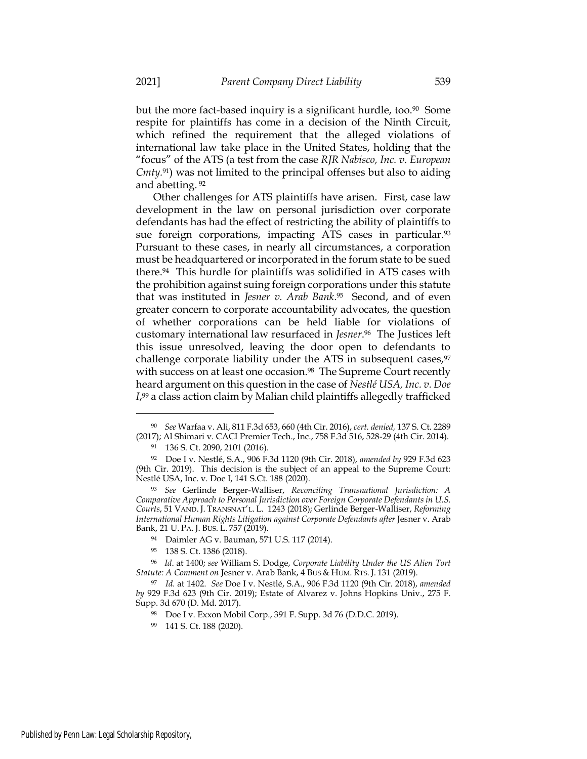but the more fact-based inquiry is a significant hurdle, too.<sup>90</sup> Some respite for plaintiffs has come in a decision of the Ninth Circuit, which refined the requirement that the alleged violations of international law take place in the United States, holding that the "focus" of the ATS (a test from the case *RJR Nabisco, Inc. v. European Cmty.* <sup>91</sup>) was not limited to the principal offenses but also to aiding and abetting. <sup>92</sup>

Other challenges for ATS plaintiffs have arisen. First, case law development in the law on personal jurisdiction over corporate defendants has had the effect of restricting the ability of plaintiffs to sue foreign corporations, impacting ATS cases in particular.<sup>93</sup> Pursuant to these cases, in nearly all circumstances, a corporation must be headquartered or incorporated in the forum state to be sued there.<sup>94</sup> This hurdle for plaintiffs was solidified in ATS cases with the prohibition against suing foreign corporations under this statute that was instituted in *Jesner v. Arab Bank*. <sup>95</sup> Second, and of even greater concern to corporate accountability advocates, the question of whether corporations can be held liable for violations of customary international law resurfaced in *Jesner*. <sup>96</sup> The Justices left this issue unresolved, leaving the door open to defendants to challenge corporate liability under the ATS in subsequent cases,<sup>97</sup> with success on at least one occasion.<sup>98</sup> The Supreme Court recently heard argument on this question in the case of *Nestlé USA, Inc. v. Doe I*, <sup>99</sup> a class action claim by Malian child plaintiffs allegedly trafficked

- <sup>94</sup> Daimler AG v. Bauman, 571 U.S. 117 (2014).
- <sup>95</sup> 138 S. Ct. 1386 (2018).

<sup>90</sup> *See* Warfaa v. Ali, 811 F.3d 653, 660 (4th Cir. 2016), *cert. denied,* 137 S. Ct. 2289 (2017); Al Shimari v. CACI Premier Tech., Inc., 758 F.3d 516, 528-29 (4th Cir. 2014).

<sup>91</sup> 136 S. Ct. 2090, 2101 (2016).

<sup>92</sup> Doe I v. Nestlé, S.A., 906 F.3d 1120 (9th Cir. 2018), *amended by* 929 F.3d 623 (9th Cir. 2019). This decision is the subject of an appeal to the Supreme Court: Nestlé USA, Inc. v. Doe I, 141 S.Ct. 188 (2020).

<sup>93</sup> *See* Gerlinde Berger-Walliser, *Reconciling Transnational Jurisdiction: A Comparative Approach to Personal Jurisdiction over Foreign Corporate Defendants in U.S. Courts*, 51 VAND. J. TRANSNAT'L. L. 1243 (2018); Gerlinde Berger-Walliser, *Reforming International Human Rights Litigation against Corporate Defendants after Jesner v. Arab* Bank, 21 U. PA. J. BUS. L. 757 (2019).

<sup>96</sup> *Id*. at 1400; *see* William S. Dodge, *Corporate Liability Under the US Alien Tort Statute: A Comment on* Jesner v. Arab Bank, 4 BUS & HUM. RTS. J. 131 (2019).

<sup>97</sup> *Id.* at 1402. *See* Doe I v. Nestlé, S.A., 906 F.3d 1120 (9th Cir. 2018), *amended by* 929 F.3d 623 (9th Cir. 2019); Estate of Alvarez v. Johns Hopkins Univ*.*, 275 F. Supp. 3d 670 (D. Md. 2017).

<sup>98</sup> Doe I v. Exxon Mobil Corp., 391 F. Supp. 3d 76 (D.D.C. 2019).

<sup>99</sup> 141 S. Ct. 188 (2020).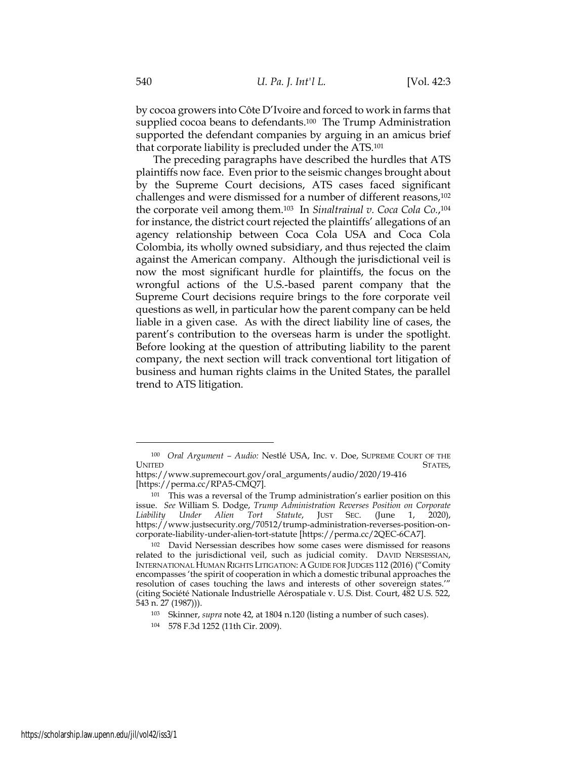by cocoa growers into Côte D'Ivoire and forced to work in farms that supplied cocoa beans to defendants.<sup>100</sup> The Trump Administration supported the defendant companies by arguing in an amicus brief that corporate liability is precluded under the ATS.<sup>101</sup>

The preceding paragraphs have described the hurdles that ATS plaintiffs now face. Even prior to the seismic changes brought about by the Supreme Court decisions, ATS cases faced significant challenges and were dismissed for a number of different reasons,<sup>102</sup> the corporate veil among them.<sup>103</sup> In *Sinaltrainal v. Coca Cola Co.*, 104 for instance, the district court rejected the plaintiffs' allegations of an agency relationship between Coca Cola USA and Coca Cola Colombia, its wholly owned subsidiary, and thus rejected the claim against the American company. Although the jurisdictional veil is now the most significant hurdle for plaintiffs, the focus on the wrongful actions of the U.S.-based parent company that the Supreme Court decisions require brings to the fore corporate veil questions as well, in particular how the parent company can be held liable in a given case. As with the direct liability line of cases, the parent's contribution to the overseas harm is under the spotlight. Before looking at the question of attributing liability to the parent company, the next section will track conventional tort litigation of business and human rights claims in the United States, the parallel trend to ATS litigation.

<sup>100</sup> *Oral Argument – Audio:* Nestlé USA, Inc. v. Doe, SUPREME COURT OF THE UNITED STATES,

https://www.supremecourt.gov/oral\_arguments/audio/2020/19-416 [https://perma.cc/RPA5-CMQ7].

<sup>101</sup> This was a reversal of the Trump administration's earlier position on this issue. *See* William S. Dodge, *Trump Administration Reverses Position on Corporate Liability Under Alien Tort Statute*, JUST SEC. (June 1, 2020), https://www.justsecurity.org/70512/trump-administration-reverses-position-oncorporate-liability-under-alien-tort-statute [https://perma.cc/2QEC-6CA7].

<sup>102</sup> David Nersessian describes how some cases were dismissed for reasons related to the jurisdictional veil, such as judicial comity. DAVID NERSESSIAN, INTERNATIONAL HUMAN RIGHTS LITIGATION: A GUIDE FOR JUDGES 112 (2016) ("Comity encompasses 'the spirit of cooperation in which a domestic tribunal approaches the resolution of cases touching the laws and interests of other sovereign states.'" (citing Société Nationale Industrielle Aérospatiale v. U.S. Dist. Court, 482 U.S. 522, 543 n. 27 (1987))).

<sup>103</sup> Skinner, *supra* note 42, at 1804 n.120 (listing a number of such cases).

<sup>104</sup> 578 F.3d 1252 (11th Cir. 2009).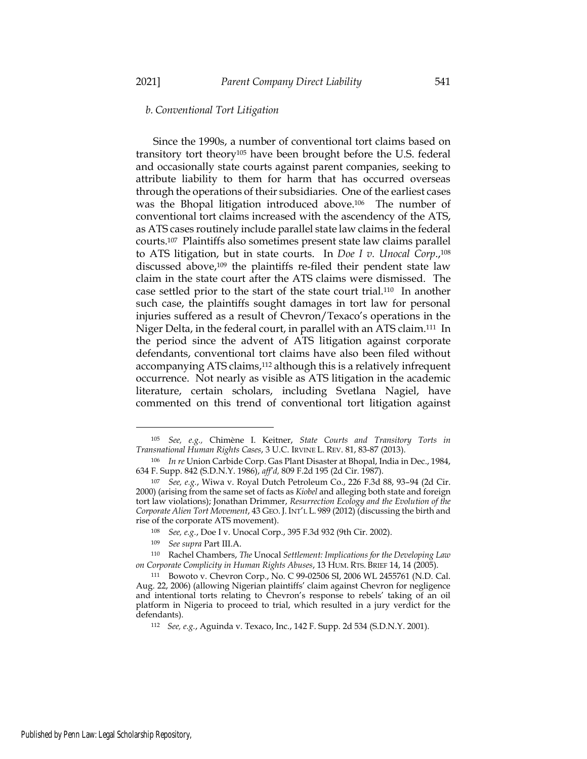# *b. Conventional Tort Litigation*

Since the 1990s, a number of conventional tort claims based on transitory tort theory<sup>105</sup> have been brought before the U.S. federal and occasionally state courts against parent companies, seeking to attribute liability to them for harm that has occurred overseas through the operations of their subsidiaries. One of the earliest cases was the Bhopal litigation introduced above.<sup>106</sup> The number of conventional tort claims increased with the ascendency of the ATS, as ATS cases routinely include parallel state law claims in the federal courts.<sup>107</sup> Plaintiffs also sometimes present state law claims parallel to ATS litigation, but in state courts. In *Doe I v. Unocal Corp*., 108 discussed above,<sup>109</sup> the plaintiffs re-filed their pendent state law claim in the state court after the ATS claims were dismissed. The case settled prior to the start of the state court trial.<sup>110</sup> In another such case, the plaintiffs sought damages in tort law for personal injuries suffered as a result of Chevron/Texaco's operations in the Niger Delta, in the federal court, in parallel with an ATS claim.<sup>111</sup> In the period since the advent of ATS litigation against corporate defendants, conventional tort claims have also been filed without accompanying ATS claims,<sup>112</sup> although this is a relatively infrequent occurrence. Not nearly as visible as ATS litigation in the academic literature, certain scholars, including Svetlana Nagiel, have commented on this trend of conventional tort litigation against

<sup>105</sup> *See, e.g.,* Chimène I. Keitner, *State Courts and Transitory Torts in Transnational Human Rights Cases*, 3 U.C. IRVINE L. REV. 81, 83-87 (2013).

<sup>106</sup> *In re* Union Carbide Corp. Gas Plant Disaster at Bhopal, India in Dec., 1984, 634 F. Supp. 842 (S.D.N.Y. 1986), *aff'd,* 809 F.2d 195 (2d Cir. 1987).

<sup>107</sup> *See, e.g.*, Wiwa v. Royal Dutch Petroleum Co., 226 F.3d 88, 93–94 (2d Cir. 2000) (arising from the same set of facts as *Kiobel* and alleging both state and foreign tort law violations); Jonathan Drimmer, *Resurrection Ecology and the Evolution of the Corporate Alien Tort Movement*, 43 GEO. J. INT'L L. 989 (2012) (discussing the birth and rise of the corporate ATS movement).

<sup>108</sup> *See, e.g.*, Doe I v. Unocal Corp., 395 F.3d 932 (9th Cir. 2002).

<sup>109</sup> *See supra* Part III.A.

<sup>110</sup> Rachel Chambers, *The* Unocal *Settlement: Implications for the Developing Law on Corporate Complicity in Human Rights Abuses*, 13 HUM. RTS. BRIEF 14, 14 (2005).

<sup>111</sup> Bowoto v. Chevron Corp*.*, No. C 99-02506 SI, 2006 WL 2455761 (N.D. Cal. Aug. 22, 2006) (allowing Nigerian plaintiffs' claim against Chevron for negligence and intentional torts relating to Chevron's response to rebels' taking of an oil platform in Nigeria to proceed to trial, which resulted in a jury verdict for the defendants).

<sup>112</sup> *See, e.g.*, Aguinda v. Texaco, Inc., 142 F. Supp. 2d 534 (S.D.N.Y. 2001).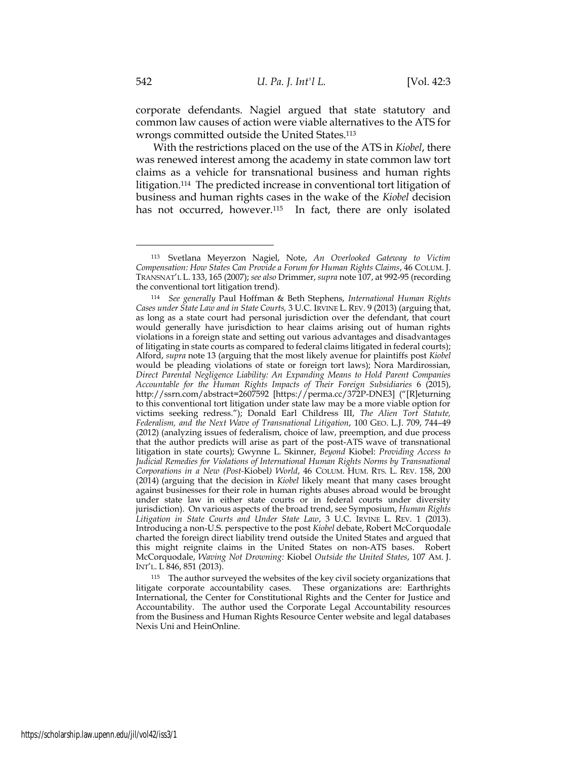corporate defendants. Nagiel argued that state statutory and common law causes of action were viable alternatives to the ATS for wrongs committed outside the United States.<sup>113</sup>

<span id="page-23-0"></span>With the restrictions placed on the use of the ATS in *Kiobel*, there was renewed interest among the academy in state common law tort claims as a vehicle for transnational business and human rights litigation.<sup>114</sup> The predicted increase in conventional tort litigation of business and human rights cases in the wake of the *Kiobel* decision has not occurred, however.<sup>115</sup> In fact, there are only isolated

<sup>115</sup> The author surveyed the websites of the key civil society organizations that litigate corporate accountability cases. These organizations are: Earthrights International, the Center for Constitutional Rights and the Center for Justice and Accountability. The author used the Corporate Legal Accountability resources from the Business and Human Rights Resource Center website and legal databases Nexis Uni and HeinOnline.

<sup>113</sup> Svetlana Meyerzon Nagiel, Note, *An Overlooked Gateway to Victim Compensation: How States Can Provide a Forum for Human Rights Claims*, 46 COLUM. J. TRANSNAT'L L. 133, 165 (2007); *see also* Drimmer, *supra* note 107, at 992-95 (recording the conventional tort litigation trend).

<sup>114</sup> *See generally* Paul Hoffman & Beth Stephens, *International Human Rights Cases under State Law and in State Courts,* 3 U.C. IRVINE L. REV. 9 (2013) (arguing that, as long as a state court had personal jurisdiction over the defendant, that court would generally have jurisdiction to hear claims arising out of human rights violations in a foreign state and setting out various advantages and disadvantages of litigating in state courts as compared to federal claims litigated in federal courts); Alford, *supra* note [13](#page-5-0) (arguing that the most likely avenue for plaintiffs post *Kiobel* would be pleading violations of state or foreign tort laws); Nora Mardirossian, *Direct Parental Negligence Liability: An Expanding Means to Hold Parent Companies Accountable for the Human Rights Impacts of Their Foreign Subsidiaries* 6 (2015), http://ssrn.com/abstract=2607592 [https://perma.cc/372P-DNE3] ("[R]eturning to this conventional tort litigation under state law may be a more viable option for victims seeking redress."); Donald Earl Childress III, *The Alien Tort Statute, Federalism, and the Next Wave of Transnational Litigation*, 100 GEO. L.J. 709, 744–49 (2012) (analyzing issues of federalism, choice of law, preemption, and due process that the author predicts will arise as part of the post-ATS wave of transnational litigation in state courts); Gwynne L. Skinner, *Beyond* Kiobel: *Providing Access to Judicial Remedies for Violations of International Human Rights Norms by Transnational Corporations in a New (Post-*Kiobel*) World*, 46 COLUM. HUM. RTS. L. REV. 158, 200 (2014) (arguing that the decision in *Kiobel* likely meant that many cases brought against businesses for their role in human rights abuses abroad would be brought under state law in either state courts or in federal courts under diversity jurisdiction). On various aspects of the broad trend, see Symposium, *Human Rights Litigation in State Courts and Under State Law*, 3 U.C. IRVINE L. REV. 1 (2013). Introducing a non-U.S. perspective to the post *Kiobel* debate, Robert McCorquodale charted the foreign direct liability trend outside the United States and argued that this might reignite claims in the United States on non-ATS bases. Robert McCorquodale, *Waving Not Drowning:* Kiobel *Outside the United States*, 107 AM. J. INT'L. L 846, 851 (2013).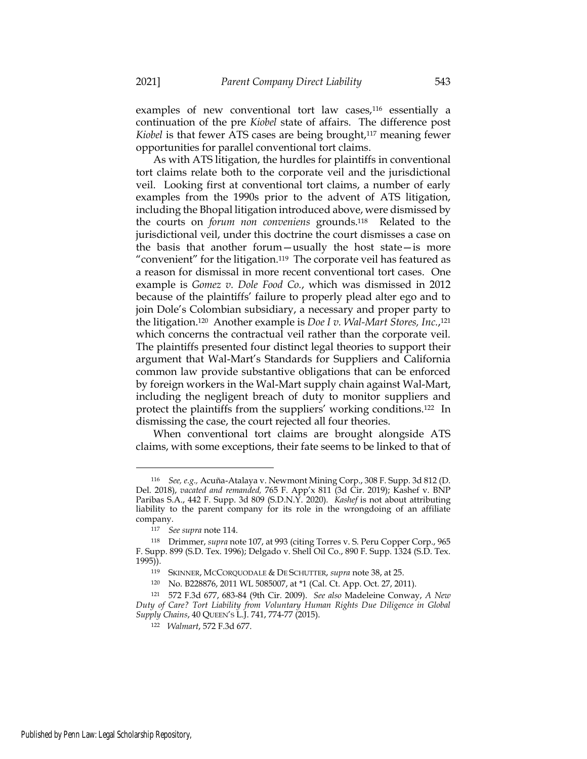examples of new conventional tort law cases,<sup>116</sup> essentially a

continuation of the pre *Kiobel* state of affairs. The difference post *Kiobel* is that fewer ATS cases are being brought,<sup>117</sup> meaning fewer opportunities for parallel conventional tort claims.

As with ATS litigation, the hurdles for plaintiffs in conventional tort claims relate both to the corporate veil and the jurisdictional veil. Looking first at conventional tort claims, a number of early examples from the 1990s prior to the advent of ATS litigation, including the Bhopal litigation introduced above, were dismissed by the courts on *forum non conveniens* grounds.<sup>118</sup> Related to the jurisdictional veil, under this doctrine the court dismisses a case on the basis that another forum—usually the host state—is more "convenient" for the litigation.<sup>119</sup> The corporate veil has featured as a reason for dismissal in more recent conventional tort cases. One example is *Gomez v. Dole Food Co.*, which was dismissed in 2012 because of the plaintiffs' failure to properly plead alter ego and to join Dole's Colombian subsidiary, a necessary and proper party to the litigation.<sup>120</sup> Another example is *Doe I v. Wal-Mart Stores, Inc.*, 121 which concerns the contractual veil rather than the corporate veil. The plaintiffs presented four distinct legal theories to support their argument that Wal-Mart's Standards for Suppliers and California common law provide substantive obligations that can be enforced by foreign workers in the Wal-Mart supply chain against Wal-Mart, including the negligent breach of duty to monitor suppliers and protect the plaintiffs from the suppliers' working conditions.<sup>122</sup> In dismissing the case, the court rejected all four theories.

When conventional tort claims are brought alongside ATS claims, with some exceptions, their fate seems to be linked to that of

<sup>116</sup> *See, e.g.,* Acuña-Atalaya v. Newmont Mining Corp., 308 F. Supp. 3d 812 (D. Del. 2018), *vacated and remanded,* 765 F. App'x 811 (3d Cir. 2019); Kashef v. BNP Paribas S.A., 442 F. Supp. 3d 809 (S.D.N.Y. 2020)*. Kashef* is not about attributing liability to the parent company for its role in the wrongdoing of an affiliate company.

<sup>117</sup> *See supra* note 114.

<sup>118</sup> Drimmer, *supra* note 107, at 993 (citing Torres v. S. Peru Copper Corp., 965 F. Supp. 899 (S.D. Tex. 1996); Delgado v. Shell Oil Co., 890 F. Supp. 1324 (S.D. Tex. 1995)).

<sup>119</sup> SKINNER, MCCORQUODALE & DE SCHUTTER, *supra* note 38, at 25.

<sup>120</sup> No. B228876, 2011 WL 5085007, at \*1 (Cal. Ct. App. Oct. 27, 2011).

<sup>121</sup> 572 F.3d 677, 683-84 (9th Cir. 2009). *See also* Madeleine Conway, *A New Duty of Care? Tort Liability from Voluntary Human Rights Due Diligence in Global Supply Chains*, 40 QUEEN'S L.J. 741, 774-77 (2015).

<sup>122</sup> *Walmart*, 572 F.3d 677.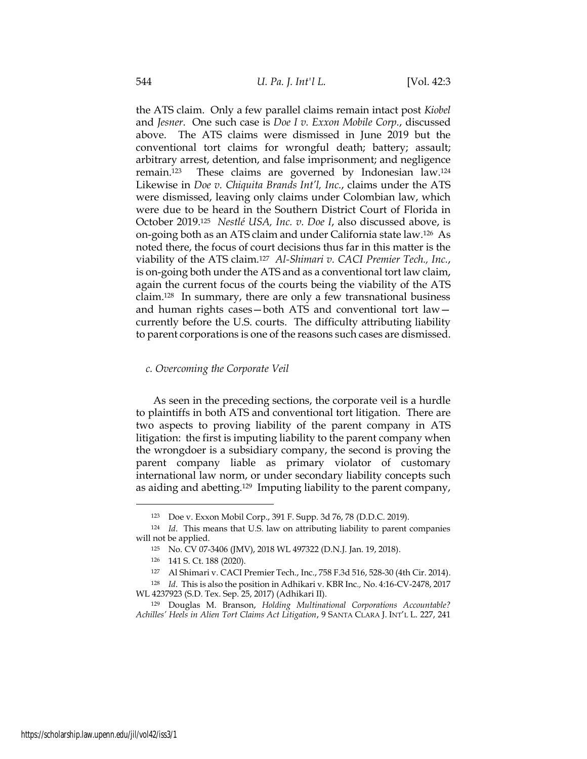the ATS claim. Only a few parallel claims remain intact post *Kiobel* and *Jesner*. One such case is *Doe I v. Exxon Mobile Corp.*, discussed above. The ATS claims were dismissed in June 2019 but the conventional tort claims for wrongful death; battery; assault; arbitrary arrest, detention, and false imprisonment; and negligence remain.<sup>123</sup> These claims are governed by Indonesian law.<sup>124</sup> Likewise in *Doe v. Chiquita Brands Int'l, Inc.*, claims under the ATS were dismissed, leaving only claims under Colombian law, which were due to be heard in the Southern District Court of Florida in October 2019.<sup>125</sup> *Nestlé USA, Inc. v. Doe I*, also discussed above, is on-going both as an ATS claim and under California state law.<sup>126</sup> As noted there, the focus of court decisions thus far in this matter is the viability of the ATS claim.<sup>127</sup> *Al-Shimari v. CACI Premier Tech., Inc.*, is on-going both under the ATS and as a conventional tort law claim, again the current focus of the courts being the viability of the ATS claim.<sup>128</sup> In summary, there are only a few transnational business and human rights cases—both ATS and conventional tort law currently before the U.S. courts. The difficulty attributing liability to parent corporations is one of the reasons such cases are dismissed.

#### *c. Overcoming the Corporate Veil*

As seen in the preceding sections, the corporate veil is a hurdle to plaintiffs in both ATS and conventional tort litigation. There are two aspects to proving liability of the parent company in ATS litigation: the first is imputing liability to the parent company when the wrongdoer is a subsidiary company, the second is proving the parent company liable as primary violator of customary international law norm, or under secondary liability concepts such as aiding and abetting.<sup>129</sup> Imputing liability to the parent company,

<sup>123</sup> Doe v. Exxon Mobil Corp., 391 F. Supp. 3d 76, 78 (D.D.C. 2019).

<sup>124</sup> *Id*. This means that U.S. law on attributing liability to parent companies will not be applied.

<sup>125</sup> No. CV 07-3406 (JMV), 2018 WL 497322 (D.N.J. Jan. 19, 2018).

<sup>126</sup> 141 S. Ct. 188 (2020).

<sup>127</sup> Al Shimari v. CACI Premier Tech., Inc., 758 F.3d 516, 528-30 (4th Cir. 2014).

<sup>128</sup> *Id*. This is also the position in Adhikari v. KBR Inc*.,* No. 4:16-CV-2478, 2017 WL 4237923 (S.D. Tex. Sep. 25, 2017) (Adhikari II).

<sup>129</sup> Douglas M. Branson, *Holding Multinational Corporations Accountable? Achilles' Heels in Alien Tort Claims Act Litigation*, 9 SANTA CLARA J. INT'L L. 227, 241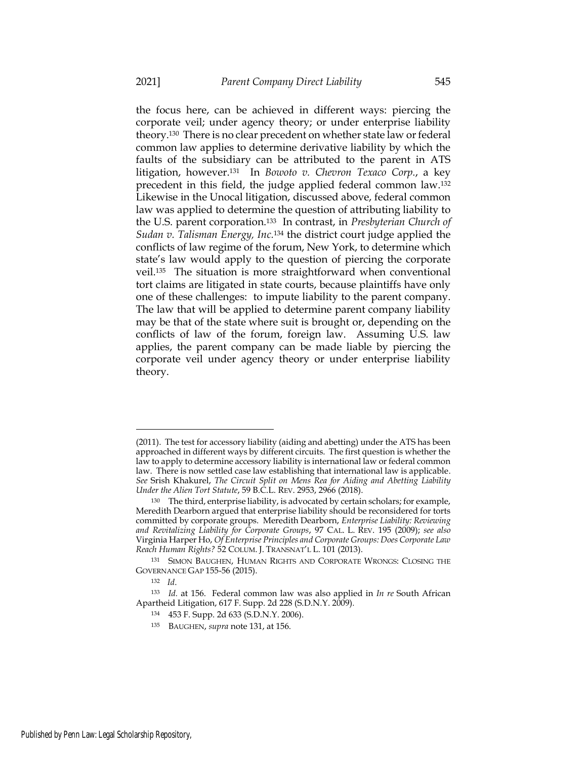the focus here, can be achieved in different ways: piercing the corporate veil; under agency theory; or under enterprise liability theory.<sup>130</sup> There is no clear precedent on whether state law or federal common law applies to determine derivative liability by which the faults of the subsidiary can be attributed to the parent in ATS litigation, however.<sup>131</sup> In *Bowoto v. Chevron Texaco Corp.*, a key precedent in this field, the judge applied federal common law.<sup>132</sup> Likewise in the Unocal litigation, discussed above, federal common law was applied to determine the question of attributing liability to the U.S. parent corporation.<sup>133</sup> In contrast, in *Presbyterian Church of Sudan v. Talisman Energy, Inc.*<sup>134</sup> the district court judge applied the conflicts of law regime of the forum, New York, to determine which state's law would apply to the question of piercing the corporate veil.<sup>135</sup> The situation is more straightforward when conventional tort claims are litigated in state courts, because plaintiffs have only one of these challenges: to impute liability to the parent company. The law that will be applied to determine parent company liability may be that of the state where suit is brought or, depending on the conflicts of law of the forum, foreign law. Assuming U.S. law applies, the parent company can be made liable by piercing the corporate veil under agency theory or under enterprise liability theory.

<sup>(2011).</sup> The test for accessory liability (aiding and abetting) under the ATS has been approached in different ways by different circuits. The first question is whether the law to apply to determine accessory liability is international law or federal common law. There is now settled case law establishing that international law is applicable. *See* Srish Khakurel, *The Circuit Split on Mens Rea for Aiding and Abetting Liability Under the Alien Tort Statute*, 59 B.C.L. REV. 2953, 2966 (2018).

<sup>130</sup> The third, enterprise liability, is advocated by certain scholars; for example, Meredith Dearborn argued that enterprise liability should be reconsidered for torts committed by corporate groups. Meredith Dearborn, *Enterprise Liability: Reviewing and Revitalizing Liability for Corporate Groups*, 97 CAL. L. REV. 195 (2009); *see also* Virginia Harper Ho, *Of Enterprise Principles and Corporate Groups: Does Corporate Law Reach Human Rights?* 52 COLUM. J. TRANSNAT'L L. 101 (2013).

<sup>131</sup> SIMON BAUGHEN, HUMAN RIGHTS AND CORPORATE WRONGS: CLOSING THE GOVERNANCE GAP 155-56 (2015).

<sup>132</sup> *Id*.

<sup>133</sup> *Id.* at 156. Federal common law was also applied in *In re* South African Apartheid Litigation, 617 F. Supp. 2d 228 (S.D.N.Y. 2009)*.*

<sup>134</sup> 453 F. Supp. 2d 633 (S.D.N.Y. 2006).

<sup>135</sup> BAUGHEN, *supra* note 131, at 156.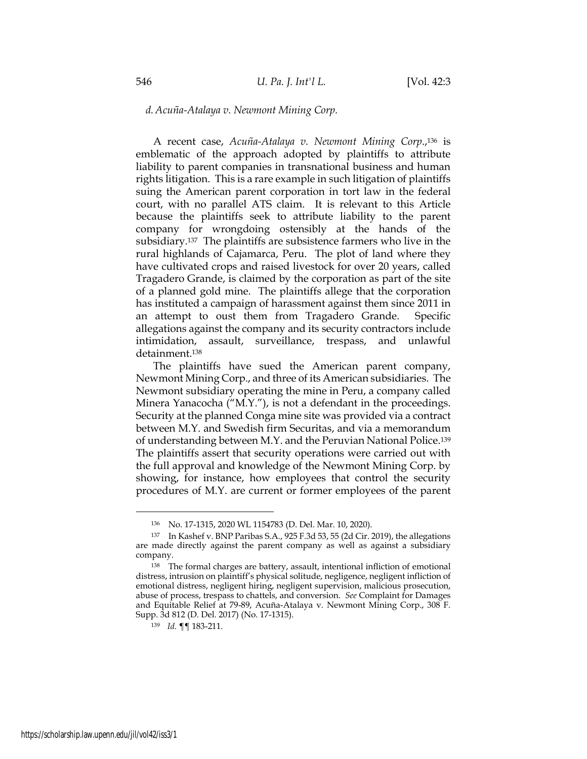## *d. Acuña-Atalaya v. Newmont Mining Corp.*

A recent case, *Acuña-Atalaya v. Newmont Mining Corp*., <sup>136</sup> is emblematic of the approach adopted by plaintiffs to attribute liability to parent companies in transnational business and human rights litigation. This is a rare example in such litigation of plaintiffs suing the American parent corporation in tort law in the federal court, with no parallel ATS claim. It is relevant to this Article because the plaintiffs seek to attribute liability to the parent company for wrongdoing ostensibly at the hands of the subsidiary.<sup>137</sup> The plaintiffs are subsistence farmers who live in the rural highlands of Cajamarca, Peru. The plot of land where they have cultivated crops and raised livestock for over 20 years, called Tragadero Grande, is claimed by the corporation as part of the site of a planned gold mine. The plaintiffs allege that the corporation has instituted a campaign of harassment against them since 2011 in an attempt to oust them from Tragadero Grande. Specific allegations against the company and its security contractors include intimidation, assault, surveillance, trespass, and unlawful detainment.<sup>138</sup>

The plaintiffs have sued the American parent company, Newmont Mining Corp., and three of its American subsidiaries. The Newmont subsidiary operating the mine in Peru, a company called Minera Yanacocha ("M.Y."), is not a defendant in the proceedings. Security at the planned Conga mine site was provided via a contract between M.Y. and Swedish firm Securitas, and via a memorandum of understanding between M.Y. and the Peruvian National Police.<sup>139</sup> The plaintiffs assert that security operations were carried out with the full approval and knowledge of the Newmont Mining Corp. by showing, for instance, how employees that control the security procedures of M.Y. are current or former employees of the parent

<sup>136</sup> No. 17-1315, 2020 WL 1154783 (D. Del. Mar. 10, 2020).

<sup>137</sup> In Kashef v. BNP Paribas S.A., 925 F.3d 53, 55 (2d Cir. 2019), the allegations are made directly against the parent company as well as against a subsidiary company.

<sup>138</sup> The formal charges are battery, assault, intentional infliction of emotional distress, intrusion on plaintiff's physical solitude, negligence, negligent infliction of emotional distress, negligent hiring, negligent supervision, malicious prosecution, abuse of process, trespass to chattels, and conversion. *See* Complaint for Damages and Equitable Relief at 79-89, Acuña-Atalaya v. Newmont Mining Corp., 308 F. Supp. 3d 812 (D. Del. 2017) (No. 17-1315).

<sup>139</sup> *Id.* ¶¶ 183-211.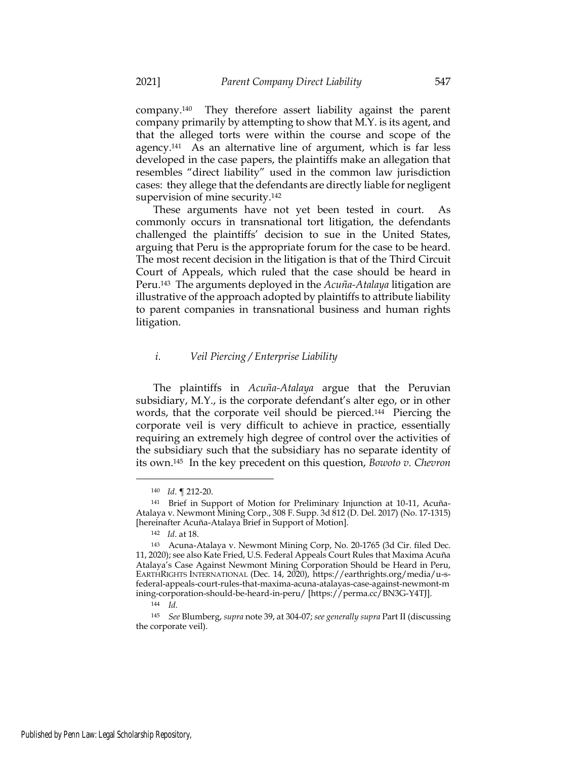company.<sup>140</sup> They therefore assert liability against the parent company primarily by attempting to show that M.Y. is its agent, and that the alleged torts were within the course and scope of the agency.<sup>141</sup> As an alternative line of argument, which is far less developed in the case papers, the plaintiffs make an allegation that resembles "direct liability" used in the common law jurisdiction cases: they allege that the defendants are directly liable for negligent supervision of mine security.<sup>142</sup>

These arguments have not yet been tested in court. As commonly occurs in transnational tort litigation, the defendants challenged the plaintiffs' decision to sue in the United States, arguing that Peru is the appropriate forum for the case to be heard. The most recent decision in the litigation is that of the Third Circuit Court of Appeals, which ruled that the case should be heard in Peru. <sup>143</sup> The arguments deployed in the *Acuña-Atalaya* litigation are illustrative of the approach adopted by plaintiffs to attribute liability to parent companies in transnational business and human rights litigation.

### *i. Veil Piercing / Enterprise Liability*

The plaintiffs in *Acuña-Atalaya* argue that the Peruvian subsidiary, M.Y., is the corporate defendant's alter ego, or in other words, that the corporate veil should be pierced.<sup>144</sup> Piercing the corporate veil is very difficult to achieve in practice, essentially requiring an extremely high degree of control over the activities of the subsidiary such that the subsidiary has no separate identity of its own.<sup>145</sup> In the key precedent on this question, *Bowoto v. Chevron*

<sup>140</sup> *Id*. ¶ 212-20.

<sup>141</sup> Brief in Support of Motion for Preliminary Injunction at 10-11, Acuña-Atalaya v. Newmont Mining Corp., 308 F. Supp. 3d 812 (D. Del. 2017) (No. 17-1315) [hereinafter Acuña-Atalaya Brief in Support of Motion].

<sup>142</sup> *Id*. at 18.

<sup>143</sup> Acuna-Atalaya v. Newmont Mining Corp, No. 20-1765 (3d Cir. filed Dec. 11, 2020); see also Kate Fried, U.S. Federal Appeals Court Rules that Maxima Acuña Atalaya's Case Against Newmont Mining Corporation Should be Heard in Peru, EARTHRIGHTS INTERNATIONAL (Dec. 14, 2020), https://earthrights.org/media/u-sfederal-appeals-court-rules-that-maxima-acuna-atalayas-case-against-newmont-m ining-corporation-should-be-heard-in-peru/ [https://perma.cc/BN3G-Y4TJ].

<sup>144</sup> *Id.*

<sup>145</sup> *See* Blumberg, *supra* note 39, at 304-07; *see generally supra* Part II (discussing the corporate veil).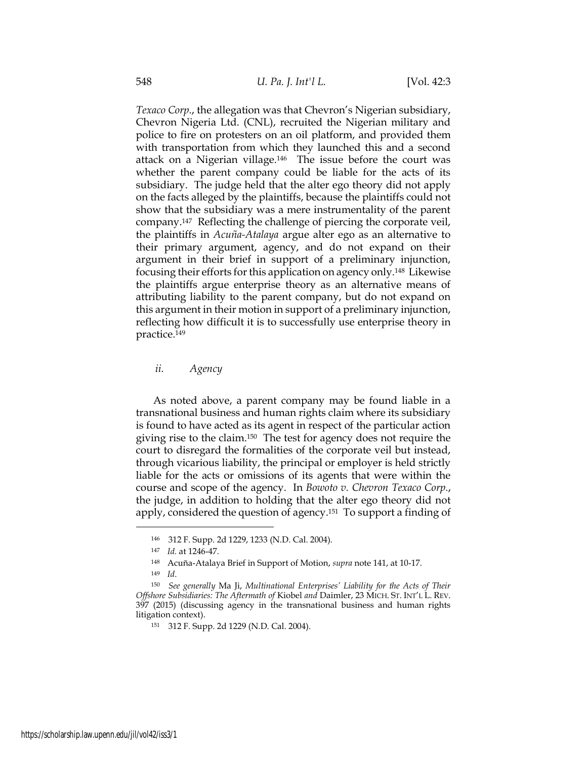*Texaco Corp.*, the allegation was that Chevron's Nigerian subsidiary, Chevron Nigeria Ltd. (CNL), recruited the Nigerian military and police to fire on protesters on an oil platform, and provided them with transportation from which they launched this and a second attack on a Nigerian village.<sup>146</sup> The issue before the court was whether the parent company could be liable for the acts of its subsidiary. The judge held that the alter ego theory did not apply on the facts alleged by the plaintiffs, because the plaintiffs could not show that the subsidiary was a mere instrumentality of the parent company.<sup>147</sup> Reflecting the challenge of piercing the corporate veil, the plaintiffs in *Acuña-Atalaya* argue alter ego as an alternative to their primary argument, agency, and do not expand on their argument in their brief in support of a preliminary injunction, focusing their efforts for this application on agency only.<sup>148</sup> Likewise the plaintiffs argue enterprise theory as an alternative means of attributing liability to the parent company, but do not expand on this argument in their motion in support of a preliminary injunction, reflecting how difficult it is to successfully use enterprise theory in practice.<sup>149</sup>

*ii. Agency*

As noted above, a parent company may be found liable in a transnational business and human rights claim where its subsidiary is found to have acted as its agent in respect of the particular action giving rise to the claim.<sup>150</sup> The test for agency does not require the court to disregard the formalities of the corporate veil but instead, through vicarious liability, the principal or employer is held strictly liable for the acts or omissions of its agents that were within the course and scope of the agency. In *Bowoto v. Chevron Texaco Corp.*, the judge, in addition to holding that the alter ego theory did not apply, considered the question of agency.<sup>151</sup> To support a finding of

<sup>146</sup> 312 F. Supp. 2d 1229, 1233 (N.D. Cal. 2004).

<sup>147</sup> *Id.* at 1246-47.

<sup>148</sup> Acuña-Atalaya Brief in Support of Motion, *supra* note 141, at 10-17.

<sup>149</sup> *Id*.

<sup>150</sup> *See generally* Ma Ji, *Multinational Enterprises' Liability for the Acts of Their Offshore Subsidiaries: The Aftermath of* Kiobel *and* Daimler, 23 MICH. ST. INT'L L. REV. 397 (2015) (discussing agency in the transnational business and human rights litigation context).

<sup>151</sup> 312 F. Supp. 2d 1229 (N.D. Cal. 2004).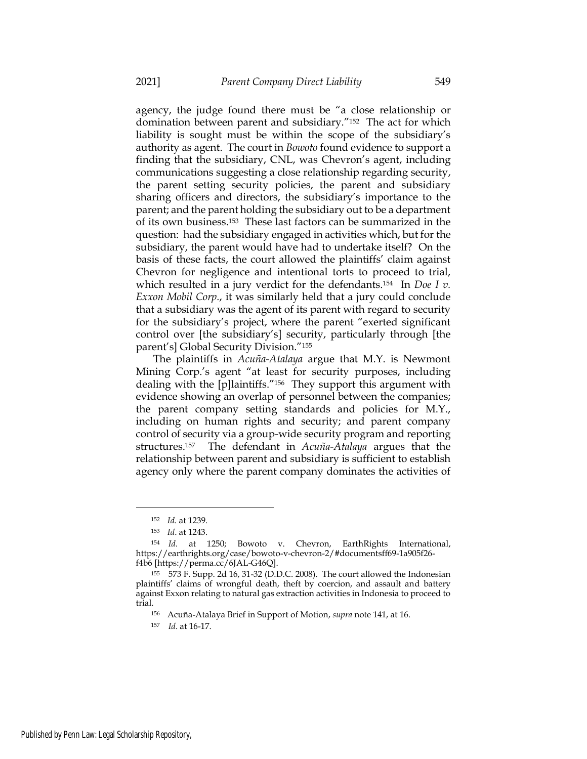agency, the judge found there must be "a close relationship or domination between parent and subsidiary."<sup>152</sup> The act for which liability is sought must be within the scope of the subsidiary's authority as agent. The court in *Bowoto* found evidence to support a finding that the subsidiary, CNL, was Chevron's agent, including communications suggesting a close relationship regarding security, the parent setting security policies, the parent and subsidiary sharing officers and directors, the subsidiary's importance to the parent; and the parent holding the subsidiary out to be a department of its own business.<sup>153</sup> These last factors can be summarized in the question: had the subsidiary engaged in activities which, but for the subsidiary, the parent would have had to undertake itself? On the basis of these facts, the court allowed the plaintiffs' claim against Chevron for negligence and intentional torts to proceed to trial, which resulted in a jury verdict for the defendants.<sup>154</sup> In *Doe I v. Exxon Mobil Corp.*, it was similarly held that a jury could conclude that a subsidiary was the agent of its parent with regard to security for the subsidiary's project, where the parent "exerted significant control over [the subsidiary's] security, particularly through [the parent's] Global Security Division."<sup>155</sup>

The plaintiffs in *Acuña-Atalaya* argue that M.Y. is Newmont Mining Corp.'s agent "at least for security purposes, including dealing with the [p]laintiffs."<sup>156</sup> They support this argument with evidence showing an overlap of personnel between the companies; the parent company setting standards and policies for M.Y., including on human rights and security; and parent company control of security via a group-wide security program and reporting structures.<sup>157</sup> The defendant in *Acuña-Atalaya* argues that the relationship between parent and subsidiary is sufficient to establish agency only where the parent company dominates the activities of

<sup>152</sup> *Id.* at 1239.

<sup>153</sup> *Id*. at 1243.

<sup>154</sup> *Id.* at 1250; Bowoto v. Chevron, EarthRights International, https://earthrights.org/case/bowoto-v-chevron-2/#documentsff69-1a905f26 f4b6 [https://perma.cc/6JAL-G46Q].

<sup>155</sup> 573 F. Supp. 2d 16, 31-32 (D.D.C. 2008). The court allowed the Indonesian plaintiffs' claims of wrongful death, theft by coercion, and assault and battery against Exxon relating to natural gas extraction activities in Indonesia to proceed to trial.

<sup>156</sup> Acuña-Atalaya Brief in Support of Motion, *supra* note 141, at 16.

<sup>157</sup> *Id*. at 16-17.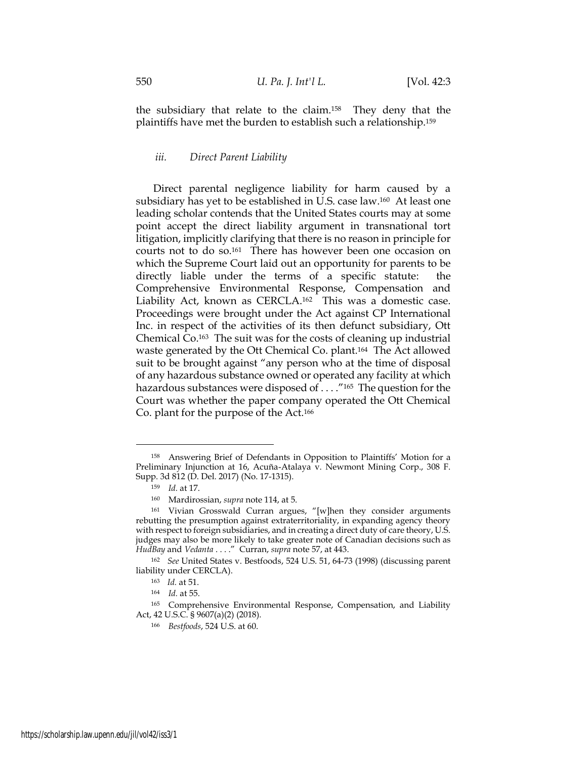the subsidiary that relate to the claim.<sup>158</sup> They deny that the plaintiffs have met the burden to establish such a relationship.<sup>159</sup>

# *iii. Direct Parent Liability*

Direct parental negligence liability for harm caused by a subsidiary has yet to be established in U.S. case law.<sup>160</sup> At least one leading scholar contends that the United States courts may at some point accept the direct liability argument in transnational tort litigation, implicitly clarifying that there is no reason in principle for courts not to do so.<sup>161</sup> There has however been one occasion on which the Supreme Court laid out an opportunity for parents to be directly liable under the terms of a specific statute: the Comprehensive Environmental Response, Compensation and Liability Act, known as CERCLA.<sup>162</sup> This was a domestic case. Proceedings were brought under the Act against CP International Inc. in respect of the activities of its then defunct subsidiary, Ott Chemical Co.<sup>163</sup> The suit was for the costs of cleaning up industrial waste generated by the Ott Chemical Co. plant.<sup>164</sup> The Act allowed suit to be brought against "any person who at the time of disposal of any hazardous substance owned or operated any facility at which hazardous substances were disposed of . . . ."<sup>165</sup> The question for the Court was whether the paper company operated the Ott Chemical Co. plant for the purpose of the Act.<sup>166</sup>

<sup>158</sup> Answering Brief of Defendants in Opposition to Plaintiffs' Motion for a Preliminary Injunction at 16, Acuña-Atalaya v. Newmont Mining Corp., 308 F. Supp. 3d 812 (D. Del. 2017) (No. 17-1315).

<sup>159</sup> *Id.* at 17.

<sup>160</sup> Mardirossian, *supra* note 114, at 5.

<sup>161</sup> Vivian Grosswald Curran argues, "[w]hen they consider arguments rebutting the presumption against extraterritoriality, in expanding agency theory with respect to foreign subsidiaries, and in creating a direct duty of care theory, U.S. judges may also be more likely to take greater note of Canadian decisions such as *HudBay* and *Vedanta* . . . ." Curran, *supra* note 57, at 443.

<sup>162</sup> *See* United States v. Bestfoods, 524 U.S. 51, 64-73 (1998) (discussing parent liability under CERCLA).

<sup>163</sup> *Id.* at 51.

<sup>164</sup> *Id.* at 55.

<sup>165</sup> Comprehensive Environmental Response, Compensation, and Liability Act, 42 U.S.C. § 9607(a)(2) (2018).

<sup>166</sup> *Bestfoods*, 524 U.S. at 60.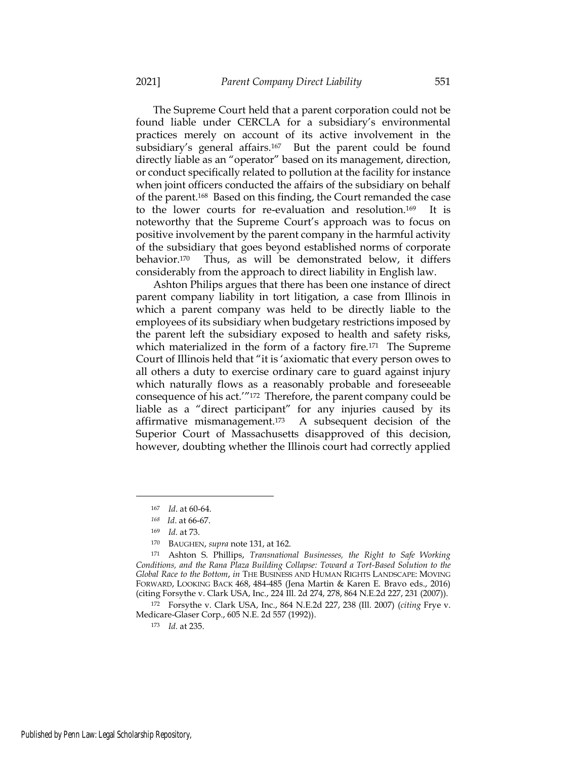The Supreme Court held that a parent corporation could not be found liable under CERCLA for a subsidiary's environmental practices merely on account of its active involvement in the subsidiary's general affairs.<sup>167</sup> But the parent could be found directly liable as an "operator" based on its management, direction, or conduct specifically related to pollution at the facility for instance when joint officers conducted the affairs of the subsidiary on behalf of the parent.<sup>168</sup> Based on this finding, the Court remanded the case to the lower courts for re-evaluation and resolution.<sup>169</sup> It is noteworthy that the Supreme Court's approach was to focus on positive involvement by the parent company in the harmful activity of the subsidiary that goes beyond established norms of corporate behavior.<sup>170</sup> Thus, as will be demonstrated below, it differs considerably from the approach to direct liability in English law.

Ashton Philips argues that there has been one instance of direct parent company liability in tort litigation, a case from Illinois in which a parent company was held to be directly liable to the employees of its subsidiary when budgetary restrictions imposed by the parent left the subsidiary exposed to health and safety risks, which materialized in the form of a factory fire.<sup>171</sup> The Supreme Court of Illinois held that "it is 'axiomatic that every person owes to all others a duty to exercise ordinary care to guard against injury which naturally flows as a reasonably probable and foreseeable consequence of his act.'"<sup>172</sup> Therefore, the parent company could be liable as a "direct participant" for any injuries caused by its affirmative mismanagement.<sup>173</sup> A subsequent decision of the Superior Court of Massachusetts disapproved of this decision, however, doubting whether the Illinois court had correctly applied

<sup>172</sup> Forsythe v. Clark USA, Inc., 864 N.E.2d 227, 238 (Ill. 2007) (*citing* Frye v. Medicare-Glaser Corp., 605 N.E. 2d 557 (1992)).

<sup>173</sup> *Id.* at 235.

<sup>167</sup> *Id*. at 60-64.

*<sup>168</sup> Id*. at 66-67.

<sup>169</sup> *Id.* at 73.

<sup>170</sup> BAUGHEN, *supra* note 131, at 162.

<sup>171</sup> Ashton S. Phillips, *Transnational Businesses, the Right to Safe Working Conditions, and the Rana Plaza Building Collapse: Toward a Tort-Based Solution to the Global Race to the Bottom*, *in* THE BUSINESS AND HUMAN RIGHTS LANDSCAPE: MOVING FORWARD, LOOKING BACK 468, 484-485 (Jena Martin & Karen E. Bravo eds., 2016) (citing Forsythe v. Clark USA, Inc., 224 Ill. 2d 274, 278, 864 N.E.2d 227, 231 (2007)).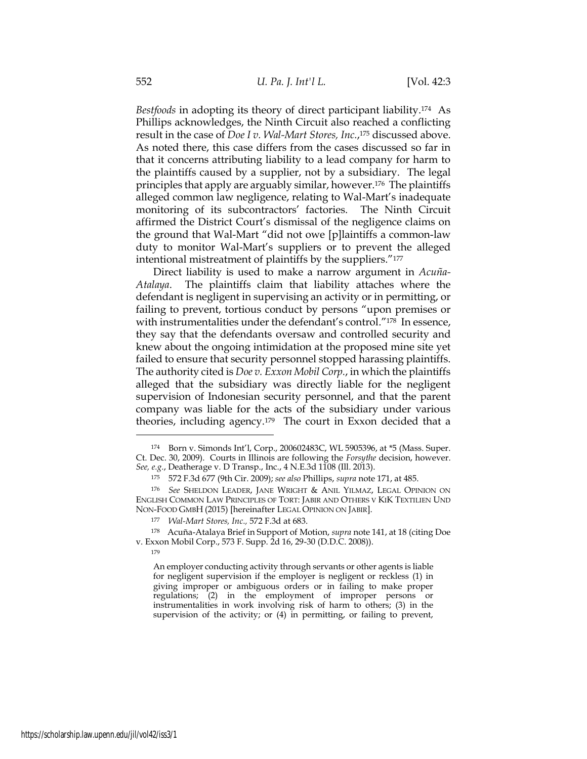*Bestfoods* in adopting its theory of direct participant liability.<sup>174</sup> As Phillips acknowledges, the Ninth Circuit also reached a conflicting result in the case of *Doe I v. Wal-Mart Stores, Inc.*, <sup>175</sup> discussed above. As noted there, this case differs from the cases discussed so far in that it concerns attributing liability to a lead company for harm to the plaintiffs caused by a supplier, not by a subsidiary. The legal principles that apply are arguably similar, however.<sup>176</sup> The plaintiffs alleged common law negligence, relating to Wal-Mart's inadequate monitoring of its subcontractors' factories. The Ninth Circuit affirmed the District Court's dismissal of the negligence claims on the ground that Wal-Mart "did not owe [p]laintiffs a common-law duty to monitor Wal-Mart's suppliers or to prevent the alleged intentional mistreatment of plaintiffs by the suppliers."<sup>177</sup>

Direct liability is used to make a narrow argument in *Acuña-Atalaya*. The plaintiffs claim that liability attaches where the defendant is negligent in supervising an activity or in permitting, or failing to prevent, tortious conduct by persons "upon premises or with instrumentalities under the defendant's control."<sup>178</sup> In essence, they say that the defendants oversaw and controlled security and knew about the ongoing intimidation at the proposed mine site yet failed to ensure that security personnel stopped harassing plaintiffs. The authority cited is *Doe v. Exxon Mobil Corp.*, in which the plaintiffs alleged that the subsidiary was directly liable for the negligent supervision of Indonesian security personnel, and that the parent company was liable for the acts of the subsidiary under various theories, including agency.<sup>179</sup> The court in Exxon decided that a

An employer conducting activity through servants or other agents is liable for negligent supervision if the employer is negligent or reckless (1) in giving improper or ambiguous orders or in failing to make proper regulations; (2) in the employment of improper persons or instrumentalities in work involving risk of harm to others; (3) in the supervision of the activity; or (4) in permitting, or failing to prevent,

<sup>174</sup> Born v. Simonds Int'l, Corp., 200602483C, WL 5905396, at \*5 (Mass. Super. Ct. Dec. 30, 2009). Courts in Illinois are following the *Forsythe* decision, however. *See, e.g.*, Deatherage v. D Transp., Inc*.*, 4 N.E.3d 1108 (Ill. 2013).

<sup>175</sup> 572 F.3d 677 (9th Cir. 2009); *see also* Phillips, *supra* note 171, at 485.

<sup>176</sup> *See* SHELDON LEADER, JANE WRIGHT & ANIL YILMAZ, LEGAL OPINION ON ENGLISH COMMON LAW PRINCIPLES OF TORT: JABIR AND OTHERS V KIK TEXTILIEN UND NON-FOOD GMBH (2015) [hereinafter LEGAL OPINION ON JABIR].

<sup>177</sup> *Wal-Mart Stores, Inc.,* 572 F.3d at 683.

<sup>178</sup> Acuña-Atalaya Brief in Support of Motion, *supra* note 141, at 18 (citing Doe v. Exxon Mobil Corp., 573 F. Supp. 2d 16, 29-30 (D.D.C. 2008)).

<sup>179</sup>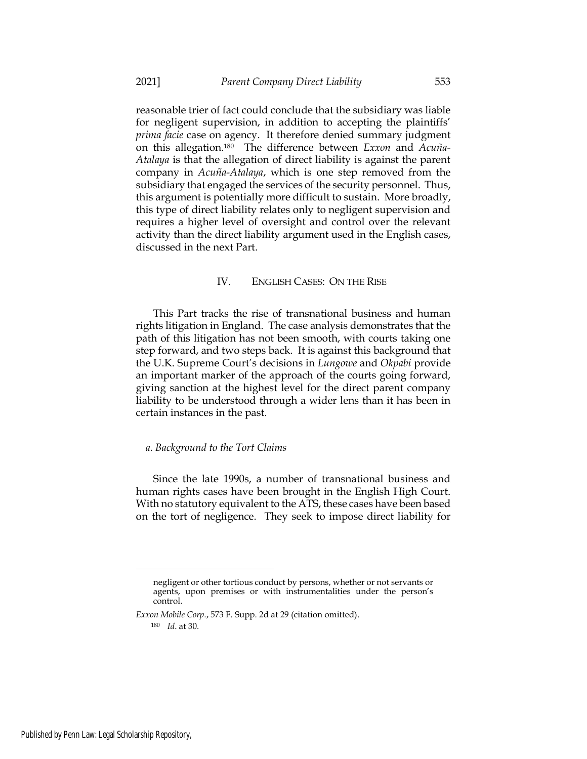reasonable trier of fact could conclude that the subsidiary was liable for negligent supervision, in addition to accepting the plaintiffs' *prima facie* case on agency. It therefore denied summary judgment on this allegation.<sup>180</sup> The difference between *Exxon* and *Acuña-Atalaya* is that the allegation of direct liability is against the parent company in *Acuña-Atalaya*, which is one step removed from the subsidiary that engaged the services of the security personnel. Thus, this argument is potentially more difficult to sustain. More broadly, this type of direct liability relates only to negligent supervision and requires a higher level of oversight and control over the relevant activity than the direct liability argument used in the English cases, discussed in the next Part.

### IV. ENGLISH CASES: ON THE RISE

This Part tracks the rise of transnational business and human rights litigation in England. The case analysis demonstrates that the path of this litigation has not been smooth, with courts taking one step forward, and two steps back. It is against this background that the U.K. Supreme Court's decisions in *Lungowe* and *Okpabi* provide an important marker of the approach of the courts going forward, giving sanction at the highest level for the direct parent company liability to be understood through a wider lens than it has been in certain instances in the past.

### *a. Background to the Tort Claims*

Since the late 1990s, a number of transnational business and human rights cases have been brought in the English High Court. With no statutory equivalent to the ATS, these cases have been based on the tort of negligence. They seek to impose direct liability for

negligent or other tortious conduct by persons, whether or not servants or agents, upon premises or with instrumentalities under the person's control.

*Exxon Mobile Corp.*, 573 F. Supp. 2d at 29 (citation omitted).

<sup>180</sup> *Id*. at 30.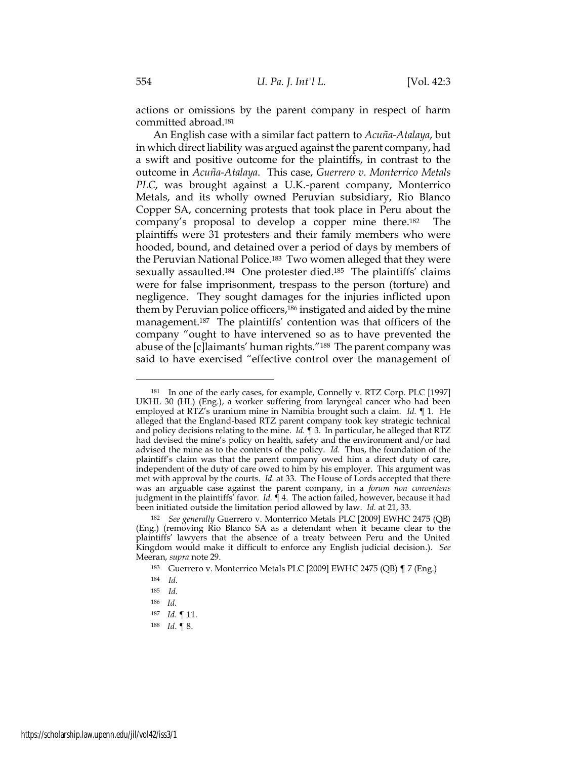actions or omissions by the parent company in respect of harm committed abroad.<sup>181</sup>

An English case with a similar fact pattern to *Acuña-Atalaya*, but in which direct liability was argued against the parent company, had a swift and positive outcome for the plaintiffs, in contrast to the outcome in *Acuña-Atalaya*. This case, *Guerrero v. Monterrico Metals PLC*, was brought against a U.K.-parent company, Monterrico Metals, and its wholly owned Peruvian subsidiary, Rio Blanco Copper SA, concerning protests that took place in Peru about the company's proposal to develop a copper mine there.<sup>182</sup> The plaintiffs were 31 protesters and their family members who were hooded, bound, and detained over a period of days by members of the Peruvian National Police.<sup>183</sup> Two women alleged that they were sexually assaulted.<sup>184</sup> One protester died.<sup>185</sup> The plaintiffs' claims were for false imprisonment, trespass to the person (torture) and negligence. They sought damages for the injuries inflicted upon them by Peruvian police officers,<sup>186</sup> instigated and aided by the mine management.<sup>187</sup> The plaintiffs' contention was that officers of the company "ought to have intervened so as to have prevented the abuse of the [c]laimants' human rights."188 The parent company was said to have exercised "effective control over the management of

<sup>181</sup> In one of the early cases, for example, Connelly v. RTZ Corp. PLC [1997] UKHL 30 (HL) (Eng.), a worker suffering from laryngeal cancer who had been employed at RTZ's uranium mine in Namibia brought such a claim. *Id.* ¶ 1. He alleged that the England-based RTZ parent company took key strategic technical and policy decisions relating to the mine. *Id.* ¶ 3. In particular, he alleged that RTZ had devised the mine's policy on health, safety and the environment and/or had advised the mine as to the contents of the policy. *Id.* Thus, the foundation of the plaintiff's claim was that the parent company owed him a direct duty of care, independent of the duty of care owed to him by his employer. This argument was met with approval by the courts. *Id.* at 33. The House of Lords accepted that there was an arguable case against the parent company, in a *forum non conveniens* judgment in the plaintiffs' favor. *Id.* ¶ 4. The action failed, however, because it had been initiated outside the limitation period allowed by law. *Id.* at 21, 33.

<sup>182</sup> *See generally* Guerrero v. Monterrico Metals PLC [2009] EWHC 2475 (QB) (Eng.) (removing Rio Blanco SA as a defendant when it became clear to the plaintiffs' lawyers that the absence of a treaty between Peru and the United Kingdom would make it difficult to enforce any English judicial decision.). *See* Meeran, *supra* note 29.

<sup>183</sup> Guerrero v. Monterrico Metals PLC [2009] EWHC 2475 (QB) ¶ 7 (Eng.)

<sup>184</sup> *Id.*

<sup>185</sup> *Id.*

<sup>186</sup> *Id.*

<sup>187</sup> *Id*. ¶ 11.

<sup>188</sup> *Id*. ¶ 8.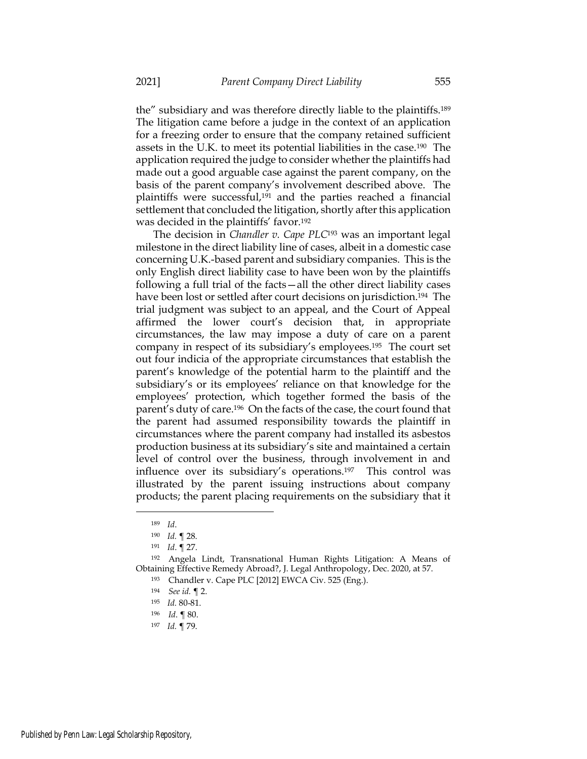the" subsidiary and was therefore directly liable to the plaintiffs.<sup>189</sup> The litigation came before a judge in the context of an application for a freezing order to ensure that the company retained sufficient assets in the U.K. to meet its potential liabilities in the case.190 The application required the judge to consider whether the plaintiffs had made out a good arguable case against the parent company, on the basis of the parent company's involvement described above. The plaintiffs were successful,<sup>191</sup> and the parties reached a financial settlement that concluded the litigation, shortly after this application was decided in the plaintiffs' favor.<sup>192</sup>

The decision in *Chandler v. Cape PLC*<sup>193</sup> was an important legal milestone in the direct liability line of cases, albeit in a domestic case concerning U.K.-based parent and subsidiary companies. This is the only English direct liability case to have been won by the plaintiffs following a full trial of the facts—all the other direct liability cases have been lost or settled after court decisions on jurisdiction.<sup>194</sup> The trial judgment was subject to an appeal, and the Court of Appeal affirmed the lower court's decision that, in appropriate circumstances, the law may impose a duty of care on a parent company in respect of its subsidiary's employees.195 The court set out four indicia of the appropriate circumstances that establish the parent's knowledge of the potential harm to the plaintiff and the subsidiary's or its employees' reliance on that knowledge for the employees' protection, which together formed the basis of the parent's duty of care.<sup>196</sup> On the facts of the case, the court found that the parent had assumed responsibility towards the plaintiff in circumstances where the parent company had installed its asbestos production business at its subsidiary's site and maintained a certain level of control over the business, through involvement in and influence over its subsidiary's operations.197 This control was illustrated by the parent issuing instructions about company products; the parent placing requirements on the subsidiary that it

<sup>189</sup> *Id*.

<sup>190</sup> *Id.* ¶ 28.

<sup>191</sup> *Id*. ¶ 27.

<sup>192</sup> Angela Lindt, Transnational Human Rights Litigation: A Means of Obtaining Effective Remedy Abroad?, J. Legal Anthropology, Dec. 2020, at 57.

<sup>193</sup> Chandler v. Cape PLC [2012] EWCA Civ. 525 (Eng.).

<sup>194</sup> *See id.* ¶ 2.

<sup>195</sup> *Id.* 80-81.

<sup>196</sup> *Id*. ¶ 80.

<sup>197</sup> *Id.* ¶ 79.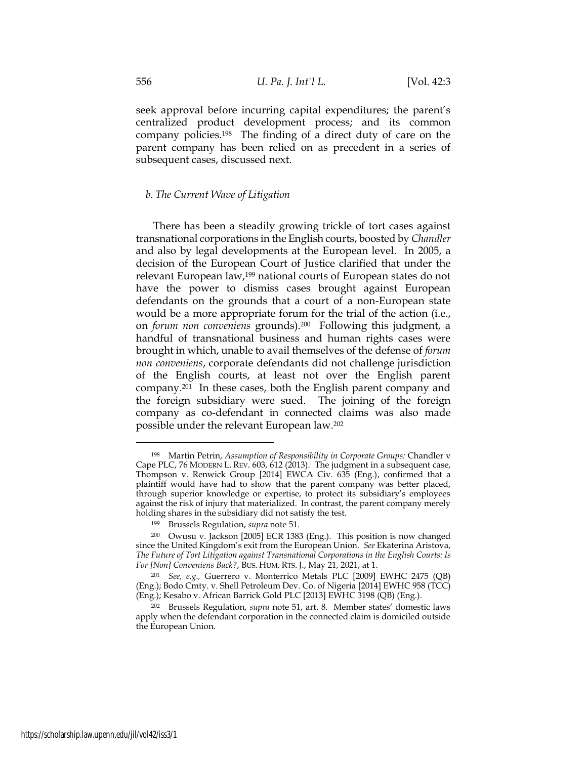seek approval before incurring capital expenditures; the parent's centralized product development process; and its common company policies.198 The finding of a direct duty of care on the parent company has been relied on as precedent in a series of subsequent cases, discussed next.

#### *b. The Current Wave of Litigation*

There has been a steadily growing trickle of tort cases against transnational corporations in the English courts, boosted by *Chandler* and also by legal developments at the European level. In 2005, a decision of the European Court of Justice clarified that under the relevant European law,<sup>199</sup> national courts of European states do not have the power to dismiss cases brought against European defendants on the grounds that a court of a non-European state would be a more appropriate forum for the trial of the action (i.e., on *forum non conveniens* grounds).<sup>200</sup> Following this judgment, a handful of transnational business and human rights cases were brought in which, unable to avail themselves of the defense of *forum non conveniens*, corporate defendants did not challenge jurisdiction of the English courts, at least not over the English parent company.201 In these cases, both the English parent company and the foreign subsidiary were sued. The joining of the foreign company as co-defendant in connected claims was also made possible under the relevant European law.<sup>202</sup>

<sup>198</sup> Martin Petrin, *Assumption of Responsibility in Corporate Groups:* Chandler v Cape PLC, 76 MODERN L. REV. 603, 612 (2013). The judgment in a subsequent case, Thompson v. Renwick Group [2014] EWCA Civ. 635 (Eng.), confirmed that a plaintiff would have had to show that the parent company was better placed, through superior knowledge or expertise, to protect its subsidiary's employees against the risk of injury that materialized. In contrast, the parent company merely holding shares in the subsidiary did not satisfy the test.

<sup>199</sup> Brussels Regulation, *supra* note 51.

<sup>200</sup> Owusu v. Jackson [2005] ECR 1383 (Eng.). This position is now changed since the United Kingdom's exit from the European Union. *See* Ekaterina Aristova, *The Future of Tort Litigation against Transnational Corporations in the English Courts: Is For [Non] Conveniens Back?*, BUS. HUM. RTS. J., May 21, 2021, at 1.

<sup>201</sup> *See, e.g.,* Guerrero v. Monterrico Metals PLC [2009] EWHC 2475 (QB) (Eng.); Bodo Cmty. v. Shell Petroleum Dev. Co. of Nigeria [2014] EWHC 958 (TCC) (Eng.); Kesabo v. African Barrick Gold PLC [2013] EWHC 3198 (QB) (Eng.).

<sup>202</sup> Brussels Regulation, *supra* note 51, art. 8. Member states' domestic laws apply when the defendant corporation in the connected claim is domiciled outside the European Union.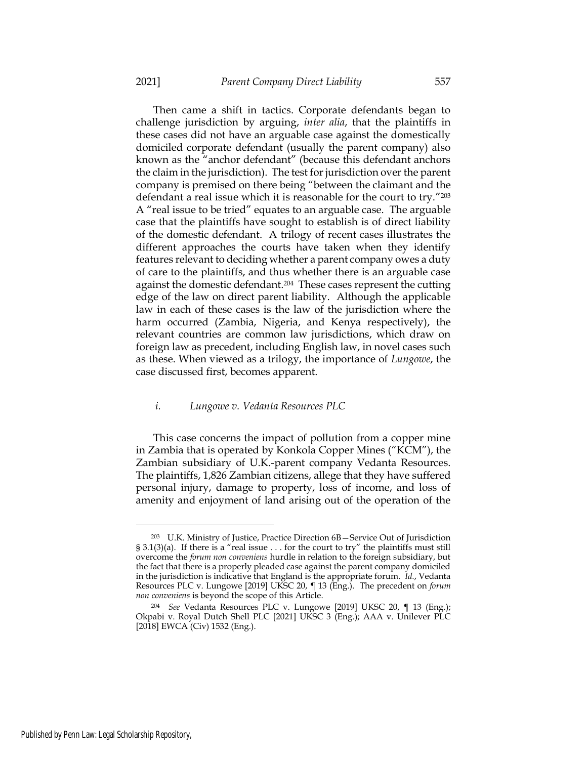Then came a shift in tactics. Corporate defendants began to challenge jurisdiction by arguing, *inter alia*, that the plaintiffs in these cases did not have an arguable case against the domestically domiciled corporate defendant (usually the parent company) also known as the "anchor defendant" (because this defendant anchors the claim in the jurisdiction). The test for jurisdiction over the parent company is premised on there being "between the claimant and the defendant a real issue which it is reasonable for the court to try."<sup>203</sup> A "real issue to be tried" equates to an arguable case. The arguable case that the plaintiffs have sought to establish is of direct liability of the domestic defendant. A trilogy of recent cases illustrates the different approaches the courts have taken when they identify features relevant to deciding whether a parent company owes a duty of care to the plaintiffs, and thus whether there is an arguable case against the domestic defendant.204 These cases represent the cutting edge of the law on direct parent liability. Although the applicable law in each of these cases is the law of the jurisdiction where the harm occurred (Zambia, Nigeria, and Kenya respectively), the relevant countries are common law jurisdictions, which draw on foreign law as precedent, including English law, in novel cases such as these. When viewed as a trilogy, the importance of *Lungowe*, the case discussed first, becomes apparent.

#### *i. Lungowe v. Vedanta Resources PLC*

This case concerns the impact of pollution from a copper mine in Zambia that is operated by Konkola Copper Mines ("KCM"), the Zambian subsidiary of U.K.-parent company Vedanta Resources. The plaintiffs, 1,826 Zambian citizens, allege that they have suffered personal injury, damage to property, loss of income, and loss of amenity and enjoyment of land arising out of the operation of the

<sup>203</sup> U.K. Ministry of Justice, Practice Direction 6B—Service Out of Jurisdiction § 3.1(3)(a). If there is a "real issue . . . for the court to try" the plaintiffs must still overcome the *forum non conveniens* hurdle in relation to the foreign subsidiary, but the fact that there is a properly pleaded case against the parent company domiciled in the jurisdiction is indicative that England is the appropriate forum. *Id.*, Vedanta Resources PLC v. Lungowe [2019] UKSC 20, ¶ 13 (Eng.). The precedent on *forum non conveniens* is beyond the scope of this Article.

<sup>204</sup> *See* Vedanta Resources PLC v. Lungowe [2019] UKSC 20, ¶ 13 (Eng.); Okpabi v. Royal Dutch Shell PLC [2021] UKSC 3 (Eng.); AAA v. Unilever PLC [2018] EWCA (Civ) 1532 (Eng.).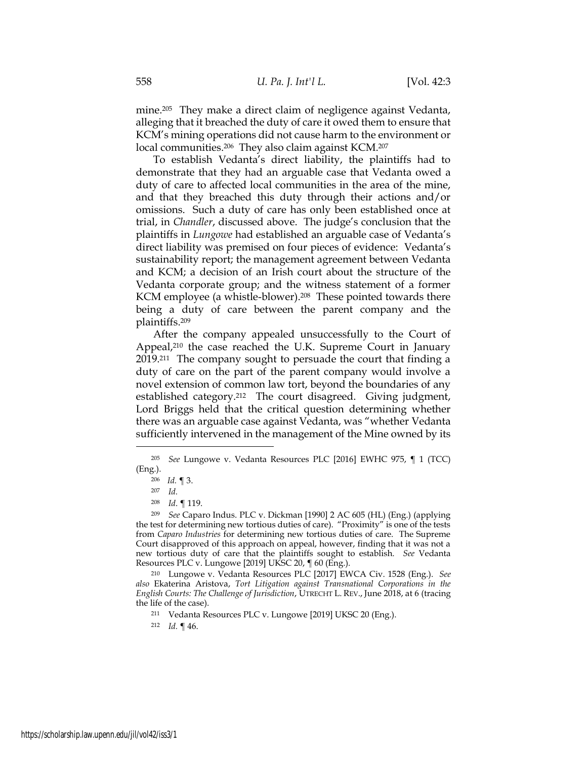mine.<sup>205</sup> They make a direct claim of negligence against Vedanta, alleging that it breached the duty of care it owed them to ensure that KCM's mining operations did not cause harm to the environment or local communities.<sup>206</sup> They also claim against KCM.<sup>207</sup>

To establish Vedanta's direct liability, the plaintiffs had to demonstrate that they had an arguable case that Vedanta owed a duty of care to affected local communities in the area of the mine, and that they breached this duty through their actions and/or omissions. Such a duty of care has only been established once at trial, in *Chandler*, discussed above. The judge's conclusion that the plaintiffs in *Lungowe* had established an arguable case of Vedanta's direct liability was premised on four pieces of evidence: Vedanta's sustainability report; the management agreement between Vedanta and KCM; a decision of an Irish court about the structure of the Vedanta corporate group; and the witness statement of a former KCM employee (a whistle-blower).<sup>208</sup> These pointed towards there being a duty of care between the parent company and the plaintiffs.<sup>209</sup>

After the company appealed unsuccessfully to the Court of Appeal,<sup>210</sup> the case reached the U.K. Supreme Court in January 2019.211 The company sought to persuade the court that finding a duty of care on the part of the parent company would involve a novel extension of common law tort, beyond the boundaries of any established category.<sup>212</sup> The court disagreed. Giving judgment, Lord Briggs held that the critical question determining whether there was an arguable case against Vedanta, was "whether Vedanta sufficiently intervened in the management of the Mine owned by its

<sup>205</sup> *See* Lungowe v. Vedanta Resources PLC [2016] EWHC 975, ¶ 1 (TCC) (Eng.).

<sup>206</sup> *Id.* ¶ 3.

<sup>207</sup> *Id.*

<sup>208</sup> *Id*. ¶ 119.

<sup>209</sup> *See* Caparo Indus. PLC v. Dickman [1990] 2 AC 605 (HL) (Eng.) (applying the test for determining new tortious duties of care). "Proximity" is one of the tests from *Caparo Industries* for determining new tortious duties of care. The Supreme Court disapproved of this approach on appeal, however, finding that it was not a new tortious duty of care that the plaintiffs sought to establish. *See* Vedanta Resources PLC v. Lungowe [2019] UKSC 20, ¶ 60 (Eng.).

<sup>210</sup> Lungowe v. Vedanta Resources PLC [2017] EWCA Civ. 1528 (Eng.). *See also* Ekaterina Aristova, *Tort Litigation against Transnational Corporations in the English Courts: The Challenge of Jurisdiction*, UTRECHT L. REV., June 2018, at 6 (tracing the life of the case).

<sup>211</sup> Vedanta Resources PLC v. Lungowe [2019] UKSC 20 (Eng.).

<sup>212</sup> *Id.* ¶ 46.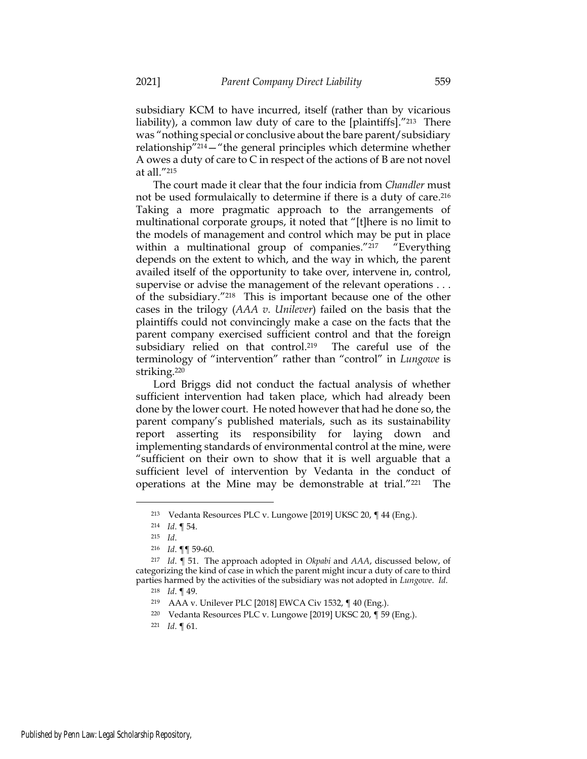subsidiary KCM to have incurred, itself (rather than by vicarious liability), a common law duty of care to the [plaintiffs]."<sup>213</sup> There was "nothing special or conclusive about the bare parent/subsidiary relationship"214—"the general principles which determine whether A owes a duty of care to C in respect of the actions of B are not novel at all."<sup>215</sup>

The court made it clear that the four indicia from *Chandler* must not be used formulaically to determine if there is a duty of care. 216 Taking a more pragmatic approach to the arrangements of multinational corporate groups, it noted that "[t]here is no limit to the models of management and control which may be put in place within a multinational group of companies."<sup>217</sup> "Everything depends on the extent to which, and the way in which, the parent availed itself of the opportunity to take over, intervene in, control, supervise or advise the management of the relevant operations . . . of the subsidiary."<sup>218</sup> This is important because one of the other cases in the trilogy (*AAA v. Unilever*) failed on the basis that the plaintiffs could not convincingly make a case on the facts that the parent company exercised sufficient control and that the foreign subsidiary relied on that control.<sup>219</sup> The careful use of the terminology of "intervention" rather than "control" in *Lungowe* is striking.<sup>220</sup>

Lord Briggs did not conduct the factual analysis of whether sufficient intervention had taken place, which had already been done by the lower court. He noted however that had he done so, the parent company's published materials, such as its sustainability report asserting its responsibility for laying down and implementing standards of environmental control at the mine, were "sufficient on their own to show that it is well arguable that a sufficient level of intervention by Vedanta in the conduct of operations at the Mine may be demonstrable at trial."<sup>221</sup> The

<sup>213</sup> Vedanta Resources PLC v. Lungowe [2019] UKSC 20, ¶ 44 (Eng.).

<sup>214</sup> *Id*. ¶ 54.

<sup>215</sup> *Id*.

<sup>216</sup> *Id*. ¶¶ 59-60.

<sup>217</sup> *Id*. ¶ 51. The approach adopted in *Okpabi* and *AAA*, discussed below, of categorizing the kind of case in which the parent might incur a duty of care to third parties harmed by the activities of the subsidiary was not adopted in *Lungowe*. *Id*.

<sup>218</sup> *Id*. ¶ 49.

<sup>219</sup> AAA v. Unilever PLC [2018] EWCA Civ 1532, ¶ 40 (Eng.).

<sup>220</sup> Vedanta Resources PLC v. Lungowe [2019] UKSC 20, ¶ 59 (Eng.).

<sup>221</sup> *Id*. ¶ 61.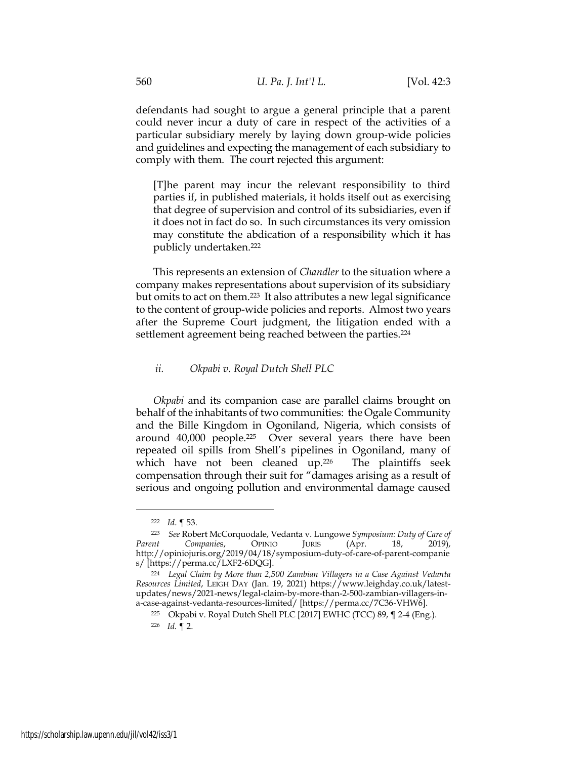defendants had sought to argue a general principle that a parent could never incur a duty of care in respect of the activities of a particular subsidiary merely by laying down group-wide policies and guidelines and expecting the management of each subsidiary to comply with them. The court rejected this argument:

[T]he parent may incur the relevant responsibility to third parties if, in published materials, it holds itself out as exercising that degree of supervision and control of its subsidiaries, even if it does not in fact do so. In such circumstances its very omission may constitute the abdication of a responsibility which it has publicly undertaken.<sup>222</sup>

This represents an extension of *Chandler* to the situation where a company makes representations about supervision of its subsidiary but omits to act on them.223 It also attributes a new legal significance to the content of group-wide policies and reports. Almost two years after the Supreme Court judgment, the litigation ended with a settlement agreement being reached between the parties.<sup>224</sup>

# *ii. Okpabi v. Royal Dutch Shell PLC*

*Okpabi* and its companion case are parallel claims brought on behalf of the inhabitants of two communities: the Ogale Community and the Bille Kingdom in Ogoniland, Nigeria, which consists of around 40,000 people.<sup>225</sup> Over several years there have been repeated oil spills from Shell's pipelines in Ogoniland, many of which have not been cleaned up.<sup>226</sup> The plaintiffs seek compensation through their suit for "damages arising as a result of serious and ongoing pollution and environmental damage caused

<sup>222</sup> *Id*. ¶ 53.

<sup>223</sup> *See* Robert McCorquodale, Vedanta v. Lungowe *Symposium: Duty of Care of Parent Companie*s, OPINIO JURIS (Apr. 18, 2019), http://opiniojuris.org/2019/04/18/symposium-duty-of-care-of-parent-companie s/ [https://perma.cc/LXF2-6DQG].

<sup>224</sup> *Legal Claim by More than 2,500 Zambian Villagers in a Case Against Vedanta Resources Limited*, LEIGH DAY (Jan. 19, 2021) https://www.leighday.co.uk/latestupdates/news/2021-news/legal-claim-by-more-than-2-500-zambian-villagers-ina-case-against-vedanta-resources-limited/ [https://perma.cc/7C36-VHW6].

<sup>225</sup> Okpabi v. Royal Dutch Shell PLC [2017] EWHC (TCC) 89, ¶ 2-4 (Eng.).

<sup>226</sup> *Id.* ¶ 2.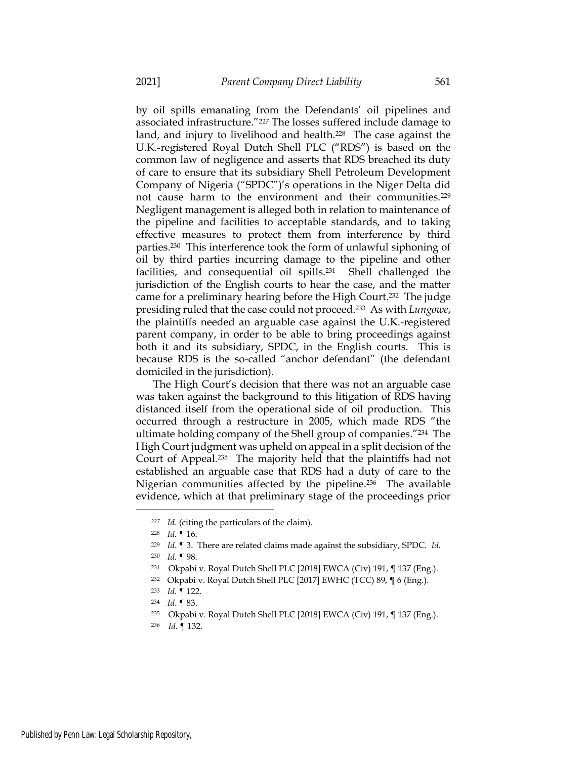by oil spills emanating from the Defendants' oil pipelines and associated infrastructure."<sup>227</sup> The losses suffered include damage to land, and injury to livelihood and health.<sup>228</sup> The case against the U.K.-registered Royal Dutch Shell PLC ("RDS") is based on the common law of negligence and asserts that RDS breached its duty of care to ensure that its subsidiary Shell Petroleum Development Company of Nigeria ("SPDC")'s operations in the Niger Delta did not cause harm to the environment and their communities.<sup>229</sup> Negligent management is alleged both in relation to maintenance of the pipeline and facilities to acceptable standards, and to taking effective measures to protect them from interference by third parties.230 This interference took the form of unlawful siphoning of oil by third parties incurring damage to the pipeline and other facilities, and consequential oil spills.<sup>231</sup> Shell challenged the jurisdiction of the English courts to hear the case, and the matter came for a preliminary hearing before the High Court.<sup>232</sup> The judge presiding ruled that the case could not proceed.233 As with *Lungowe*, the plaintiffs needed an arguable case against the U.K.-registered parent company, in order to be able to bring proceedings against both it and its subsidiary, SPDC, in the English courts. This is because RDS is the so-called "anchor defendant" (the defendant domiciled in the jurisdiction).

The High Court's decision that there was not an arguable case was taken against the background to this litigation of RDS having distanced itself from the operational side of oil production. This occurred through a restructure in 2005, which made RDS "the ultimate holding company of the Shell group of companies."<sup>234</sup> The High Court judgment was upheld on appeal in a split decision of the Court of Appeal.<sup>235</sup> The majority held that the plaintiffs had not established an arguable case that RDS had a duty of care to the Nigerian communities affected by the pipeline.<sup>236</sup> The available evidence, which at that preliminary stage of the proceedings prior

*<sup>227</sup> Id*. (citing the particulars of the claim).

<sup>228</sup> *Id.* ¶ 16.

<sup>229</sup> *Id*. ¶ 3. There are related claims made against the subsidiary, SPDC. *Id.*

<sup>230</sup> *Id.* ¶ 98.

<sup>231</sup> Okpabi v. Royal Dutch Shell PLC [2018] EWCA (Civ) 191, ¶ 137 (Eng.).

<sup>232</sup> Okpabi v. Royal Dutch Shell PLC [2017] EWHC (TCC) 89, ¶ 6 (Eng.).

<sup>233</sup> *Id.* ¶ 122.

<sup>234</sup> *Id*. ¶ 83.

<sup>235</sup> Okpabi v. Royal Dutch Shell PLC [2018] EWCA (Civ) 191, ¶ 137 (Eng.).

<sup>236</sup> *Id.* ¶ 132.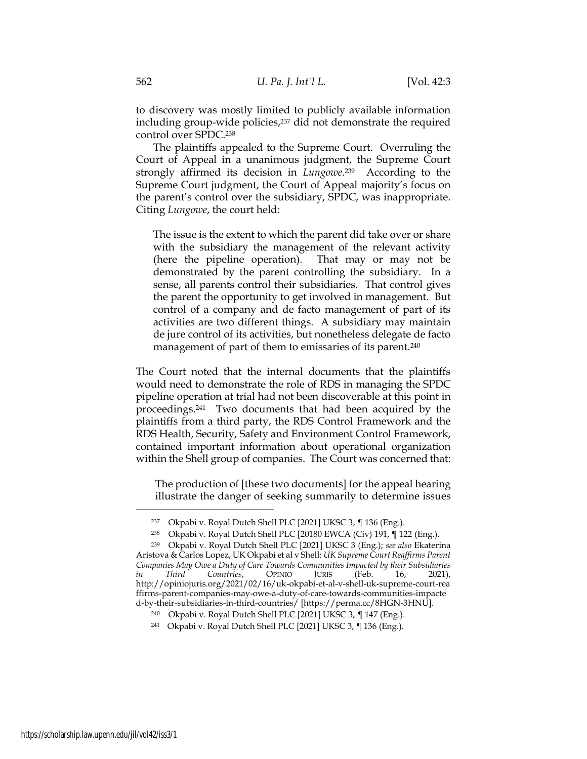to discovery was mostly limited to publicly available information including group-wide policies,<sup>237</sup> did not demonstrate the required control over SPDC. 238

The plaintiffs appealed to the Supreme Court. Overruling the Court of Appeal in a unanimous judgment, the Supreme Court strongly affirmed its decision in *Lungowe*. <sup>239</sup> According to the Supreme Court judgment, the Court of Appeal majority's focus on the parent's control over the subsidiary, SPDC, was inappropriate. Citing *Lungowe*, the court held:

The issue is the extent to which the parent did take over or share with the subsidiary the management of the relevant activity (here the pipeline operation). That may or may not be demonstrated by the parent controlling the subsidiary. In a sense, all parents control their subsidiaries. That control gives the parent the opportunity to get involved in management. But control of a company and de facto management of part of its activities are two different things. A subsidiary may maintain de jure control of its activities, but nonetheless delegate de facto management of part of them to emissaries of its parent.<sup>240</sup>

The Court noted that the internal documents that the plaintiffs would need to demonstrate the role of RDS in managing the SPDC pipeline operation at trial had not been discoverable at this point in proceedings. <sup>241</sup> Two documents that had been acquired by the plaintiffs from a third party, the RDS Control Framework and the RDS Health, Security, Safety and Environment Control Framework, contained important information about operational organization within the Shell group of companies. The Court was concerned that:

The production of [these two documents] for the appeal hearing illustrate the danger of seeking summarily to determine issues

<sup>237</sup> Okpabi v. Royal Dutch Shell PLC [2021] UKSC 3, ¶ 136 (Eng.).

<sup>238</sup> Okpabi v. Royal Dutch Shell PLC [20180 EWCA (Civ) 191, ¶ 122 (Eng.).

<sup>239</sup> Okpabi v. Royal Dutch Shell PLC [2021] UKSC 3 (Eng.); *see also* Ekaterina Aristova & Carlos Lopez, UK Okpabi et al v Shell: *UK Supreme Court Reaffirms Parent Companies May Owe a Duty of Care Towards Communities Impacted by their Subsidiaries in Third Countries*, OPINIO JURIS (Feb. 16, 2021), http://opiniojuris.org/2021/02/16/uk-okpabi-et-al-v-shell-uk-supreme-court-rea ffirms-parent-companies-may-owe-a-duty-of-care-towards-communities-impacte d-by-their-subsidiaries-in-third-countries/ [https://perma.cc/8HGN-3HNU].

<sup>240</sup> Okpabi v. Royal Dutch Shell PLC [2021] UKSC 3, ¶ 147 (Eng.).

<sup>241</sup> Okpabi v. Royal Dutch Shell PLC [2021] UKSC 3, ¶ 136 (Eng.).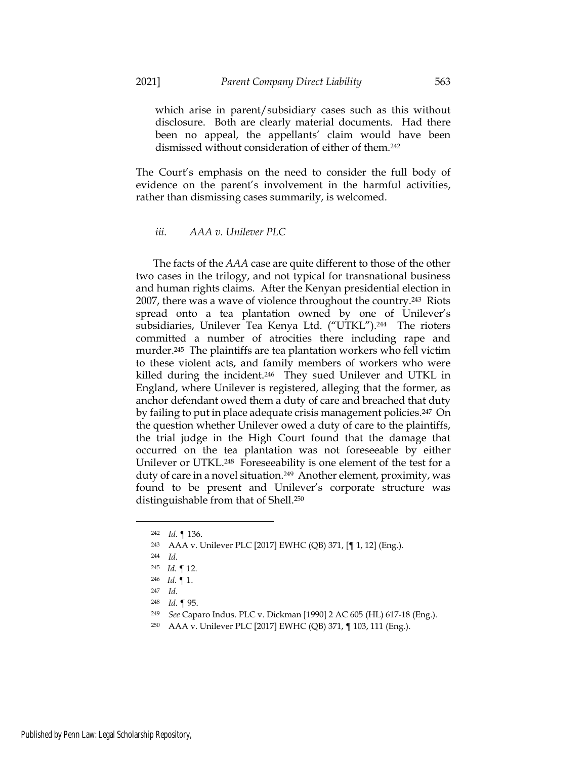which arise in parent/subsidiary cases such as this without disclosure. Both are clearly material documents. Had there been no appeal, the appellants' claim would have been dismissed without consideration of either of them.<sup>242</sup>

The Court's emphasis on the need to consider the full body of evidence on the parent's involvement in the harmful activities, rather than dismissing cases summarily, is welcomed.

*iii. AAA v. Unilever PLC*

The facts of the *AAA* case are quite different to those of the other two cases in the trilogy, and not typical for transnational business and human rights claims. After the Kenyan presidential election in 2007, there was a wave of violence throughout the country.<sup>243</sup> Riots spread onto a tea plantation owned by one of Unilever's subsidiaries, Unilever Tea Kenya Ltd. ("UTKL").<sup>244</sup> The rioters committed a number of atrocities there including rape and murder.<sup>245</sup> The plaintiffs are tea plantation workers who fell victim to these violent acts, and family members of workers who were killed during the incident.<sup>246</sup> They sued Unilever and UTKL in England, where Unilever is registered, alleging that the former, as anchor defendant owed them a duty of care and breached that duty by failing to put in place adequate crisis management policies.<sup>247</sup> On the question whether Unilever owed a duty of care to the plaintiffs, the trial judge in the High Court found that the damage that occurred on the tea plantation was not foreseeable by either Unilever or UTKL.<sup>248</sup> Foreseeability is one element of the test for a duty of care in a novel situation. <sup>249</sup> Another element, proximity, was found to be present and Unilever's corporate structure was distinguishable from that of Shell.<sup>250</sup>

<sup>242</sup> *Id.* ¶ 136.

<sup>243</sup> AAA v. Unilever PLC [2017] EWHC (QB) 371, [¶ 1, 12] (Eng.).

<sup>244</sup> *Id.*

<sup>245</sup> *Id.* ¶ 12.

<sup>246</sup> *Id.* ¶ 1.

<sup>247</sup> *Id.*

<sup>248</sup> *Id.* ¶ 95.

<sup>249</sup> *See* Caparo Indus. PLC v. Dickman [1990] 2 AC 605 (HL) 617-18 (Eng.).

<sup>250</sup> AAA v. Unilever PLC [2017] EWHC (QB) 371, ¶ 103, 111 (Eng.).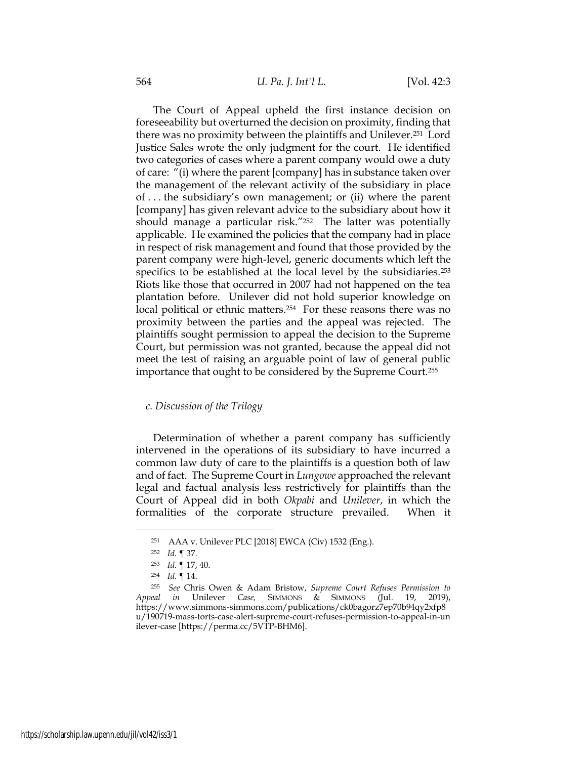The Court of Appeal upheld the first instance decision on foreseeability but overturned the decision on proximity, finding that there was no proximity between the plaintiffs and Unilever.<sup>251</sup> Lord Justice Sales wrote the only judgment for the court. He identified two categories of cases where a parent company would owe a duty of care: "(i) where the parent [company] has in substance taken over the management of the relevant activity of the subsidiary in place of . . . the subsidiary's own management; or (ii) where the parent [company] has given relevant advice to the subsidiary about how it should manage a particular risk."<sup>252</sup> The latter was potentially applicable. He examined the policies that the company had in place in respect of risk management and found that those provided by the parent company were high-level, generic documents which left the specifics to be established at the local level by the subsidiaries.<sup>253</sup> Riots like those that occurred in 2007 had not happened on the tea plantation before. Unilever did not hold superior knowledge on local political or ethnic matters.<sup>254</sup> For these reasons there was no proximity between the parties and the appeal was rejected. The plaintiffs sought permission to appeal the decision to the Supreme Court, but permission was not granted, because the appeal did not meet the test of raising an arguable point of law of general public importance that ought to be considered by the Supreme Court.<sup>255</sup>

### *c. Discussion of the Trilogy*

Determination of whether a parent company has sufficiently intervened in the operations of its subsidiary to have incurred a common law duty of care to the plaintiffs is a question both of law and of fact. The Supreme Court in *Lungowe* approached the relevant legal and factual analysis less restrictively for plaintiffs than the Court of Appeal did in both *Okpabi* and *Unilever*, in which the formalities of the corporate structure prevailed. When it

<sup>251</sup> AAA v. Unilever PLC [2018] EWCA (Civ) 1532 (Eng.).

<sup>252</sup> *Id.* ¶ 37.

<sup>253</sup> *Id.* ¶ 17, 40.

<sup>254</sup> *Id.* ¶ 14.

<sup>255</sup> *See* Chris Owen & Adam Bristow, *Supreme Court Refuses Permission to Appeal in* Unilever *Case,* SIMMONS & SIMMONS (Jul. 19, 2019), https://www.simmons-simmons.com/publications/ck0bagorz7ep70b94qy2xfp8 u/190719-mass-torts-case-alert-supreme-court-refuses-permission-to-appeal-in-un ilever-case [https://perma.cc/5VTP-BHM6].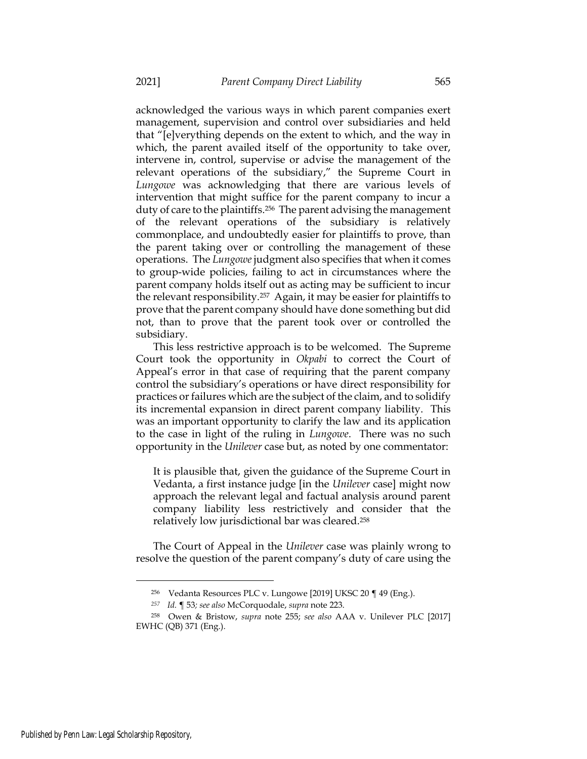acknowledged the various ways in which parent companies exert management, supervision and control over subsidiaries and held that "[e]verything depends on the extent to which, and the way in which, the parent availed itself of the opportunity to take over, intervene in, control, supervise or advise the management of the relevant operations of the subsidiary," the Supreme Court in *Lungowe* was acknowledging that there are various levels of intervention that might suffice for the parent company to incur a duty of care to the plaintiffs.<sup>256</sup> The parent advising the management of the relevant operations of the subsidiary is relatively commonplace, and undoubtedly easier for plaintiffs to prove, than the parent taking over or controlling the management of these operations. The *Lungowe* judgment also specifies that when it comes to group-wide policies, failing to act in circumstances where the parent company holds itself out as acting may be sufficient to incur the relevant responsibility.<sup>257</sup> Again, it may be easier for plaintiffs to prove that the parent company should have done something but did not, than to prove that the parent took over or controlled the subsidiary.

This less restrictive approach is to be welcomed. The Supreme Court took the opportunity in *Okpabi* to correct the Court of Appeal's error in that case of requiring that the parent company control the subsidiary's operations or have direct responsibility for practices or failures which are the subject of the claim, and to solidify its incremental expansion in direct parent company liability. This was an important opportunity to clarify the law and its application to the case in light of the ruling in *Lungowe*. There was no such opportunity in the *Unilever* case but, as noted by one commentator:

It is plausible that, given the guidance of the Supreme Court in Vedanta, a first instance judge [in the *Unilever* case] might now approach the relevant legal and factual analysis around parent company liability less restrictively and consider that the relatively low jurisdictional bar was cleared.<sup>258</sup>

The Court of Appeal in the *Unilever* case was plainly wrong to resolve the question of the parent company's duty of care using the

<sup>256</sup> Vedanta Resources PLC v. Lungowe [2019] UKSC 20 ¶ 49 (Eng.).

*<sup>257</sup> Id.* ¶ 53*; see also* McCorquodale, *supra* note 223.

<sup>258</sup> Owen & Bristow, *supra* note 255; *see also* AAA v. Unilever PLC [2017] EWHC (QB) 371 (Eng.).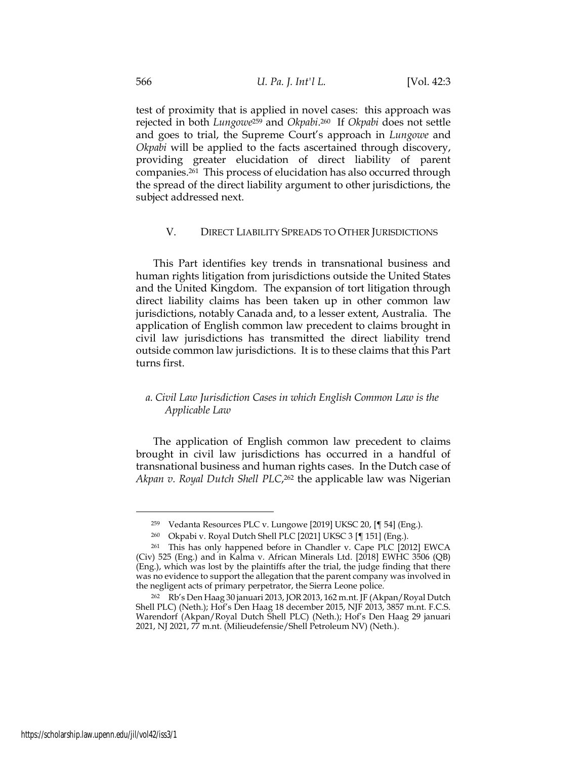test of proximity that is applied in novel cases: this approach was rejected in both *Lungowe*<sup>259</sup> and *Okpabi*. <sup>260</sup> If *Okpabi* does not settle and goes to trial, the Supreme Court's approach in *Lungowe* and *Okpabi* will be applied to the facts ascertained through discovery, providing greater elucidation of direct liability of parent companies.<sup>261</sup> This process of elucidation has also occurred through the spread of the direct liability argument to other jurisdictions, the subject addressed next.

# V. DIRECT LIABILITY SPREADS TO OTHER JURISDICTIONS

This Part identifies key trends in transnational business and human rights litigation from jurisdictions outside the United States and the United Kingdom. The expansion of tort litigation through direct liability claims has been taken up in other common law jurisdictions, notably Canada and, to a lesser extent, Australia. The application of English common law precedent to claims brought in civil law jurisdictions has transmitted the direct liability trend outside common law jurisdictions. It is to these claims that this Part turns first.

# *a. Civil Law Jurisdiction Cases in which English Common Law is the Applicable Law*

The application of English common law precedent to claims brought in civil law jurisdictions has occurred in a handful of transnational business and human rights cases. In the Dutch case of Akpan v. Royal Dutch Shell PLC,<sup>262</sup> the applicable law was Nigerian

<sup>259</sup> Vedanta Resources PLC v. Lungowe [2019] UKSC 20, [¶ 54] (Eng.).

<sup>260</sup> Okpabi v. Royal Dutch Shell PLC [2021] UKSC 3 [¶ 151] (Eng.).

<sup>261</sup> This has only happened before in Chandler v. Cape PLC [2012] EWCA (Civ) 525 (Eng.) and in Kalma v. African Minerals Ltd. [2018] EWHC 3506 (QB) (Eng.), which was lost by the plaintiffs after the trial, the judge finding that there was no evidence to support the allegation that the parent company was involved in the negligent acts of primary perpetrator, the Sierra Leone police.

<sup>262</sup> Rb's Den Haag 30 januari 2013, JOR 2013, 162 m.nt. JF (Akpan/Royal Dutch Shell PLC) (Neth.); Hof's Den Haag 18 december 2015, NJF 2013, 3857 m.nt. F.C.S. Warendorf (Akpan/Royal Dutch Shell PLC) (Neth.); Hof's Den Haag 29 januari 2021, NJ 2021, 77 m.nt. (Milieudefensie/Shell Petroleum NV) (Neth.).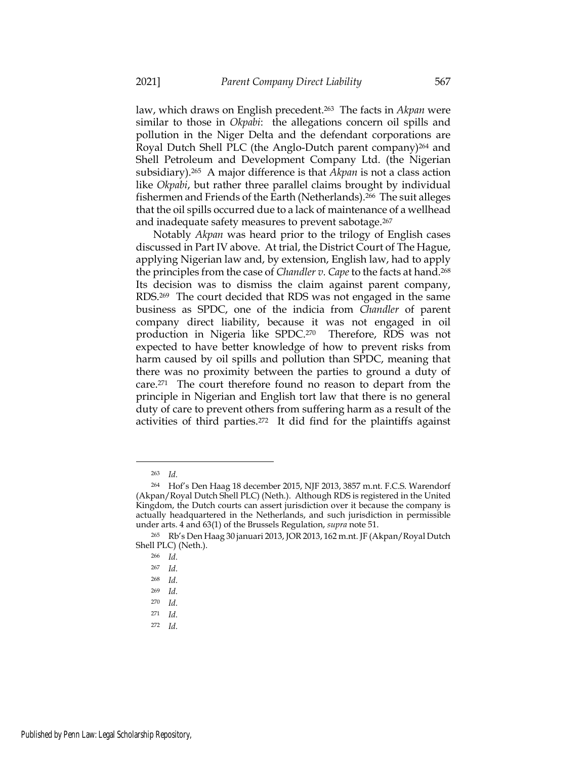law, which draws on English precedent.<sup>263</sup> The facts in *Akpan* were similar to those in *Okpabi*: the allegations concern oil spills and pollution in the Niger Delta and the defendant corporations are Royal Dutch Shell PLC (the Anglo-Dutch parent company)<sup>264</sup> and Shell Petroleum and Development Company Ltd. (the Nigerian subsidiary).<sup>265</sup> A major difference is that *Akpan* is not a class action like *Okpabi*, but rather three parallel claims brought by individual fishermen and Friends of the Earth (Netherlands).<sup>266</sup> The suit alleges that the oil spills occurred due to a lack of maintenance of a wellhead and inadequate safety measures to prevent sabotage.<sup>267</sup>

Notably *Akpan* was heard prior to the trilogy of English cases discussed in Part IV above. At trial, the District Court of The Hague, applying Nigerian law and, by extension, English law, had to apply the principles from the case of *Chandler v. Cape* to the facts at hand.<sup>268</sup> Its decision was to dismiss the claim against parent company, RDS.269 The court decided that RDS was not engaged in the same business as SPDC, one of the indicia from *Chandler* of parent company direct liability, because it was not engaged in oil production in Nigeria like SPDC.<sup>270</sup> Therefore, RDS was not expected to have better knowledge of how to prevent risks from harm caused by oil spills and pollution than SPDC, meaning that there was no proximity between the parties to ground a duty of care.<sup>271</sup> The court therefore found no reason to depart from the principle in Nigerian and English tort law that there is no general duty of care to prevent others from suffering harm as a result of the activities of third parties.<sup>272</sup> It did find for the plaintiffs against

<sup>263</sup> *Id.*

<sup>264</sup> Hof's Den Haag 18 december 2015, NJF 2013, 3857 m.nt. F.C.S. Warendorf (Akpan/Royal Dutch Shell PLC) (Neth.).Although RDS is registered in the United Kingdom, the Dutch courts can assert jurisdiction over it because the company is actually headquartered in the Netherlands, and such jurisdiction in permissible under arts. 4 and 63(1) of the Brussels Regulation, *supra* note 51.

<sup>265</sup> Rb's Den Haag 30 januari 2013, JOR 2013, 162 m.nt. JF (Akpan/Royal Dutch Shell PLC) (Neth.).

<sup>266</sup> *Id.*

<sup>267</sup> *Id.*

<sup>268</sup> *Id.*

<sup>269</sup> *Id.*

<sup>270</sup> *Id.*

<sup>271</sup> *Id.*

<sup>272</sup> *Id.*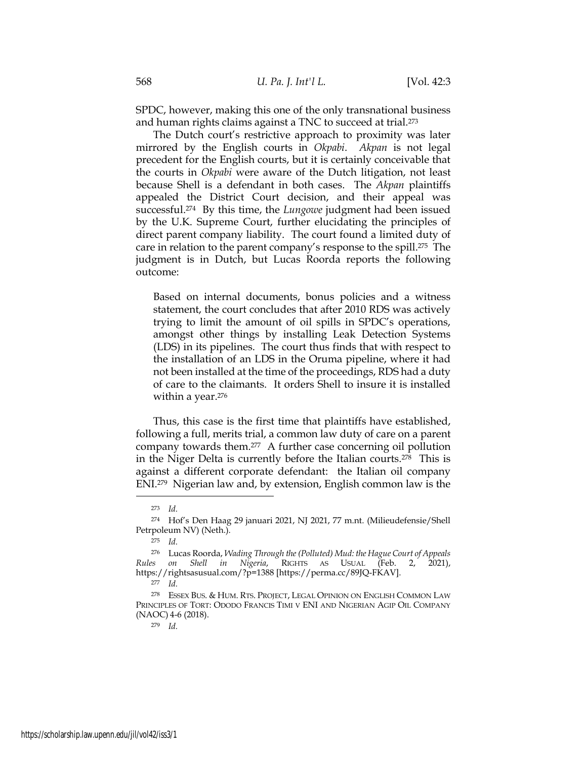SPDC, however, making this one of the only transnational business and human rights claims against a TNC to succeed at trial.<sup>273</sup>

The Dutch court's restrictive approach to proximity was later mirrored by the English courts in *Okpabi*. *Akpan* is not legal precedent for the English courts, but it is certainly conceivable that the courts in *Okpabi* were aware of the Dutch litigation, not least because Shell is a defendant in both cases. The *Akpan* plaintiffs appealed the District Court decision, and their appeal was successful. <sup>274</sup> By this time, the *Lungowe* judgment had been issued by the U.K. Supreme Court, further elucidating the principles of direct parent company liability. The court found a limited duty of care in relation to the parent company's response to the spill. <sup>275</sup> The judgment is in Dutch, but Lucas Roorda reports the following outcome:

Based on internal documents, bonus policies and a witness statement, the court concludes that after 2010 RDS was actively trying to limit the amount of oil spills in SPDC's operations, amongst other things by installing Leak Detection Systems (LDS) in its pipelines. The court thus finds that with respect to the installation of an LDS in the Oruma pipeline, where it had not been installed at the time of the proceedings, RDS had a duty of care to the claimants. It orders Shell to insure it is installed within a year.<sup>276</sup>

Thus, this case is the first time that plaintiffs have established, following a full, merits trial, a common law duty of care on a parent company towards them.<sup>277</sup> A further case concerning oil pollution in the Niger Delta is currently before the Italian courts.<sup>278</sup> This is against a different corporate defendant: the Italian oil company ENI.<sup>279</sup> Nigerian law and, by extension, English common law is the

<sup>273</sup> *Id.*

<sup>274</sup> Hof's Den Haag 29 januari 2021, NJ 2021, 77 m.nt. (Milieudefensie/Shell Petrpoleum NV) (Neth.).

<sup>275</sup> *Id.*

<sup>276</sup> Lucas Roorda, *Wading Through the (Polluted) Mud: the Hague Court of Appeals Rules on Shell in Nigeria*, RIGHTS AS USUAL (Feb. 2, 2021), https://rightsasusual.com/?p=1388 [https://perma.cc/89JQ-FKAV].

<sup>277</sup> *Id.*

<sup>278</sup> ESSEX BUS. & HUM. RTS. PROJECT, LEGAL OPINION ON ENGLISH COMMON LAW PRINCIPLES OF TORT: ODODO FRANCIS TIMI V ENI AND NIGERIAN AGIP OIL COMPANY (NAOC) 4-6 (2018).

<sup>279</sup> *Id.*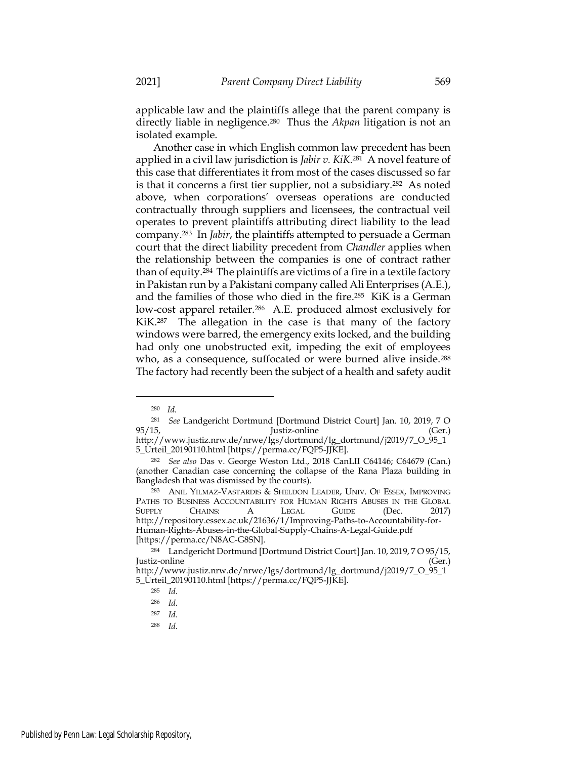applicable law and the plaintiffs allege that the parent company is directly liable in negligence.<sup>280</sup> Thus the *Akpan* litigation is not an isolated example.

Another case in which English common law precedent has been applied in a civil law jurisdiction is *Jabir v. KiK*. <sup>281</sup> A novel feature of this case that differentiates it from most of the cases discussed so far is that it concerns a first tier supplier, not a subsidiary.<sup>282</sup> As noted above, when corporations' overseas operations are conducted contractually through suppliers and licensees, the contractual veil operates to prevent plaintiffs attributing direct liability to the lead company.<sup>283</sup> In *Jabir*, the plaintiffs attempted to persuade a German court that the direct liability precedent from *Chandler* applies when the relationship between the companies is one of contract rather than of equity.<sup>284</sup> The plaintiffs are victims of a fire in a textile factory in Pakistan run by a Pakistani company called Ali Enterprises (A.E.), and the families of those who died in the fire.<sup>285</sup> KiK is a German low-cost apparel retailer.<sup>286</sup> A.E. produced almost exclusively for KiK.<sup>287</sup> The allegation in the case is that many of the factory windows were barred, the emergency exits locked, and the building had only one unobstructed exit, impeding the exit of employees who, as a consequence, suffocated or were burned alive inside.<sup>288</sup> The factory had recently been the subject of a health and safety audit

<sup>280</sup> *Id.*

<sup>281</sup> *See* Landgericht Dortmund [Dortmund District Court] Jan. 10, 2019, 7 O 95/15, Justiz-online (Ger.) http://www.justiz.nrw.de/nrwe/lgs/dortmund/lg\_dortmund/j2019/7\_O\_95\_1

<sup>5</sup>\_Urteil\_20190110.html [https://perma.cc/FQP5-JJKE].

<sup>282</sup> *See also* Das v. George Weston Ltd., 2018 CanLII C64146; C64679 (Can.) (another Canadian case concerning the collapse of the Rana Plaza building in Bangladesh that was dismissed by the courts).

<sup>283</sup> ANIL YILMAZ-VASTARDIS & SHELDON LEADER, UNIV. OF ESSEX, IMPROVING PATHS TO BUSINESS ACCOUNTABILITY FOR HUMAN RIGHTS ABUSES IN THE GLOBAL SUPPLY CHAINS: A LEGAL GUIDE (Dec. 2017) http://repository.essex.ac.uk/21636/1/Improving-Paths-to-Accountability-for-Human-Rights-Abuses-in-the-Global-Supply-Chains-A-Legal-Guide.pdf [https://perma.cc/N8AC-G8SN].

<sup>284</sup> Landgericht Dortmund [Dortmund District Court] Jan. 10, 2019, 7 O 95/15, Justiz-online (Ger.)

http://www.justiz.nrw.de/nrwe/lgs/dortmund/lg\_dortmund/j2019/7\_O\_95\_1 5\_Urteil\_20190110.html [https://perma.cc/FQP5-JJKE].

<sup>285</sup> *Id.*

<sup>286</sup> *Id.*

<sup>287</sup> *Id.*

<sup>288</sup> *Id.*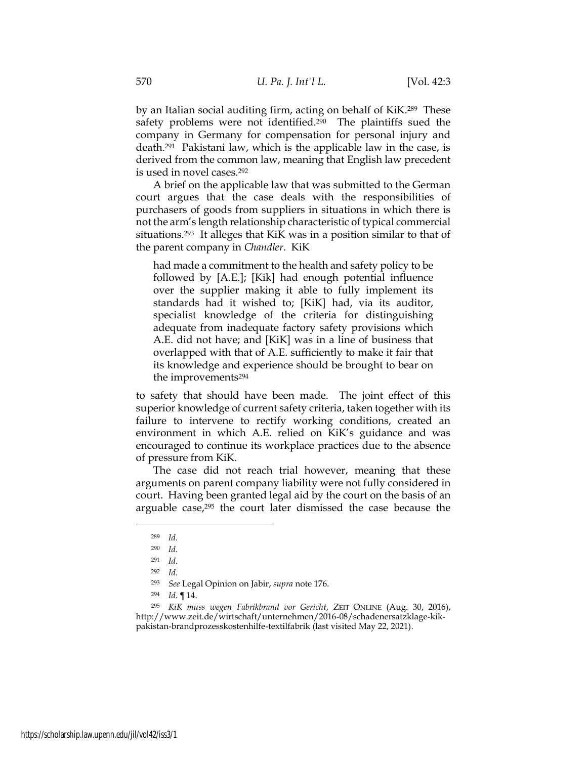by an Italian social auditing firm, acting on behalf of KiK.<sup>289</sup> These safety problems were not identified.<sup>290</sup> The plaintiffs sued the company in Germany for compensation for personal injury and death.<sup>291</sup> Pakistani law, which is the applicable law in the case, is derived from the common law, meaning that English law precedent is used in novel cases.<sup>292</sup>

A brief on the applicable law that was submitted to the German court argues that the case deals with the responsibilities of purchasers of goods from suppliers in situations in which there is not the arm's length relationship characteristic of typical commercial situations.<sup>293</sup> It alleges that KiK was in a position similar to that of the parent company in *Chandler*. KiK

had made a commitment to the health and safety policy to be followed by [A.E.]; [Kik] had enough potential influence over the supplier making it able to fully implement its standards had it wished to; [KiK] had, via its auditor, specialist knowledge of the criteria for distinguishing adequate from inadequate factory safety provisions which A.E. did not have; and [KiK] was in a line of business that overlapped with that of A.E. sufficiently to make it fair that its knowledge and experience should be brought to bear on the improvements<sup>294</sup>

to safety that should have been made. The joint effect of this superior knowledge of current safety criteria, taken together with its failure to intervene to rectify working conditions, created an environment in which A.E. relied on KiK's guidance and was encouraged to continue its workplace practices due to the absence of pressure from KiK.

The case did not reach trial however, meaning that these arguments on parent company liability were not fully considered in court. Having been granted legal aid by the court on the basis of an arguable case,<sup>295</sup> the court later dismissed the case because the

<sup>293</sup> *See* Legal Opinion on Jabir, *supra* note 176.

<sup>289</sup> *Id.*

<sup>290</sup> *Id.*

<sup>291</sup> *Id.*

<sup>292</sup> *Id.*

<sup>294</sup> *Id. ¶* 14.

<sup>295</sup> *KiK muss wegen Fabrikbrand vor Gericht*, ZEIT ONLINE (Aug. 30, 2016), http://www.zeit.de/wirtschaft/unternehmen/2016-08/schadenersatzklage-kikpakistan-brandprozesskostenhilfe-textilfabrik (last visited May 22, 2021).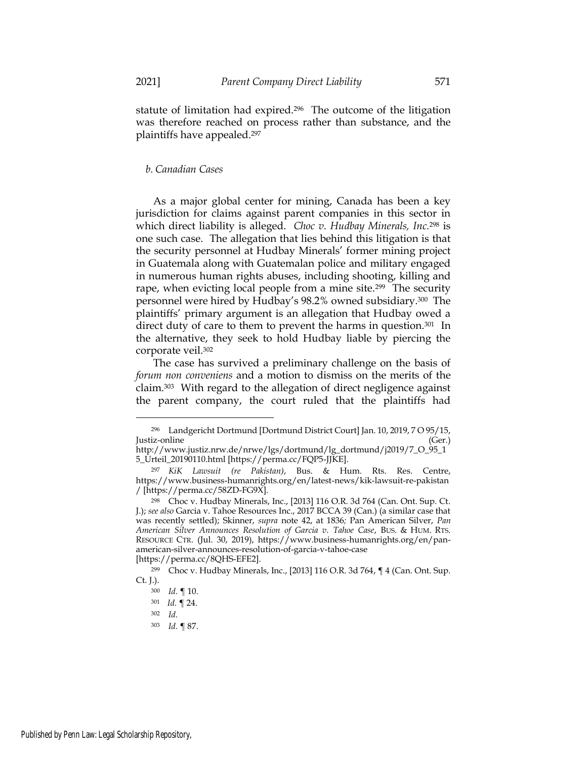statute of limitation had expired.<sup>296</sup> The outcome of the litigation was therefore reached on process rather than substance, and the plaintiffs have appealed.<sup>297</sup>

# *b. Canadian Cases*

As a major global center for mining, Canada has been a key jurisdiction for claims against parent companies in this sector in which direct liability is alleged. *Choc v. Hudbay Minerals, Inc.*<sup>298</sup> is one such case. The allegation that lies behind this litigation is that the security personnel at Hudbay Minerals' former mining project in Guatemala along with Guatemalan police and military engaged in numerous human rights abuses, including shooting, killing and rape, when evicting local people from a mine site.<sup>299</sup> The security personnel were hired by Hudbay's 98.2% owned subsidiary.<sup>300</sup> The plaintiffs' primary argument is an allegation that Hudbay owed a direct duty of care to them to prevent the harms in question.<sup>301</sup> In the alternative, they seek to hold Hudbay liable by piercing the corporate veil.<sup>302</sup>

The case has survived a preliminary challenge on the basis of *forum non conveniens* and a motion to dismiss on the merits of the claim.303 With regard to the allegation of direct negligence against the parent company, the court ruled that the plaintiffs had

<sup>296</sup> Landgericht Dortmund [Dortmund District Court] Jan. 10, 2019, 7 O 95/15, Justiz-online (Ger.)

http://www.justiz.nrw.de/nrwe/lgs/dortmund/lg\_dortmund/j2019/7\_O\_95\_1 5\_Urteil\_20190110.html [https://perma.cc/FQP5-JJKE].

<sup>297</sup> *KiK Lawsuit (re Pakistan)*, Bus. & Hum. Rts. Res. Centre, https://www.business-humanrights.org/en/latest-news/kik-lawsuit-re-pakistan / [https://perma.cc/58ZD-FG9X].

<sup>298</sup> Choc v. Hudbay Minerals, Inc., [2013] 116 O.R. 3d 764 (Can. Ont. Sup. Ct. J.); *see also* Garcia v. Tahoe Resources Inc., 2017 BCCA 39 (Can.) (a similar case that was recently settled); Skinner, *supra* note 42, at 1836*;* Pan American Silver, *Pan American Silver Announces Resolution of Garcia v. Tahoe Case*, BUS. & HUM. RTS. RESOURCE CTR. (Jul. 30, 2019), https://www.business-humanrights.org/en/panamerican-silver-announces-resolution-of-garcia-v-tahoe-case [https://perma.cc/8QHS-EFE2].

<sup>299</sup> Choc v. Hudbay Minerals, Inc., [2013] 116 O.R. 3d 764, ¶ 4 (Can. Ont. Sup. Ct. J.).

<sup>300</sup> *Id.* ¶ 10.

<sup>301</sup> *Id.* ¶ 24.

<sup>302</sup> *Id.*

<sup>303</sup> *Id.* ¶ 87.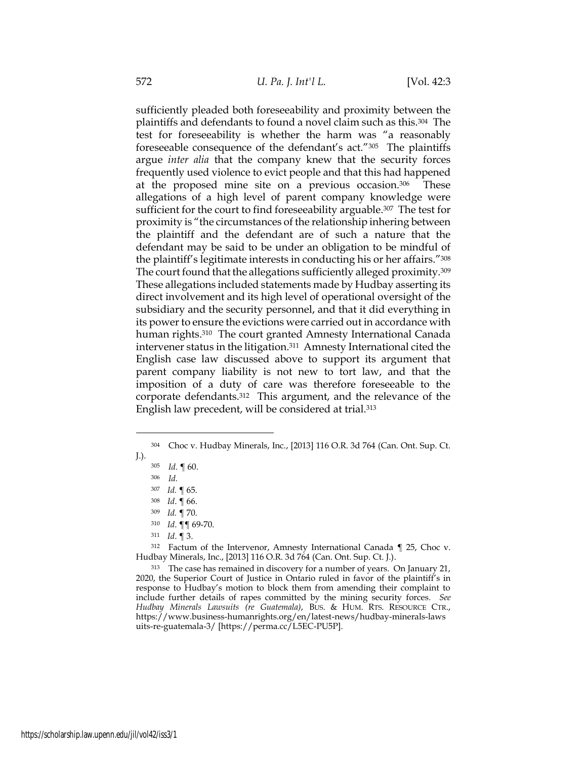sufficiently pleaded both foreseeability and proximity between the plaintiffs and defendants to found a novel claim such as this.<sup>304</sup> The test for foreseeability is whether the harm was "a reasonably foreseeable consequence of the defendant's act."305 The plaintiffs argue *inter alia* that the company knew that the security forces frequently used violence to evict people and that this had happened at the proposed mine site on a previous occasion.<sup>306</sup> These allegations of a high level of parent company knowledge were sufficient for the court to find foreseeability arguable.<sup>307</sup> The test for proximity is "the circumstances of the relationship inhering between the plaintiff and the defendant are of such a nature that the defendant may be said to be under an obligation to be mindful of the plaintiff's legitimate interests in conducting his or her affairs."<sup>308</sup> The court found that the allegations sufficiently alleged proximity.<sup>309</sup> These allegations included statements made by Hudbay asserting its direct involvement and its high level of operational oversight of the subsidiary and the security personnel, and that it did everything in its power to ensure the evictions were carried out in accordance with human rights.<sup>310</sup> The court granted Amnesty International Canada intervener status in the litigation.311 Amnesty International cited the English case law discussed above to support its argument that parent company liability is not new to tort law, and that the imposition of a duty of care was therefore foreseeable to the corporate defendants.312 This argument, and the relevance of the English law precedent, will be considered at trial.<sup>313</sup>

<sup>311</sup> *Id*. ¶ 3.

<sup>312</sup> Factum of the Intervenor, Amnesty International Canada ¶ 25, Choc v. Hudbay Minerals, Inc., [2013] 116 O.R. 3d 764 (Can. Ont. Sup. Ct. J.).

<sup>313</sup> The case has remained in discovery for a number of years. On January 21, 2020, the Superior Court of Justice in Ontario ruled in favor of the plaintiff's in response to Hudbay's motion to block them from amending their complaint to include further details of rapes committed by the mining security forces*. See Hudbay Minerals Lawsuits (re Guatemala)*, BUS. & HUM. RTS. RESOURCE CTR., https://www.business-humanrights.org/en/latest-news/hudbay-minerals-laws uits-re-guatemala-3/ [https://perma.cc/L5EC-PU5P].

<sup>304</sup> Choc v. Hudbay Minerals, Inc., [2013] 116 O.R. 3d 764 (Can. Ont. Sup. Ct. J.).

<sup>305</sup> *Id.* ¶ 60.

<sup>306</sup> *Id.*

<sup>307</sup> *Id.* ¶ 65.

<sup>308</sup> *Id*. ¶ 66.

<sup>309</sup> *Id.* ¶ 70.

<sup>310</sup> *Id*. ¶¶ 69-70.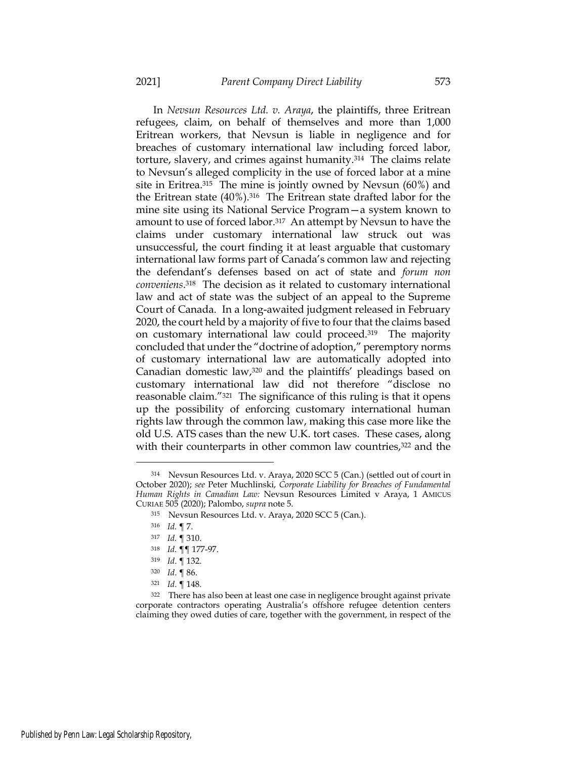In *Nevsun Resources Ltd. v. Araya*, the plaintiffs, three Eritrean refugees, claim, on behalf of themselves and more than 1,000 Eritrean workers, that Nevsun is liable in negligence and for breaches of customary international law including forced labor, torture, slavery, and crimes against humanity.<sup>314</sup> The claims relate to Nevsun's alleged complicity in the use of forced labor at a mine site in Eritrea.315 The mine is jointly owned by Nevsun (60%) and the Eritrean state (40%).<sup>316</sup> The Eritrean state drafted labor for the mine site using its National Service Program—a system known to amount to use of forced labor.<sup>317</sup> An attempt by Nevsun to have the claims under customary international law struck out was unsuccessful, the court finding it at least arguable that customary international law forms part of Canada's common law and rejecting the defendant's defenses based on act of state and *forum non conveniens*. <sup>318</sup> The decision as it related to customary international law and act of state was the subject of an appeal to the Supreme Court of Canada. In a long-awaited judgment released in February 2020, the court held by a majority of five to four that the claims based on customary international law could proceed.<sup>319</sup> The majority concluded that under the "doctrine of adoption," peremptory norms of customary international law are automatically adopted into Canadian domestic law,<sup>320</sup> and the plaintiffs' pleadings based on customary international law did not therefore "disclose no reasonable claim."<sup>321</sup> The significance of this ruling is that it opens up the possibility of enforcing customary international human rights law through the common law, making this case more like the old U.S. ATS cases than the new U.K. tort cases. These cases, along with their counterparts in other common law countries,<sup>322</sup> and the

<sup>314</sup> Nevsun Resources Ltd. v. Araya, 2020 SCC 5 (Can.) (settled out of court in October 2020); *see* Peter Muchlinski, *Corporate Liability for Breaches of Fundamental Human Rights in Canadian Law:* Nevsun Resources Limited v Araya, 1 AMICUS CURIAE 505 (2020); Palombo, *supra* note 5.

<sup>315</sup> Nevsun Resources Ltd. v. Araya, 2020 SCC 5 (Can.).

<sup>316</sup> *Id.* ¶ 7.

<sup>317</sup> *Id.* ¶ 310.

<sup>318</sup> *Id.* ¶¶ 177-97.

<sup>319</sup> *Id*. ¶ 132.

<sup>320</sup> *Id*. ¶ 86.

<sup>321</sup> *Id*. ¶ 148.

<sup>&</sup>lt;sup>322</sup> There has also been at least one case in negligence brought against private corporate contractors operating Australia's offshore refugee detention centers claiming they owed duties of care, together with the government, in respect of the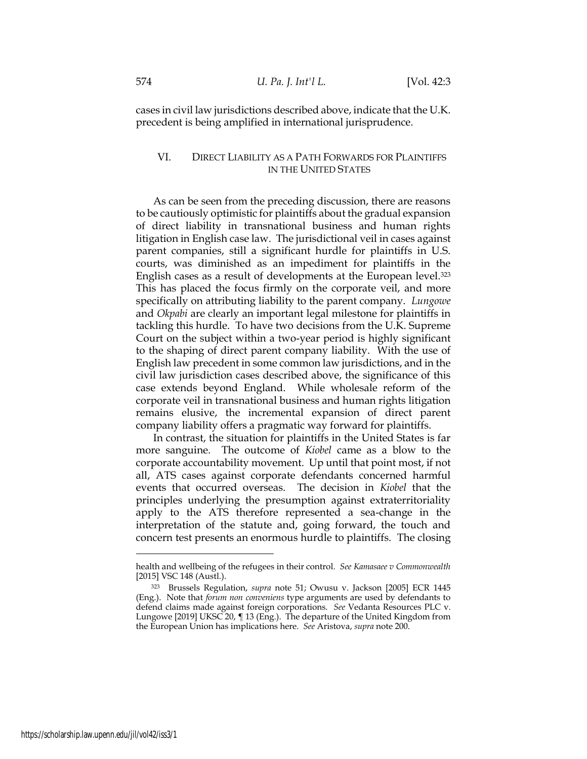cases in civil law jurisdictions described above, indicate that the U.K. precedent is being amplified in international jurisprudence.

# VI. DIRECT LIABILITY AS A PATH FORWARDS FOR PLAINTIFFS IN THE UNITED STATES

As can be seen from the preceding discussion, there are reasons to be cautiously optimistic for plaintiffs about the gradual expansion of direct liability in transnational business and human rights litigation in English case law. The jurisdictional veil in cases against parent companies, still a significant hurdle for plaintiffs in U.S. courts, was diminished as an impediment for plaintiffs in the English cases as a result of developments at the European level.<sup>323</sup> This has placed the focus firmly on the corporate veil, and more specifically on attributing liability to the parent company. *Lungowe* and *Okpabi* are clearly an important legal milestone for plaintiffs in tackling this hurdle. To have two decisions from the U.K. Supreme Court on the subject within a two-year period is highly significant to the shaping of direct parent company liability. With the use of English law precedent in some common law jurisdictions, and in the civil law jurisdiction cases described above, the significance of this case extends beyond England. While wholesale reform of the corporate veil in transnational business and human rights litigation remains elusive, the incremental expansion of direct parent company liability offers a pragmatic way forward for plaintiffs.

In contrast, the situation for plaintiffs in the United States is far more sanguine. The outcome of *Kiobel* came as a blow to the corporate accountability movement. Up until that point most, if not all, ATS cases against corporate defendants concerned harmful events that occurred overseas. The decision in *Kiobel* that the principles underlying the presumption against extraterritoriality apply to the ATS therefore represented a sea-change in the interpretation of the statute and, going forward, the touch and concern test presents an enormous hurdle to plaintiffs. The closing

health and wellbeing of the refugees in their control. *See Kamasaee v Commonwealth* [2015] VSC 148 (Austl.).

<sup>323</sup> Brussels Regulation, *supra* note 51; Owusu v. Jackson [2005] ECR 1445 (Eng.). Note that *forum non conveniens* type arguments are used by defendants to defend claims made against foreign corporations. *See* Vedanta Resources PLC v. Lungowe [2019] UKSC 20, ¶ 13 (Eng.). The departure of the United Kingdom from the European Union has implications here. *See* Aristova, *supra* note 200.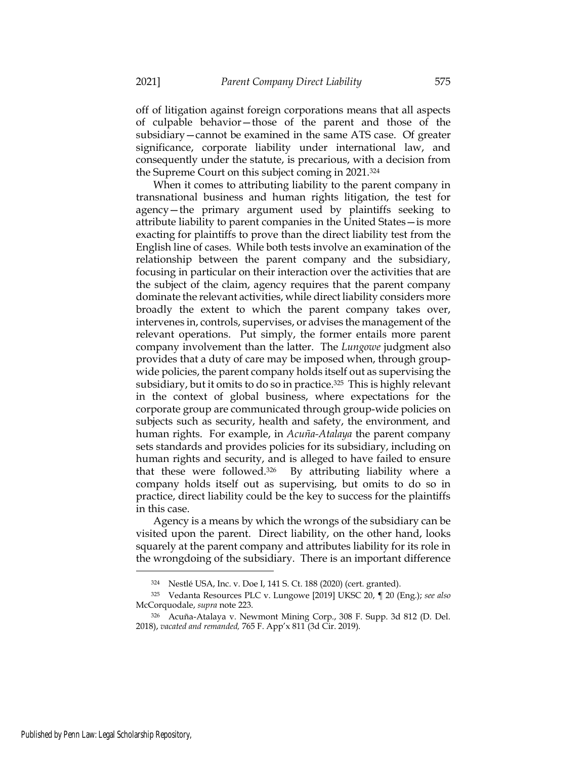off of litigation against foreign corporations means that all aspects of culpable behavior—those of the parent and those of the subsidiary—cannot be examined in the same ATS case. Of greater significance, corporate liability under international law, and consequently under the statute, is precarious, with a decision from the Supreme Court on this subject coming in 2021.<sup>324</sup>

When it comes to attributing liability to the parent company in transnational business and human rights litigation, the test for agency—the primary argument used by plaintiffs seeking to attribute liability to parent companies in the United States—is more exacting for plaintiffs to prove than the direct liability test from the English line of cases. While both tests involve an examination of the relationship between the parent company and the subsidiary, focusing in particular on their interaction over the activities that are the subject of the claim, agency requires that the parent company dominate the relevant activities, while direct liability considers more broadly the extent to which the parent company takes over, intervenes in, controls, supervises, or advises the management of the relevant operations. Put simply, the former entails more parent company involvement than the latter. The *Lungowe* judgment also provides that a duty of care may be imposed when, through groupwide policies, the parent company holds itself out as supervising the subsidiary, but it omits to do so in practice.<sup>325</sup> This is highly relevant in the context of global business, where expectations for the corporate group are communicated through group-wide policies on subjects such as security, health and safety, the environment, and human rights. For example, in *Acuña-Atalaya* the parent company sets standards and provides policies for its subsidiary, including on human rights and security, and is alleged to have failed to ensure that these were followed.<sup>326</sup> By attributing liability where a company holds itself out as supervising, but omits to do so in practice, direct liability could be the key to success for the plaintiffs in this case.

Agency is a means by which the wrongs of the subsidiary can be visited upon the parent. Direct liability, on the other hand, looks squarely at the parent company and attributes liability for its role in the wrongdoing of the subsidiary. There is an important difference

<sup>324</sup> Nestlé USA, Inc. v. Doe I, 141 S. Ct. 188 (2020) (cert. granted).

<sup>325</sup> Vedanta Resources PLC v. Lungowe [2019] UKSC 20, ¶ 20 (Eng.); *see also* McCorquodale, *supra* note 223.

<sup>326</sup> Acuña-Atalaya v. Newmont Mining Corp., 308 F. Supp. 3d 812 (D. Del. 2018), *vacated and remanded,* 765 F. App'x 811 (3d Cir. 2019).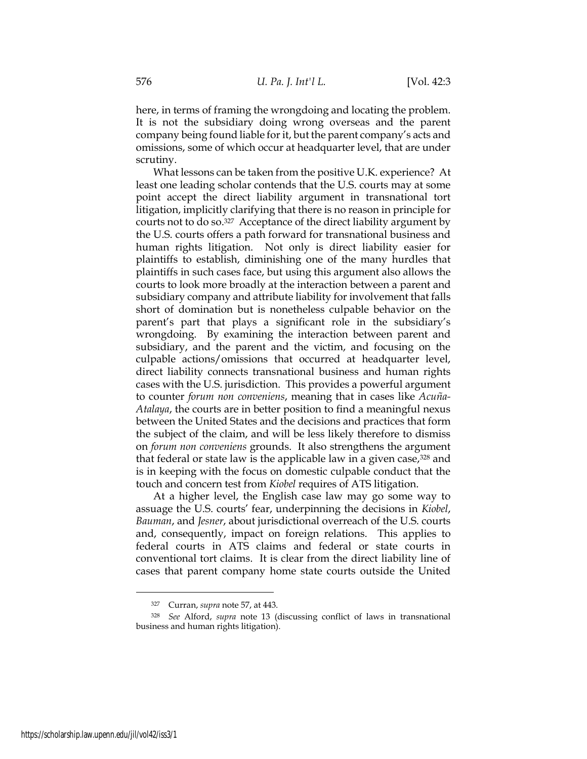here, in terms of framing the wrongdoing and locating the problem. It is not the subsidiary doing wrong overseas and the parent company being found liable for it, but the parent company's acts and omissions, some of which occur at headquarter level, that are under scrutiny.

What lessons can be taken from the positive U.K. experience? At least one leading scholar contends that the U.S. courts may at some point accept the direct liability argument in transnational tort litigation, implicitly clarifying that there is no reason in principle for courts not to do so.<sup>327</sup> Acceptance of the direct liability argument by the U.S. courts offers a path forward for transnational business and human rights litigation. Not only is direct liability easier for plaintiffs to establish, diminishing one of the many hurdles that plaintiffs in such cases face, but using this argument also allows the courts to look more broadly at the interaction between a parent and subsidiary company and attribute liability for involvement that falls short of domination but is nonetheless culpable behavior on the parent's part that plays a significant role in the subsidiary's wrongdoing. By examining the interaction between parent and subsidiary, and the parent and the victim, and focusing on the culpable actions/omissions that occurred at headquarter level, direct liability connects transnational business and human rights cases with the U.S. jurisdiction. This provides a powerful argument to counter *forum non conveniens*, meaning that in cases like *Acuña-Atalaya*, the courts are in better position to find a meaningful nexus between the United States and the decisions and practices that form the subject of the claim, and will be less likely therefore to dismiss on *forum non conveniens* grounds. It also strengthens the argument that federal or state law is the applicable law in a given case,<sup>328</sup> and is in keeping with the focus on domestic culpable conduct that the touch and concern test from *Kiobel* requires of ATS litigation.

At a higher level, the English case law may go some way to assuage the U.S. courts' fear, underpinning the decisions in *Kiobel*, *Bauman*, and *Jesner*, about jurisdictional overreach of the U.S. courts and, consequently, impact on foreign relations. This applies to federal courts in ATS claims and federal or state courts in conventional tort claims. It is clear from the direct liability line of cases that parent company home state courts outside the United

<sup>327</sup> Curran, *supra* note 57, at 443.

<sup>328</sup> *See* Alford, *supra* note [13](#page-5-0) (discussing conflict of laws in transnational business and human rights litigation).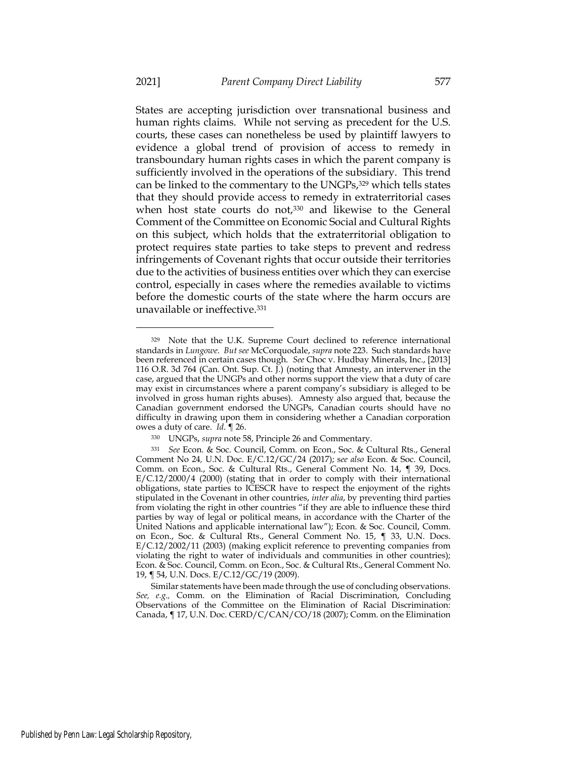States are accepting jurisdiction over transnational business and human rights claims. While not serving as precedent for the U.S. courts, these cases can nonetheless be used by plaintiff lawyers to evidence a global trend of provision of access to remedy in transboundary human rights cases in which the parent company is sufficiently involved in the operations of the subsidiary. This trend can be linked to the commentary to the UNGPs,<sup>329</sup> which tells states that they should provide access to remedy in extraterritorial cases when host state courts do not,<sup>330</sup> and likewise to the General Comment of the Committee on Economic Social and Cultural Rights on this subject, which holds that the extraterritorial obligation to protect requires state parties to take steps to prevent and redress infringements of Covenant rights that occur outside their territories due to the activities of business entities over which they can exercise control, especially in cases where the remedies available to victims before the domestic courts of the state where the harm occurs are unavailable or ineffective. 331

<sup>329</sup> Note that the U.K. Supreme Court declined to reference international standards in *Lungowe*. *But see* McCorquodale, *supra* note 223. Such standards have been referenced in certain cases though. *See* Choc v. Hudbay Minerals, Inc., [2013] 116 O.R. 3d 764 (Can. Ont. Sup. Ct. J.) (noting that Amnesty, an intervener in the case, argued that the UNGPs and other norms support the view that a duty of care may exist in circumstances where a parent company's subsidiary is alleged to be involved in gross human rights abuses). Amnesty also argued that, because the Canadian government endorsed the UNGPs, Canadian courts should have no difficulty in drawing upon them in considering whether a Canadian corporation owes a duty of care. *Id*. ¶ 26.

<sup>330</sup> UNGPs, *supra* note 58, Principle 26 and Commentary.

<sup>331</sup> *See* Econ. & Soc. Council, Comm. on Econ., Soc. & Cultural Rts., General Comment No 24*,* U.N. Doc. E/C.12/GC/24 (2017); s*ee also* Econ. & Soc. Council, Comm. on Econ., Soc. & Cultural Rts., General Comment No. 14, ¶ 39, Docs. E/C.12/2000/4 (2000) (stating that in order to comply with their international obligations, state parties to ICESCR have to respect the enjoyment of the rights stipulated in the Covenant in other countries, *inter alia*, by preventing third parties from violating the right in other countries "if they are able to influence these third parties by way of legal or political means, in accordance with the Charter of the United Nations and applicable international law"); Econ. & Soc. Council, Comm. on Econ., Soc. & Cultural Rts., General Comment No. 15, ¶ 33, U.N. Docs. E/C.12/2002/11 (2003) (making explicit reference to preventing companies from violating the right to water of individuals and communities in other countries); Econ. & Soc. Council, Comm. on Econ., Soc. & Cultural Rts., General Comment No. 19, ¶ 54, U.N. Docs. E/C.12/GC/19 (2009).

Similar statements have been made through the use of concluding observations. *See, e.g.,* Comm. on the Elimination of Racial Discrimination, Concluding Observations of the Committee on the Elimination of Racial Discrimination: Canada, ¶ 17, U.N. Doc. CERD/C/CAN/CO/18 (2007); Comm. on the Elimination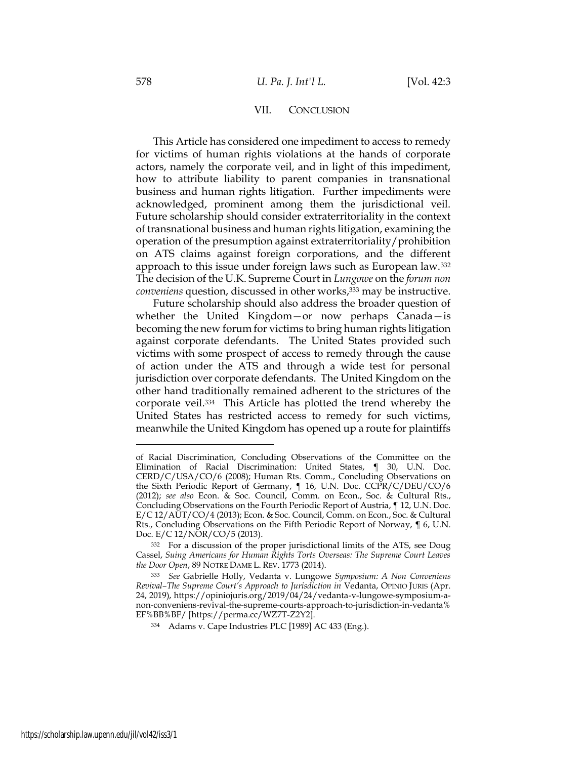#### VII. CONCLUSION

This Article has considered one impediment to access to remedy for victims of human rights violations at the hands of corporate actors, namely the corporate veil, and in light of this impediment, how to attribute liability to parent companies in transnational business and human rights litigation. Further impediments were acknowledged, prominent among them the jurisdictional veil. Future scholarship should consider extraterritoriality in the context of transnational business and human rights litigation, examining the operation of the presumption against extraterritoriality/prohibition on ATS claims against foreign corporations, and the different approach to this issue under foreign laws such as European law.<sup>332</sup> The decision of the U.K. Supreme Court in *Lungowe* on the *forum non conveniens* question, discussed in other works,<sup>333</sup> may be instructive.

Future scholarship should also address the broader question of whether the United Kingdom—or now perhaps Canada—is becoming the new forum for victims to bring human rights litigation against corporate defendants. The United States provided such victims with some prospect of access to remedy through the cause of action under the ATS and through a wide test for personal jurisdiction over corporate defendants. The United Kingdom on the other hand traditionally remained adherent to the strictures of the corporate veil.<sup>334</sup> This Article has plotted the trend whereby the United States has restricted access to remedy for such victims, meanwhile the United Kingdom has opened up a route for plaintiffs

of Racial Discrimination, Concluding Observations of the Committee on the Elimination of Racial Discrimination: United States, ¶ 30, U.N. Doc. CERD/C/USA/CO/6 (2008); Human Rts. Comm., Concluding Observations on the Sixth Periodic Report of Germany, ¶ 16, U.N. Doc. CCPR/C/DEU/CO/6 (2012); *see also* Econ. & Soc. Council, Comm. on Econ., Soc. & Cultural Rts., Concluding Observations on the Fourth Periodic Report of Austria, ¶ 12, U.N. Doc. E/C 12/AUT/CO/4 (2013); Econ. & Soc. Council, Comm. on Econ., Soc. & Cultural Rts., Concluding Observations on the Fifth Periodic Report of Norway, ¶ 6, U.N. Doc. E/C 12/NOR/CO/5 (2013).

<sup>332</sup> For a discussion of the proper jurisdictional limits of the ATS, see Doug Cassel, *Suing Americans for Human Rights Torts Overseas: The Supreme Court Leaves the Door Open*, 89 NOTRE DAME L. REV. 1773 (2014).

<sup>333</sup> *See* Gabrielle Holly, Vedanta v. Lungowe *Symposium: A Non Conveniens Revival–The Supreme Court's Approach to Jurisdiction in* Vedanta, OPINIO JURIS (Apr. 24, 2019), https://opiniojuris.org/2019/04/24/vedanta-v-lungowe-symposium-anon-conveniens-revival-the-supreme-courts-approach-to-jurisdiction-in-vedanta% EF%BB%BF/ [https://perma.cc/WZ7T-Z2Y2].

<sup>334</sup> Adams v. Cape Industries PLC [1989] AC 433 (Eng.).